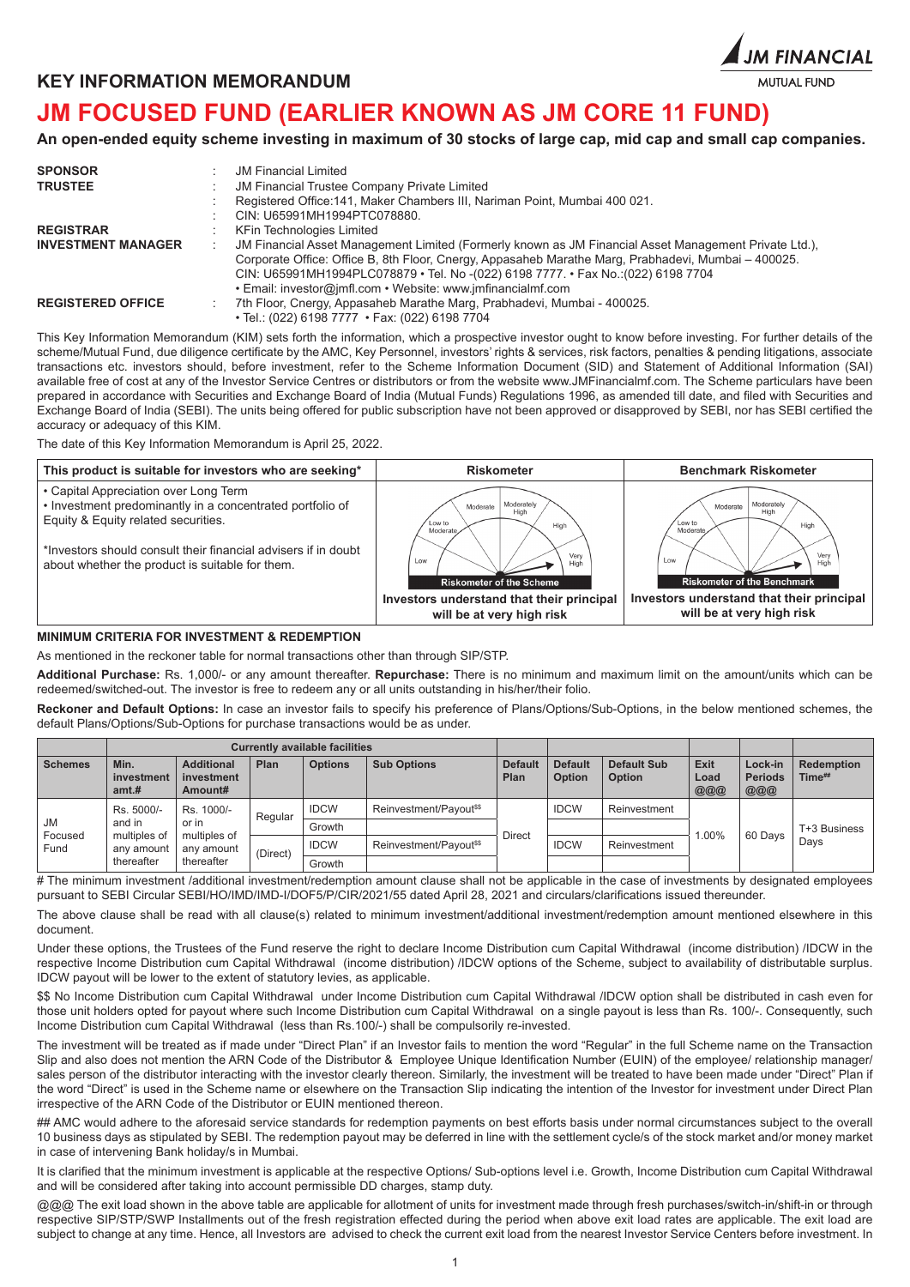



# **JM FOCUSED FUND (EARLIER KNOWN AS JM CORE 11 FUND)**

**An open-ended equity scheme investing in maximum of 30 stocks of large cap, mid cap and small cap companies.**

| <b>SPONSOR</b><br><b>TRUSTEE</b> | <b>JM Financial Limited</b><br><b>JM Financial Trustee Company Private Limited</b><br>Registered Office: 141, Maker Chambers III, Nariman Point, Mumbai 400 021.<br>CIN: U65991MH1994PTC078880.                                                                                                                                                                           |
|----------------------------------|---------------------------------------------------------------------------------------------------------------------------------------------------------------------------------------------------------------------------------------------------------------------------------------------------------------------------------------------------------------------------|
| <b>REGISTRAR</b>                 | KFin Technologies Limited                                                                                                                                                                                                                                                                                                                                                 |
| <b>INVESTMENT MANAGER</b>        | JM Financial Asset Management Limited (Formerly known as JM Financial Asset Management Private Ltd.),<br>$\pm$<br>Corporate Office: Office B, 8th Floor, Cnergy, Appasaheb Marathe Marg, Prabhadevi, Mumbai - 400025.<br>CIN: U65991MH1994PLC078879 • Tel. No -(022) 6198 7777 . • Fax No :(022) 6198 7704<br>• Email: investor@jmfl.com • Website: www.jmfinancialmf.com |
| <b>REGISTERED OFFICE</b>         | 7th Floor, Cnergy, Appasaheb Marathe Marg, Prabhadevi, Mumbai - 400025.<br>÷<br>• Tel.: (022) 6198 7777 • Fax: (022) 6198 7704                                                                                                                                                                                                                                            |

This Key Information Memorandum (KIM) sets forth the information, which a prospective investor ought to know before investing. For further details of the scheme/Mutual Fund, due diligence certificate by the AMC, Key Personnel, investors' rights & services, risk factors, penalties & pending litigations, associate transactions etc. investors should, before investment, refer to the Scheme Information Document (SID) and Statement of Additional Information (SAI) available free of cost at any of the Investor Service Centres or distributors or from the website www.JMFinancialmf.com. The Scheme particulars have been prepared in accordance with Securities and Exchange Board of India (Mutual Funds) Regulations 1996, as amended till date, and filed with Securities and Exchange Board of India (SEBI). The units being offered for public subscription have not been approved or disapproved by SEBI, nor has SEBI certified the accuracy or adequacy of this KIM.

The date of this Key Information Memorandum is April 25, 2022.



## **MINIMUM CRITERIA FOR INVESTMENT & REDEMPTION**

As mentioned in the reckoner table for normal transactions other than through SIP/STP.

**Additional Purchase:** Rs. 1,000/- or any amount thereafter. **Repurchase:** There is no minimum and maximum limit on the amount/units which can be redeemed/switched-out. The investor is free to redeem any or all units outstanding in his/her/their folio.

**Reckoner and Default Options:** In case an investor fails to specify his preference of Plans/Options/Sub-Options, in the below mentioned schemes, the default Plans/Options/Sub-Options for purchase transactions would be as under.

|                 | <b>Currently available facilities</b> |                                                      |             |                                   |                                   |                        |                                 |                                     |                     |                                  |                             |               |  |  |       |         |              |
|-----------------|---------------------------------------|------------------------------------------------------|-------------|-----------------------------------|-----------------------------------|------------------------|---------------------------------|-------------------------------------|---------------------|----------------------------------|-----------------------------|---------------|--|--|-------|---------|--------------|
| <b>Schemes</b>  | Min.<br>investment<br>amt.#           | <b>Additional</b><br>investment<br>Amount#           | Plan        | <b>Options</b>                    | <b>Sub Options</b>                | <b>Default</b><br>Plan | <b>Default</b><br><b>Option</b> | <b>Default Sub</b><br><b>Option</b> | Exit<br>Load<br>000 | Lock-in<br><b>Periods</b><br>000 | <b>Redemption</b><br>Time## |               |  |  |       |         |              |
|                 | Rs. 5000/-                            | Rs. 1000/-                                           | Regular     | <b>IDCW</b>                       | Reinvestment/Payout <sup>ss</sup> |                        | <b>IDCW</b>                     | Reinvestment                        |                     |                                  |                             |               |  |  |       |         |              |
| <b>JM</b>       | and in<br>multiples of                | or in                                                |             | Growth                            |                                   |                        |                                 |                                     |                     |                                  |                             | <b>Direct</b> |  |  | 1.00% | 60 Days | T+3 Business |
| Focused<br>Fund | any amount<br>thereafter              | multiples of<br>any amount<br>(Direct)<br>thereafter | <b>IDCW</b> | Reinvestment/Payout <sup>ss</sup> |                                   | <b>IDCW</b>            | Reinvestment                    |                                     |                     | Days                             |                             |               |  |  |       |         |              |
|                 |                                       |                                                      |             | Growth                            |                                   |                        |                                 |                                     |                     |                                  |                             |               |  |  |       |         |              |

# The minimum investment /additional investment/redemption amount clause shall not be applicable in the case of investments by designated employees pursuant to SEBI Circular SEBI/HO/IMD/IMD-I/DOF5/P/CIR/2021/55 dated April 28, 2021 and circulars/clarifications issued thereunder.

The above clause shall be read with all clause(s) related to minimum investment/additional investment/redemption amount mentioned elsewhere in this document.

Under these options, the Trustees of the Fund reserve the right to declare Income Distribution cum Capital Withdrawal (income distribution) /IDCW in the respective Income Distribution cum Capital Withdrawal (income distribution) /IDCW options of the Scheme, subject to availability of distributable surplus. IDCW payout will be lower to the extent of statutory levies, as applicable.

\$\$ No Income Distribution cum Capital Withdrawal under Income Distribution cum Capital Withdrawal /IDCW option shall be distributed in cash even for those unit holders opted for payout where such Income Distribution cum Capital Withdrawal on a single payout is less than Rs. 100/-. Consequently, such Income Distribution cum Capital Withdrawal (less than Rs.100/-) shall be compulsorily re-invested.

The investment will be treated as if made under "Direct Plan" if an Investor fails to mention the word "Regular" in the full Scheme name on the Transaction Slip and also does not mention the ARN Code of the Distributor & Employee Unique Identification Number (EUIN) of the employee/ relationship manager/ sales person of the distributor interacting with the investor clearly thereon. Similarly, the investment will be treated to have been made under "Direct" Plan if the word "Direct" is used in the Scheme name or elsewhere on the Transaction Slip indicating the intention of the Investor for investment under Direct Plan irrespective of the ARN Code of the Distributor or EUIN mentioned thereon.

## AMC would adhere to the aforesaid service standards for redemption payments on best efforts basis under normal circumstances subject to the overall 10 business days as stipulated by SEBI. The redemption payout may be deferred in line with the settlement cycle/s of the stock market and/or money market in case of intervening Bank holiday/s in Mumbai.

It is clarified that the minimum investment is applicable at the respective Options/ Sub-options level i.e. Growth, Income Distribution cum Capital Withdrawal and will be considered after taking into account permissible DD charges, stamp duty.

@@@ The exit load shown in the above table are applicable for allotment of units for investment made through fresh purchases/switch-in/shift-in or through respective SIP/STP/SWP Installments out of the fresh registration effected during the period when above exit load rates are applicable. The exit load are subject to change at any time. Hence, all Investors are advised to check the current exit load from the nearest Investor Service Centers before investment. In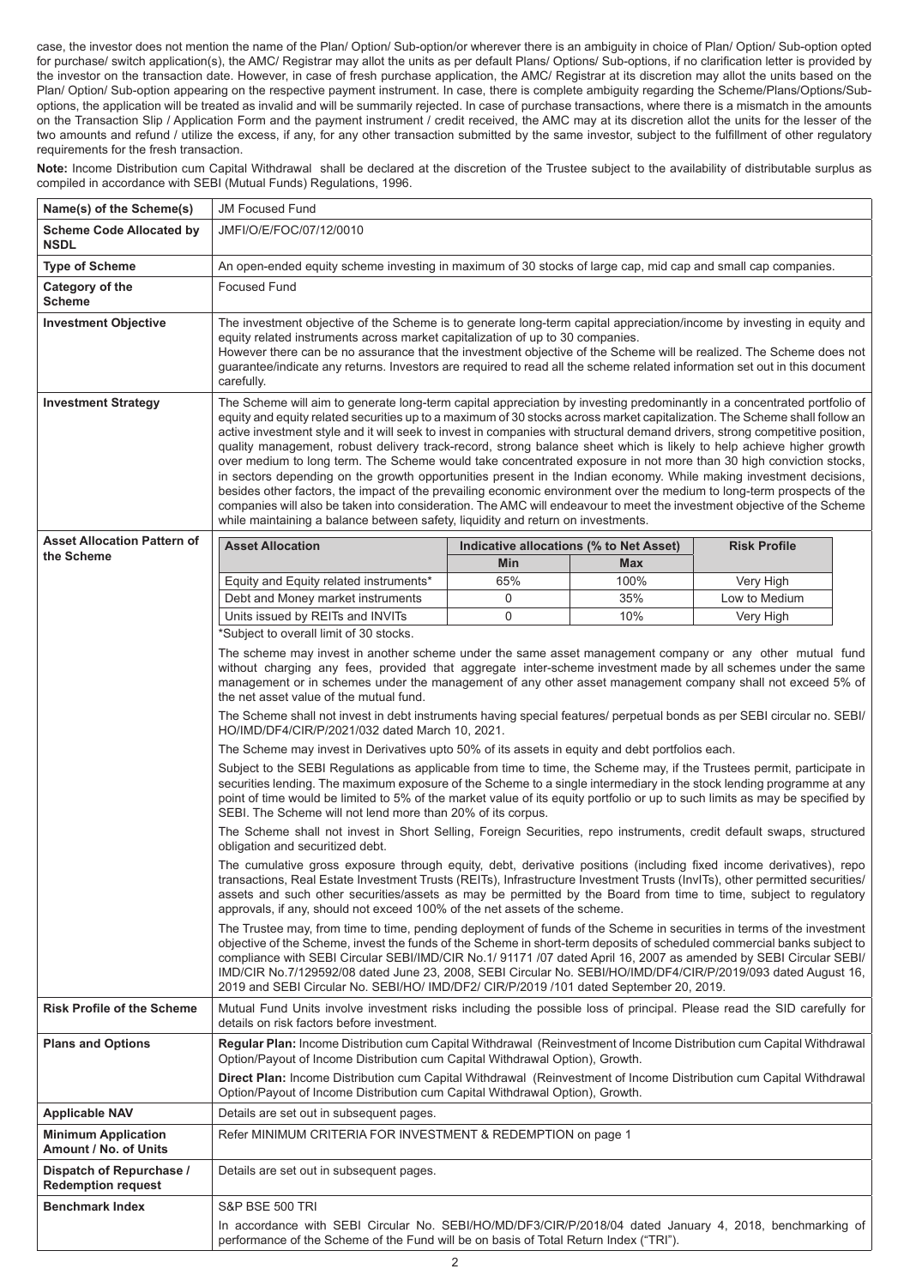case, the investor does not mention the name of the Plan/ Option/ Sub-option/or wherever there is an ambiguity in choice of Plan/ Option/ Sub-option opted for purchase/ switch application(s), the AMC/ Registrar may allot the units as per default Plans/ Options/ Sub-options, if no clarification letter is provided by the investor on the transaction date. However, in case of fresh purchase application, the AMC/ Registrar at its discretion may allot the units based on the Plan/ Option/ Sub-option appearing on the respective payment instrument. In case, there is complete ambiguity regarding the Scheme/Plans/Options/Suboptions, the application will be treated as invalid and will be summarily rejected. In case of purchase transactions, where there is a mismatch in the amounts on the Transaction Slip / Application Form and the payment instrument / credit received, the AMC may at its discretion allot the units for the lesser of the two amounts and refund / utilize the excess, if any, for any other transaction submitted by the same investor, subject to the fulfillment of other regulatory requirements for the fresh transaction.

Note: Income Distribution cum Capital Withdrawal shall be declared at the discretion of the Trustee subject to the availability of distributable surplus as compiled in accordance with SEBI (Mutual Funds) Regulations, 1996.

| Name(s) of the Scheme(s)                              | <b>JM Focused Fund</b>                                                                                                                                                                                                                                                                                                                                                                                                                                                                                                                                                                                                                                                                                                                                                                                                                                                                                                                                                                                                                                                                            |                                                                                                                                                                                                                                                                                                                                                                                                                                                               |            |                     |  |  |  |  |
|-------------------------------------------------------|---------------------------------------------------------------------------------------------------------------------------------------------------------------------------------------------------------------------------------------------------------------------------------------------------------------------------------------------------------------------------------------------------------------------------------------------------------------------------------------------------------------------------------------------------------------------------------------------------------------------------------------------------------------------------------------------------------------------------------------------------------------------------------------------------------------------------------------------------------------------------------------------------------------------------------------------------------------------------------------------------------------------------------------------------------------------------------------------------|---------------------------------------------------------------------------------------------------------------------------------------------------------------------------------------------------------------------------------------------------------------------------------------------------------------------------------------------------------------------------------------------------------------------------------------------------------------|------------|---------------------|--|--|--|--|
| <b>Scheme Code Allocated by</b><br><b>NSDL</b>        | JMFI/O/E/FOC/07/12/0010                                                                                                                                                                                                                                                                                                                                                                                                                                                                                                                                                                                                                                                                                                                                                                                                                                                                                                                                                                                                                                                                           |                                                                                                                                                                                                                                                                                                                                                                                                                                                               |            |                     |  |  |  |  |
| <b>Type of Scheme</b>                                 |                                                                                                                                                                                                                                                                                                                                                                                                                                                                                                                                                                                                                                                                                                                                                                                                                                                                                                                                                                                                                                                                                                   | An open-ended equity scheme investing in maximum of 30 stocks of large cap, mid cap and small cap companies.                                                                                                                                                                                                                                                                                                                                                  |            |                     |  |  |  |  |
| Category of the<br><b>Scheme</b>                      | <b>Focused Fund</b>                                                                                                                                                                                                                                                                                                                                                                                                                                                                                                                                                                                                                                                                                                                                                                                                                                                                                                                                                                                                                                                                               |                                                                                                                                                                                                                                                                                                                                                                                                                                                               |            |                     |  |  |  |  |
| <b>Investment Objective</b>                           | carefully.                                                                                                                                                                                                                                                                                                                                                                                                                                                                                                                                                                                                                                                                                                                                                                                                                                                                                                                                                                                                                                                                                        | The investment objective of the Scheme is to generate long-term capital appreciation/income by investing in equity and<br>equity related instruments across market capitalization of up to 30 companies.<br>However there can be no assurance that the investment objective of the Scheme will be realized. The Scheme does not<br>quarantee/indicate any returns. Investors are required to read all the scheme related information set out in this document |            |                     |  |  |  |  |
| <b>Investment Strategy</b>                            | The Scheme will aim to generate long-term capital appreciation by investing predominantly in a concentrated portfolio of<br>equity and equity related securities up to a maximum of 30 stocks across market capitalization. The Scheme shall follow an<br>active investment style and it will seek to invest in companies with structural demand drivers, strong competitive position,<br>quality management, robust delivery track-record, strong balance sheet which is likely to help achieve higher growth<br>over medium to long term. The Scheme would take concentrated exposure in not more than 30 high conviction stocks,<br>in sectors depending on the growth opportunities present in the Indian economy. While making investment decisions,<br>besides other factors, the impact of the prevailing economic environment over the medium to long-term prospects of the<br>companies will also be taken into consideration. The AMC will endeavour to meet the investment objective of the Scheme<br>while maintaining a balance between safety, liquidity and return on investments. |                                                                                                                                                                                                                                                                                                                                                                                                                                                               |            |                     |  |  |  |  |
| <b>Asset Allocation Pattern of</b><br>the Scheme      | <b>Asset Allocation</b>                                                                                                                                                                                                                                                                                                                                                                                                                                                                                                                                                                                                                                                                                                                                                                                                                                                                                                                                                                                                                                                                           | Indicative allocations (% to Net Asset)                                                                                                                                                                                                                                                                                                                                                                                                                       |            | <b>Risk Profile</b> |  |  |  |  |
|                                                       |                                                                                                                                                                                                                                                                                                                                                                                                                                                                                                                                                                                                                                                                                                                                                                                                                                                                                                                                                                                                                                                                                                   | Min                                                                                                                                                                                                                                                                                                                                                                                                                                                           | Max        |                     |  |  |  |  |
|                                                       | Equity and Equity related instruments*                                                                                                                                                                                                                                                                                                                                                                                                                                                                                                                                                                                                                                                                                                                                                                                                                                                                                                                                                                                                                                                            | 65%                                                                                                                                                                                                                                                                                                                                                                                                                                                           | 100%       | Very High           |  |  |  |  |
|                                                       | Debt and Money market instruments                                                                                                                                                                                                                                                                                                                                                                                                                                                                                                                                                                                                                                                                                                                                                                                                                                                                                                                                                                                                                                                                 | 0<br>0                                                                                                                                                                                                                                                                                                                                                                                                                                                        | 35%<br>10% | Low to Medium       |  |  |  |  |
|                                                       | Units issued by REITs and INVITs<br>*Subject to overall limit of 30 stocks.                                                                                                                                                                                                                                                                                                                                                                                                                                                                                                                                                                                                                                                                                                                                                                                                                                                                                                                                                                                                                       |                                                                                                                                                                                                                                                                                                                                                                                                                                                               |            | Very High           |  |  |  |  |
|                                                       | The scheme may invest in another scheme under the same asset management company or any other mutual fund<br>without charging any fees, provided that aggregate inter-scheme investment made by all schemes under the same<br>management or in schemes under the management of any other asset management company shall not exceed 5% of<br>the net asset value of the mutual fund.                                                                                                                                                                                                                                                                                                                                                                                                                                                                                                                                                                                                                                                                                                                |                                                                                                                                                                                                                                                                                                                                                                                                                                                               |            |                     |  |  |  |  |
|                                                       | The Scheme shall not invest in debt instruments having special features/ perpetual bonds as per SEBI circular no. SEBI/<br>HO/IMD/DF4/CIR/P/2021/032 dated March 10, 2021.                                                                                                                                                                                                                                                                                                                                                                                                                                                                                                                                                                                                                                                                                                                                                                                                                                                                                                                        |                                                                                                                                                                                                                                                                                                                                                                                                                                                               |            |                     |  |  |  |  |
|                                                       | The Scheme may invest in Derivatives upto 50% of its assets in equity and debt portfolios each.                                                                                                                                                                                                                                                                                                                                                                                                                                                                                                                                                                                                                                                                                                                                                                                                                                                                                                                                                                                                   |                                                                                                                                                                                                                                                                                                                                                                                                                                                               |            |                     |  |  |  |  |
|                                                       | Subject to the SEBI Regulations as applicable from time to time, the Scheme may, if the Trustees permit, participate in<br>securities lending. The maximum exposure of the Scheme to a single intermediary in the stock lending programme at any<br>point of time would be limited to 5% of the market value of its equity portfolio or up to such limits as may be specified by<br>SEBI. The Scheme will not lend more than 20% of its corpus.                                                                                                                                                                                                                                                                                                                                                                                                                                                                                                                                                                                                                                                   |                                                                                                                                                                                                                                                                                                                                                                                                                                                               |            |                     |  |  |  |  |
|                                                       | The Scheme shall not invest in Short Selling, Foreign Securities, repo instruments, credit default swaps, structured<br>obligation and securitized debt.                                                                                                                                                                                                                                                                                                                                                                                                                                                                                                                                                                                                                                                                                                                                                                                                                                                                                                                                          |                                                                                                                                                                                                                                                                                                                                                                                                                                                               |            |                     |  |  |  |  |
|                                                       | The cumulative gross exposure through equity, debt, derivative positions (including fixed income derivatives), repo<br>transactions, Real Estate Investment Trusts (REITs), Infrastructure Investment Trusts (InvITs), other permitted securities/<br>assets and such other securities/assets as may be permitted by the Board from time to time, subject to regulatory<br>approvals, if any, should not exceed 100% of the net assets of the scheme.                                                                                                                                                                                                                                                                                                                                                                                                                                                                                                                                                                                                                                             |                                                                                                                                                                                                                                                                                                                                                                                                                                                               |            |                     |  |  |  |  |
|                                                       | The Trustee may, from time to time, pending deployment of funds of the Scheme in securities in terms of the investment<br>objective of the Scheme, invest the funds of the Scheme in short-term deposits of scheduled commercial banks subject to<br>compliance with SEBI Circular SEBI/IMD/CIR No.1/ 91171 /07 dated April 16, 2007 as amended by SEBI Circular SEBI/<br>IMD/CIR No.7/129592/08 dated June 23, 2008, SEBI Circular No. SEBI/HO/IMD/DF4/CIR/P/2019/093 dated August 16,<br>2019 and SEBI Circular No. SEBI/HO/ IMD/DF2/ CIR/P/2019 /101 dated September 20, 2019.                                                                                                                                                                                                                                                                                                                                                                                                                                                                                                                 |                                                                                                                                                                                                                                                                                                                                                                                                                                                               |            |                     |  |  |  |  |
| <b>Risk Profile of the Scheme</b>                     | Mutual Fund Units involve investment risks including the possible loss of principal. Please read the SID carefully for<br>details on risk factors before investment.                                                                                                                                                                                                                                                                                                                                                                                                                                                                                                                                                                                                                                                                                                                                                                                                                                                                                                                              |                                                                                                                                                                                                                                                                                                                                                                                                                                                               |            |                     |  |  |  |  |
| <b>Plans and Options</b>                              | Regular Plan: Income Distribution cum Capital Withdrawal (Reinvestment of Income Distribution cum Capital Withdrawal<br>Option/Payout of Income Distribution cum Capital Withdrawal Option), Growth.                                                                                                                                                                                                                                                                                                                                                                                                                                                                                                                                                                                                                                                                                                                                                                                                                                                                                              |                                                                                                                                                                                                                                                                                                                                                                                                                                                               |            |                     |  |  |  |  |
|                                                       | Direct Plan: Income Distribution cum Capital Withdrawal (Reinvestment of Income Distribution cum Capital Withdrawal<br>Option/Payout of Income Distribution cum Capital Withdrawal Option), Growth.                                                                                                                                                                                                                                                                                                                                                                                                                                                                                                                                                                                                                                                                                                                                                                                                                                                                                               |                                                                                                                                                                                                                                                                                                                                                                                                                                                               |            |                     |  |  |  |  |
| <b>Applicable NAV</b>                                 | Details are set out in subsequent pages.                                                                                                                                                                                                                                                                                                                                                                                                                                                                                                                                                                                                                                                                                                                                                                                                                                                                                                                                                                                                                                                          |                                                                                                                                                                                                                                                                                                                                                                                                                                                               |            |                     |  |  |  |  |
| <b>Minimum Application</b><br>Amount / No. of Units   | Refer MINIMUM CRITERIA FOR INVESTMENT & REDEMPTION on page 1                                                                                                                                                                                                                                                                                                                                                                                                                                                                                                                                                                                                                                                                                                                                                                                                                                                                                                                                                                                                                                      |                                                                                                                                                                                                                                                                                                                                                                                                                                                               |            |                     |  |  |  |  |
| Dispatch of Repurchase /<br><b>Redemption request</b> | Details are set out in subsequent pages.                                                                                                                                                                                                                                                                                                                                                                                                                                                                                                                                                                                                                                                                                                                                                                                                                                                                                                                                                                                                                                                          |                                                                                                                                                                                                                                                                                                                                                                                                                                                               |            |                     |  |  |  |  |
| <b>Benchmark Index</b>                                | <b>S&amp;P BSE 500 TRI</b>                                                                                                                                                                                                                                                                                                                                                                                                                                                                                                                                                                                                                                                                                                                                                                                                                                                                                                                                                                                                                                                                        |                                                                                                                                                                                                                                                                                                                                                                                                                                                               |            |                     |  |  |  |  |
|                                                       | In accordance with SEBI Circular No. SEBI/HO/MD/DF3/CIR/P/2018/04 dated January 4, 2018, benchmarking of<br>performance of the Scheme of the Fund will be on basis of Total Return Index ("TRI").                                                                                                                                                                                                                                                                                                                                                                                                                                                                                                                                                                                                                                                                                                                                                                                                                                                                                                 |                                                                                                                                                                                                                                                                                                                                                                                                                                                               |            |                     |  |  |  |  |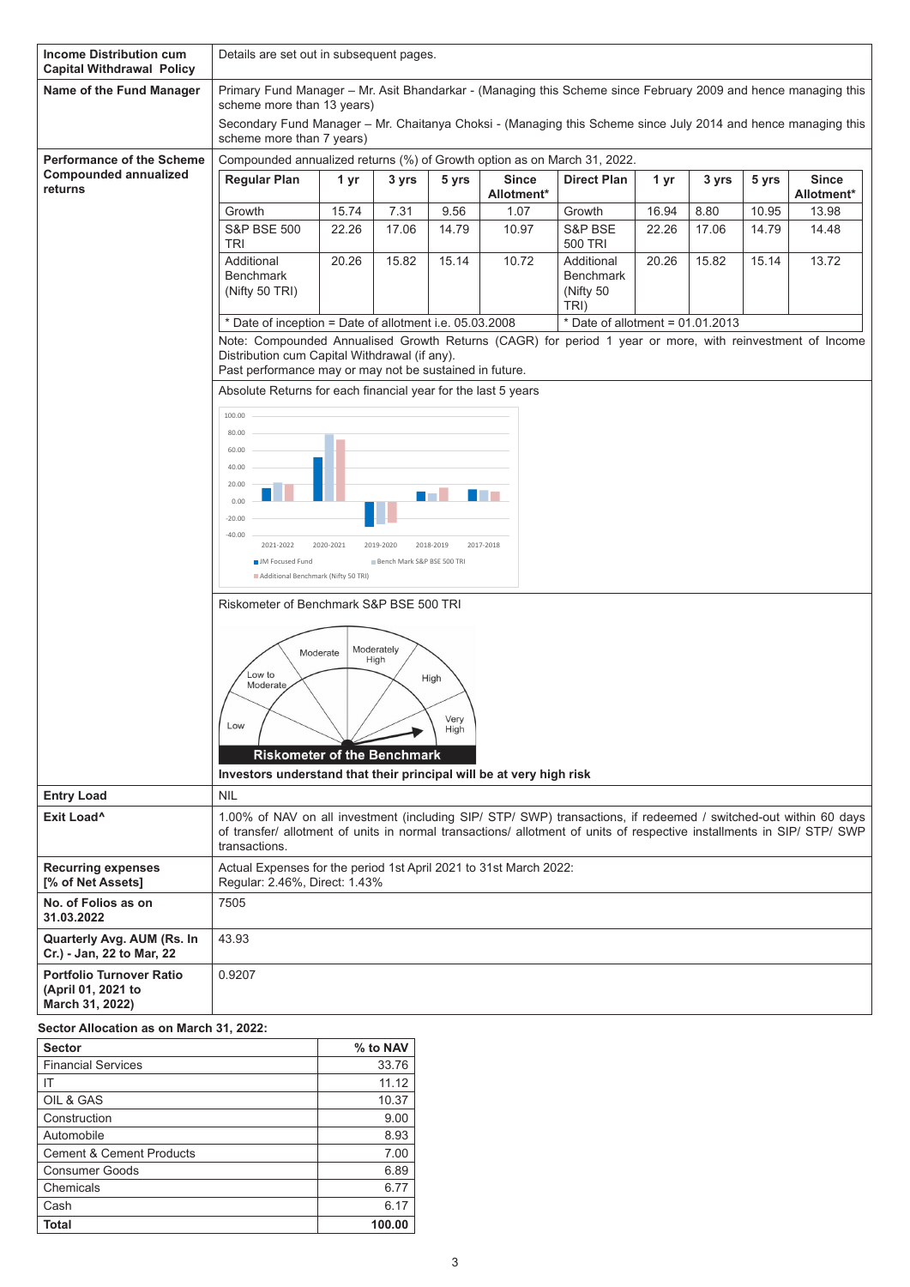| <b>Income Distribution cum</b><br><b>Capital Withdrawal Policy</b>       |                                                                                                                                                                                                                                                             | Details are set out in subsequent pages.                                                                                                     |                            |           |                            |                                                     |       |       |       |                            |
|--------------------------------------------------------------------------|-------------------------------------------------------------------------------------------------------------------------------------------------------------------------------------------------------------------------------------------------------------|----------------------------------------------------------------------------------------------------------------------------------------------|----------------------------|-----------|----------------------------|-----------------------------------------------------|-------|-------|-------|----------------------------|
| Name of the Fund Manager                                                 |                                                                                                                                                                                                                                                             | Primary Fund Manager - Mr. Asit Bhandarkar - (Managing this Scheme since February 2009 and hence managing this<br>scheme more than 13 years) |                            |           |                            |                                                     |       |       |       |                            |
|                                                                          |                                                                                                                                                                                                                                                             | Secondary Fund Manager – Mr. Chaitanya Choksi - (Managing this Scheme since July 2014 and hence managing this<br>scheme more than 7 years)   |                            |           |                            |                                                     |       |       |       |                            |
| <b>Performance of the Scheme</b>                                         | Compounded annualized returns (%) of Growth option as on March 31, 2022.                                                                                                                                                                                    |                                                                                                                                              |                            |           |                            |                                                     |       |       |       |                            |
| <b>Compounded annualized</b><br>returns                                  | <b>Regular Plan</b>                                                                                                                                                                                                                                         | 1 yr                                                                                                                                         | 3 yrs                      | 5 yrs     | <b>Since</b><br>Allotment* | <b>Direct Plan</b>                                  | 1 yr  | 3 yrs | 5 yrs | <b>Since</b><br>Allotment* |
|                                                                          | Growth                                                                                                                                                                                                                                                      | 15.74                                                                                                                                        | 7.31                       | 9.56      | 1.07                       | Growth                                              | 16.94 | 8.80  | 10.95 | 13.98                      |
|                                                                          | <b>S&amp;P BSE 500</b><br><b>TRI</b>                                                                                                                                                                                                                        | 22.26                                                                                                                                        | 17.06                      | 14.79     | 10.97                      | S&P BSE<br>500 TRI                                  | 22.26 | 17.06 | 14.79 | 14.48                      |
|                                                                          | Additional<br><b>Benchmark</b><br>(Nifty 50 TRI)                                                                                                                                                                                                            | 20.26                                                                                                                                        | 15.82                      | 15.14     | 10.72                      | Additional<br><b>Benchmark</b><br>(Nifty 50<br>TRI) | 20.26 | 15.82 | 15.14 | 13.72                      |
|                                                                          | Date of inception = Date of allotment i.e. 05.03.2008                                                                                                                                                                                                       |                                                                                                                                              |                            |           |                            | * Date of allotment = $01.01.2013$                  |       |       |       |                            |
|                                                                          | Note: Compounded Annualised Growth Returns (CAGR) for period 1 year or more, with reinvestment of Income<br>Distribution cum Capital Withdrawal (if any).<br>Past performance may or may not be sustained in future.                                        |                                                                                                                                              |                            |           |                            |                                                     |       |       |       |                            |
|                                                                          | Absolute Returns for each financial year for the last 5 years                                                                                                                                                                                               |                                                                                                                                              |                            |           |                            |                                                     |       |       |       |                            |
|                                                                          | 100.00<br>80.00                                                                                                                                                                                                                                             |                                                                                                                                              |                            |           |                            |                                                     |       |       |       |                            |
|                                                                          | 60.00                                                                                                                                                                                                                                                       |                                                                                                                                              |                            |           |                            |                                                     |       |       |       |                            |
|                                                                          | 40.00<br>20.00                                                                                                                                                                                                                                              |                                                                                                                                              |                            |           |                            |                                                     |       |       |       |                            |
|                                                                          | 0.00<br>$-20.00$                                                                                                                                                                                                                                            |                                                                                                                                              |                            |           |                            |                                                     |       |       |       |                            |
|                                                                          | $-40.00$<br>2021-2022                                                                                                                                                                                                                                       | 2020-2021                                                                                                                                    | 2019-2020                  | 2018-2019 | 2017-2018                  |                                                     |       |       |       |                            |
|                                                                          | <b>JM</b> Focused Fund<br>Additional Benchmark (Nifty 50 TRI)                                                                                                                                                                                               |                                                                                                                                              | Bench Mark S&P BSE 500 TRI |           |                            |                                                     |       |       |       |                            |
|                                                                          | Riskometer of Benchmark S&P BSE 500 TRI                                                                                                                                                                                                                     |                                                                                                                                              |                            |           |                            |                                                     |       |       |       |                            |
|                                                                          | Moderately<br>Moderate<br>High<br>Low to<br>High<br>Moderate<br>Very<br>.ow<br>High<br><b>Riskometer of the Benchmark</b>                                                                                                                                   |                                                                                                                                              |                            |           |                            |                                                     |       |       |       |                            |
| <b>Entry Load</b>                                                        | Investors understand that their principal will be at very high risk<br><b>NIL</b>                                                                                                                                                                           |                                                                                                                                              |                            |           |                            |                                                     |       |       |       |                            |
| Exit Load <sup>^</sup>                                                   | 1.00% of NAV on all investment (including SIP/ STP/ SWP) transactions, if redeemed / switched-out within 60 days<br>of transfer/ allotment of units in normal transactions/ allotment of units of respective installments in SIP/ STP/ SWP<br>transactions. |                                                                                                                                              |                            |           |                            |                                                     |       |       |       |                            |
| <b>Recurring expenses</b><br>[% of Net Assets]                           | Actual Expenses for the period 1st April 2021 to 31st March 2022:<br>Regular: 2.46%, Direct: 1.43%                                                                                                                                                          |                                                                                                                                              |                            |           |                            |                                                     |       |       |       |                            |
| No. of Folios as on<br>31.03.2022                                        | 7505                                                                                                                                                                                                                                                        |                                                                                                                                              |                            |           |                            |                                                     |       |       |       |                            |
| Quarterly Avg. AUM (Rs. In<br>Cr.) - Jan, 22 to Mar, 22                  | 43.93                                                                                                                                                                                                                                                       |                                                                                                                                              |                            |           |                            |                                                     |       |       |       |                            |
| <b>Portfolio Turnover Ratio</b><br>(April 01, 2021 to<br>March 31, 2022) | 0.9207                                                                                                                                                                                                                                                      |                                                                                                                                              |                            |           |                            |                                                     |       |       |       |                            |
| Sector Allocation as on March 31, 2022:                                  |                                                                                                                                                                                                                                                             |                                                                                                                                              |                            |           |                            |                                                     |       |       |       |                            |

| <b>Sector</b>                       | % to NAV |
|-------------------------------------|----------|
| <b>Financial Services</b>           | 33.76    |
| ΙT                                  | 11.12    |
| OIL & GAS                           | 10.37    |
| Construction                        | 9.00     |
| Automobile                          | 8.93     |
| <b>Cement &amp; Cement Products</b> | 7.00     |
| <b>Consumer Goods</b>               | 6.89     |
| Chemicals                           | 6.77     |
| Cash                                | 6.17     |
| Total                               | 100.00   |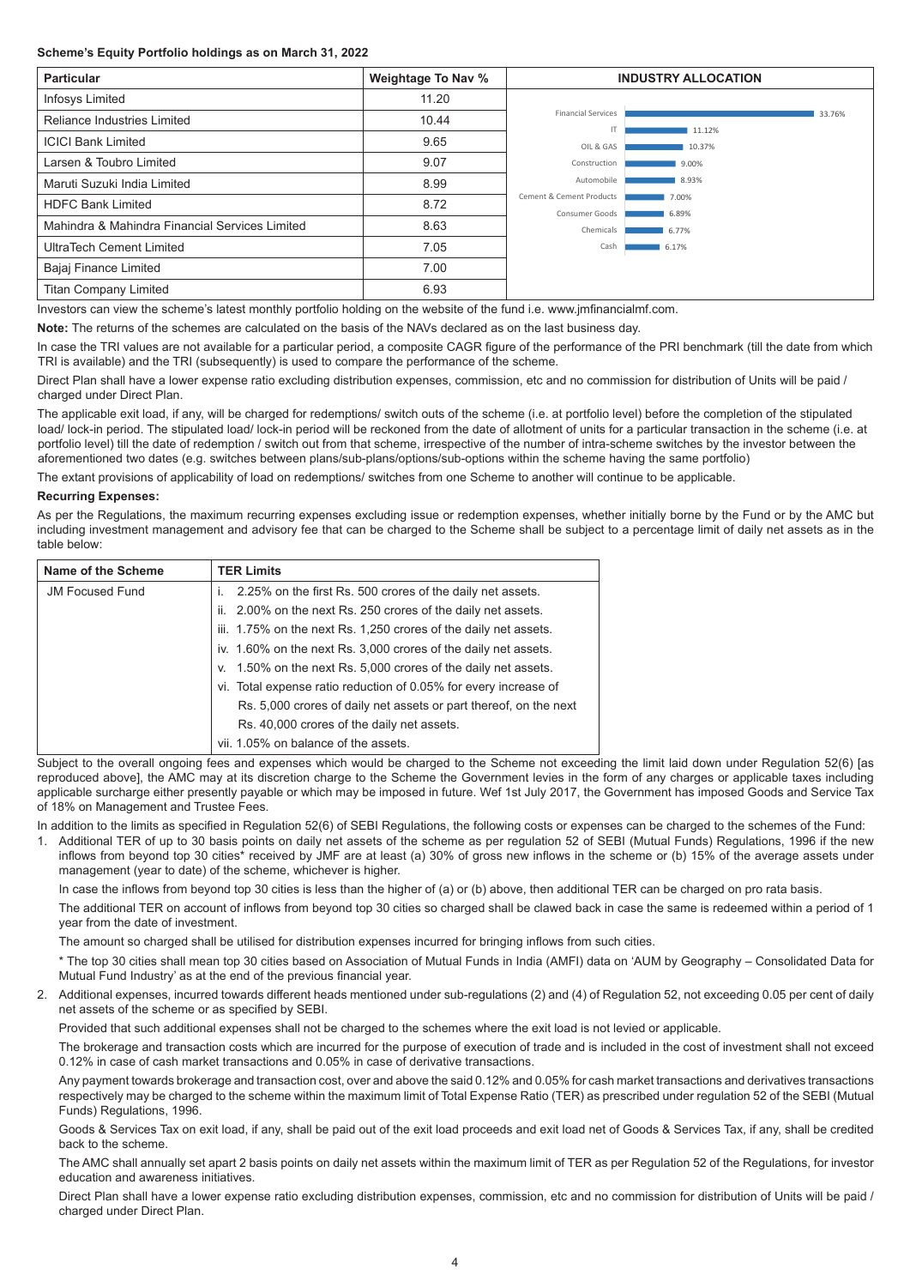## **Scheme's Equity Portfolio holdings as on March 31, 2022**

| <b>Particular</b>                              | Weightage To Nav % | <b>INDUSTRY ALLOCATION</b>                 |                |        |
|------------------------------------------------|--------------------|--------------------------------------------|----------------|--------|
| Infosys Limited                                | 11.20              |                                            |                |        |
| <b>Reliance Industries Limited</b>             | 10.44              | <b>Financial Services</b><br>IT            | 11.12%         | 33.76% |
| <b>ICICI Bank Limited</b>                      | 9.65               | OIL & GAS                                  | 10.37%         |        |
| Larsen & Toubro Limited                        | 9.07               | Construction                               | 9.00%          |        |
| Maruti Suzuki India Limited                    | 8.99               | Automobile                                 | 8.93%          |        |
| <b>HDFC Bank Limited</b>                       | 8.72               | Cement & Cement Products<br>Consumer Goods | 7.00%<br>6.89% |        |
| Mahindra & Mahindra Financial Services Limited | 8.63               | Chemicals                                  | 6.77%          |        |
| UltraTech Cement Limited                       | 7.05               | Cash                                       | 6.17%          |        |
| Bajaj Finance Limited                          | 7.00               |                                            |                |        |
| <b>Titan Company Limited</b>                   | 6.93               |                                            |                |        |

Investors can view the scheme's latest monthly portfolio holding on the website of the fund i.e. www.jmfinancialmf.com.

**Note:** The returns of the schemes are calculated on the basis of the NAVs declared as on the last business day.

In case the TRI values are not available for a particular period, a composite CAGR figure of the performance of the PRI benchmark (till the date from which TRI is available) and the TRI (subsequently) is used to compare the performance of the scheme.

Direct Plan shall have a lower expense ratio excluding distribution expenses, commission, etc and no commission for distribution of Units will be paid / charged under Direct Plan.

The applicable exit load, if any, will be charged for redemptions/ switch outs of the scheme (i.e. at portfolio level) before the completion of the stipulated load/ lock-in period. The stipulated load/ lock-in period will be reckoned from the date of allotment of units for a particular transaction in the scheme (i.e. at portfolio level) till the date of redemption / switch out from that scheme, irrespective of the number of intra-scheme switches by the investor between the aforementioned two dates (e.g. switches between plans/sub-plans/options/sub-options within the scheme having the same portfolio)

The extant provisions of applicability of load on redemptions/ switches from one Scheme to another will continue to be applicable.

#### **Recurring Expenses:**

As per the Regulations, the maximum recurring expenses excluding issue or redemption expenses, whether initially borne by the Fund or by the AMC but including investment management and advisory fee that can be charged to the Scheme shall be subject to a percentage limit of daily net assets as in the table below:

| Name of the Scheme     | <b>TER Limits</b>                                                 |
|------------------------|-------------------------------------------------------------------|
| <b>JM Focused Fund</b> | 2.25% on the first Rs. 500 crores of the daily net assets.        |
|                        | ii. 2.00% on the next Rs. 250 crores of the daily net assets.     |
|                        | iii. 1.75% on the next Rs. 1,250 crores of the daily net assets.  |
|                        | iv. 1.60% on the next Rs. 3,000 crores of the daily net assets.   |
|                        | v. 1.50% on the next Rs. 5,000 crores of the daily net assets.    |
|                        | vi. Total expense ratio reduction of 0.05% for every increase of  |
|                        | Rs. 5,000 crores of daily net assets or part thereof, on the next |
|                        | Rs. 40,000 crores of the daily net assets.                        |
|                        | vii. 1.05% on balance of the assets.                              |

Subject to the overall ongoing fees and expenses which would be charged to the Scheme not exceeding the limit laid down under Regulation 52(6) [as reproduced above], the AMC may at its discretion charge to the Scheme the Government levies in the form of any charges or applicable taxes including applicable surcharge either presently payable or which may be imposed in future. Wef 1st July 2017, the Government has imposed Goods and Service Tax of 18% on Management and Trustee Fees.

In addition to the limits as specified in Regulation 52(6) of SEBI Regulations, the following costs or expenses can be charged to the schemes of the Fund:

1. Additional TER of up to 30 basis points on daily net assets of the scheme as per regulation 52 of SEBI (Mutual Funds) Regulations, 1996 if the new inflows from beyond top 30 cities\* received by JMF are at least (a) 30% of gross new inflows in the scheme or (b) 15% of the average assets under management (year to date) of the scheme, whichever is higher.

In case the inflows from beyond top 30 cities is less than the higher of (a) or (b) above, then additional TER can be charged on pro rata basis.

The additional TER on account of inflows from beyond top 30 cities so charged shall be clawed back in case the same is redeemed within a period of 1 year from the date of investment.

The amount so charged shall be utilised for distribution expenses incurred for bringing inflows from such cities.

\* The top 30 cities shall mean top 30 cities based on Association of Mutual Funds in India (AMFI) data on 'AUM by Geography – Consolidated Data for Mutual Fund Industry' as at the end of the previous financial year.

2. Additional expenses, incurred towards different heads mentioned under sub-regulations (2) and (4) of Regulation 52, not exceeding 0.05 per cent of daily net assets of the scheme or as specified by SEBI.

Provided that such additional expenses shall not be charged to the schemes where the exit load is not levied or applicable.

The brokerage and transaction costs which are incurred for the purpose of execution of trade and is included in the cost of investment shall not exceed 0.12% in case of cash market transactions and 0.05% in case of derivative transactions.

Any payment towards brokerage and transaction cost, over and above the said 0.12% and 0.05% for cash market transactions and derivatives transactions respectively may be charged to the scheme within the maximum limit of Total Expense Ratio (TER) as prescribed under regulation 52 of the SEBI (Mutual Funds) Regulations, 1996.

Goods & Services Tax on exit load, if any, shall be paid out of the exit load proceeds and exit load net of Goods & Services Tax, if any, shall be credited back to the scheme.

The AMC shall annually set apart 2 basis points on daily net assets within the maximum limit of TER as per Regulation 52 of the Regulations, for investor education and awareness initiatives.

Direct Plan shall have a lower expense ratio excluding distribution expenses, commission, etc and no commission for distribution of Units will be paid / charged under Direct Plan.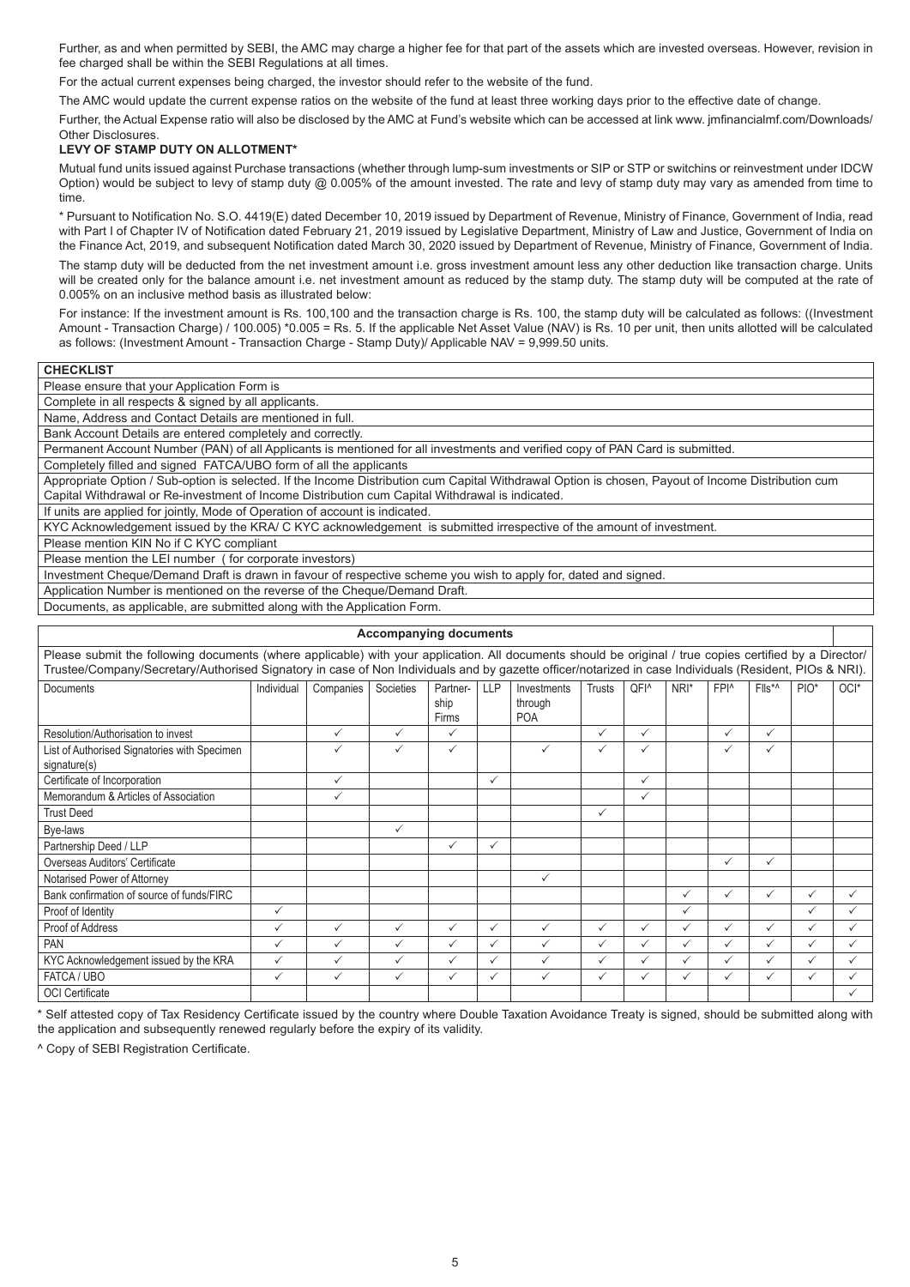Further, as and when permitted by SEBI, the AMC may charge a higher fee for that part of the assets which are invested overseas. However, revision in fee charged shall be within the SEBI Regulations at all times.

For the actual current expenses being charged, the investor should refer to the website of the fund.

The AMC would update the current expense ratios on the website of the fund at least three working days prior to the effective date of change.

Further, the Actual Expense ratio will also be disclosed by the AMC at Fund's website which can be accessed at link www. jmfinancialmf.com/Downloads/ Other Disclosures.

# **LEVY OF STAMP DUTY ON ALLOTMENT\***

Mutual fund units issued against Purchase transactions (whether through lump-sum investments or SIP or STP or switchins or reinvestment under IDCW Option) would be subject to levy of stamp duty @ 0.005% of the amount invested. The rate and levy of stamp duty may vary as amended from time to time.

\* Pursuant to Notification No. S.O. 4419(E) dated December 10, 2019 issued by Department of Revenue, Ministry of Finance, Government of India, read with Part I of Chapter IV of Notification dated February 21, 2019 issued by Legislative Department, Ministry of Law and Justice, Government of India on the Finance Act, 2019, and subsequent Notification dated March 30, 2020 issued by Department of Revenue, Ministry of Finance, Government of India. The stamp duty will be deducted from the net investment amount i.e. gross investment amount less any other deduction like transaction charge. Units will be created only for the balance amount i.e. net investment amount as reduced by the stamp duty. The stamp duty will be computed at the rate of 0.005% on an inclusive method basis as illustrated below:

For instance: If the investment amount is Rs. 100,100 and the transaction charge is Rs. 100, the stamp duty will be calculated as follows: ((Investment Amount - Transaction Charge) / 100.005) \*0.005 = Rs. 5. If the applicable Net Asset Value (NAV) is Rs. 10 per unit, then units allotted will be calculated as follows: (Investment Amount - Transaction Charge - Stamp Duty)/ Applicable NAV = 9,999.50 units.

| <b>UNEUNLIOI</b>                                         |
|----------------------------------------------------------|
| Please ensure that your Application Form is              |
| Complete in all respects & signed by all applicants.     |
| Name, Address and Contact Details are mentioned in full. |

Bank Account Details are entered completely and correctly.

Permanent Account Number (PAN) of all Applicants is mentioned for all investments and verified copy of PAN Card is submitted.

Completely filled and signed FATCA/UBO form of all the applicants

Appropriate Option / Sub-option is selected. If the Income Distribution cum Capital Withdrawal Option is chosen, Payout of Income Distribution cum Capital Withdrawal or Re-investment of Income Distribution cum Capital Withdrawal is indicated.

If units are applied for jointly, Mode of Operation of account is indicated.

KYC Acknowledgement issued by the KRA/ C KYC acknowledgement is submitted irrespective of the amount of investment.

Please mention KIN No if C KYC compliant

**CHECKLIST**

Please mention the LEI number ( for corporate investors)

Investment Cheque/Demand Draft is drawn in favour of respective scheme you wish to apply for, dated and signed.

Application Number is mentioned on the reverse of the Cheque/Demand Draft.

Documents, as applicable, are submitted along with the Application Form.

|                                                                                                                                                         |              |              | <b>Accompanying documents</b> |               |            |                       |               |                  |              |                  |                |                  |      |
|---------------------------------------------------------------------------------------------------------------------------------------------------------|--------------|--------------|-------------------------------|---------------|------------|-----------------------|---------------|------------------|--------------|------------------|----------------|------------------|------|
| Please submit the following documents (where applicable) with your application. All documents should be original / true copies certified by a Director/ |              |              |                               |               |            |                       |               |                  |              |                  |                |                  |      |
| Trustee/Company/Secretary/Authorised Signatory in case of Non Individuals and by gazette officer/notarized in case Individuals (Resident, PIOs & NRI).  |              |              |                               |               |            |                       |               |                  |              |                  |                |                  |      |
| <b>Documents</b>                                                                                                                                        | Individual   | Companies    | Societies                     | Partner-      | <b>LLP</b> | Investments           | <b>Trusts</b> | QFI <sup>^</sup> | NRI*         | FPI <sup>^</sup> | $Flls^{\star}$ | PIO <sup>*</sup> | OCI* |
|                                                                                                                                                         |              |              |                               | ship<br>Firms |            | through<br><b>POA</b> |               |                  |              |                  |                |                  |      |
| Resolution/Authorisation to invest                                                                                                                      |              | ✓            | ✓                             | ✓             |            |                       | $\checkmark$  | $\checkmark$     |              | $\checkmark$     | $\checkmark$   |                  |      |
| List of Authorised Signatories with Specimen<br>signature(s)                                                                                            |              | ✓            | ✓                             | ✓             |            | ✓                     | $\checkmark$  | ✓                |              | $\checkmark$     | $\checkmark$   |                  |      |
| Certificate of Incorporation                                                                                                                            |              | ✓            |                               |               | ✓          |                       |               | ✓                |              |                  |                |                  |      |
| Memorandum & Articles of Association                                                                                                                    |              | ✓            |                               |               |            |                       |               | $\checkmark$     |              |                  |                |                  |      |
| <b>Trust Deed</b>                                                                                                                                       |              |              |                               |               |            |                       | $\checkmark$  |                  |              |                  |                |                  |      |
| Bye-laws                                                                                                                                                |              |              | $\checkmark$                  |               |            |                       |               |                  |              |                  |                |                  |      |
| Partnership Deed / LLP                                                                                                                                  |              |              |                               | $\checkmark$  | ✓          |                       |               |                  |              |                  |                |                  |      |
| Overseas Auditors' Certificate                                                                                                                          |              |              |                               |               |            |                       |               |                  |              | $\checkmark$     | $\checkmark$   |                  |      |
| Notarised Power of Attorney                                                                                                                             |              |              |                               |               |            | ✓                     |               |                  |              |                  |                |                  |      |
| Bank confirmation of source of funds/FIRC                                                                                                               |              |              |                               |               |            |                       |               |                  | ✓            | $\checkmark$     | ✓              | $\checkmark$     | ✓    |
| Proof of Identity                                                                                                                                       | ✓            |              |                               |               |            |                       |               |                  | ✓            |                  |                | $\checkmark$     |      |
| Proof of Address                                                                                                                                        | ✓            | ✓            | ✓                             | $\checkmark$  | ✓          | $\checkmark$          | $\checkmark$  | $\checkmark$     | ✓            | $\checkmark$     | $\checkmark$   | $\checkmark$     |      |
| PAN                                                                                                                                                     | ✓            | $\checkmark$ | ✓                             | $\checkmark$  | ✓          | $\checkmark$          | $\checkmark$  | $\checkmark$     | $\checkmark$ | $\checkmark$     | $\checkmark$   | $\checkmark$     | ✓    |
| KYC Acknowledgement issued by the KRA                                                                                                                   | $\checkmark$ | ✓            | ✓                             | $\checkmark$  | ✓          | $\checkmark$          | $\checkmark$  | $\checkmark$     | ✓            | ✓                | $\checkmark$   | $\checkmark$     |      |
| FATCA / UBO                                                                                                                                             | $\checkmark$ | $\checkmark$ | ✓                             | ✓             | ✓          | $\checkmark$          | $\checkmark$  | $\checkmark$     | $\checkmark$ | ✓                | ✓              | $\checkmark$     |      |
| <b>OCI</b> Certificate                                                                                                                                  |              |              |                               |               |            |                       |               |                  |              |                  |                |                  |      |

\* Self attested copy of Tax Residency Certificate issued by the country where Double Taxation Avoidance Treaty is signed, should be submitted along with the application and subsequently renewed regularly before the expiry of its validity.

^ Copy of SEBI Registration Certificate.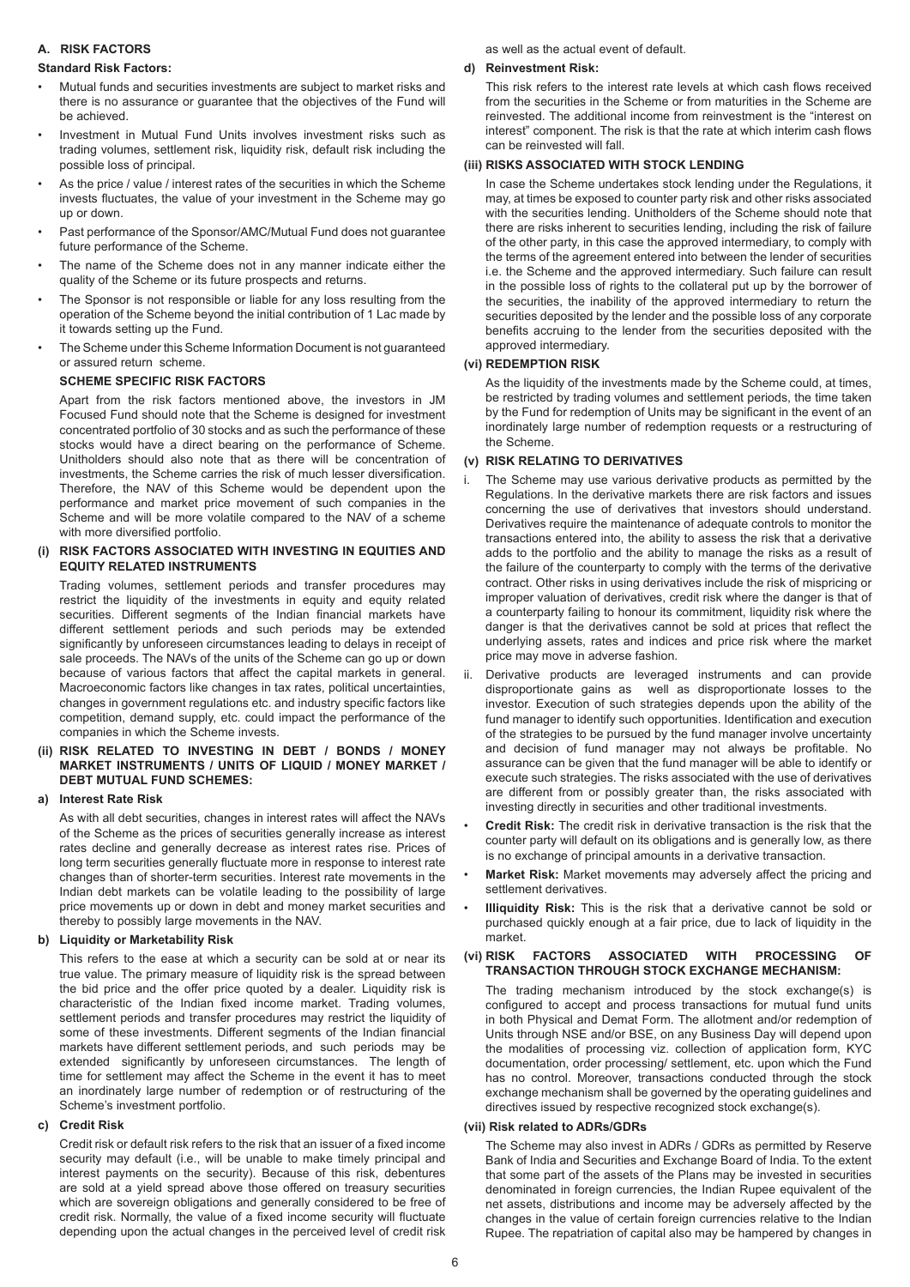# **A. RISK FACTORS**

#### **Standard Risk Factors:**

- Mutual funds and securities investments are subject to market risks and there is no assurance or guarantee that the objectives of the Fund will be achieved.
- Investment in Mutual Fund Units involves investment risks such as trading volumes, settlement risk, liquidity risk, default risk including the possible loss of principal.
- As the price / value / interest rates of the securities in which the Scheme invests fluctuates, the value of your investment in the Scheme may go up or down.
- Past performance of the Sponsor/AMC/Mutual Fund does not guarantee future performance of the Scheme.
- The name of the Scheme does not in any manner indicate either the quality of the Scheme or its future prospects and returns.
- The Sponsor is not responsible or liable for any loss resulting from the operation of the Scheme beyond the initial contribution of 1 Lac made by it towards setting up the Fund.
- The Scheme under this Scheme Information Document is not guaranteed or assured return scheme.

# **SCHEME SPECIFIC RISK FACTORS**

Apart from the risk factors mentioned above, the investors in JM Focused Fund should note that the Scheme is designed for investment concentrated portfolio of 30 stocks and as such the performance of these stocks would have a direct bearing on the performance of Scheme. Unitholders should also note that as there will be concentration of investments, the Scheme carries the risk of much lesser diversification. Therefore, the NAV of this Scheme would be dependent upon the performance and market price movement of such companies in the Scheme and will be more volatile compared to the NAV of a scheme with more diversified portfolio.

# **(i) RISK FACTORS ASSOCIATED WITH INVESTING IN EQUITIES AND EQUITY RELATED INSTRUMENTS**

Trading volumes, settlement periods and transfer procedures may restrict the liquidity of the investments in equity and equity related securities. Different segments of the Indian financial markets have different settlement periods and such periods may be extended significantly by unforeseen circumstances leading to delays in receipt of sale proceeds. The NAVs of the units of the Scheme can go up or down because of various factors that affect the capital markets in general. Macroeconomic factors like changes in tax rates, political uncertainties, changes in government regulations etc. and industry specific factors like competition, demand supply, etc. could impact the performance of the companies in which the Scheme invests.

**(ii) RISK RELATED TO INVESTING IN DEBT / BONDS / MONEY MARKET INSTRUMENTS / UNITS OF LIQUID / MONEY MARKET / DEBT MUTUAL FUND SCHEMES:**

# **a) Interest Rate Risk**

As with all debt securities, changes in interest rates will affect the NAVs of the Scheme as the prices of securities generally increase as interest rates decline and generally decrease as interest rates rise. Prices of long term securities generally fluctuate more in response to interest rate changes than of shorter-term securities. Interest rate movements in the Indian debt markets can be volatile leading to the possibility of large price movements up or down in debt and money market securities and thereby to possibly large movements in the NAV.

# **b) Liquidity or Marketability Risk**

This refers to the ease at which a security can be sold at or near its true value. The primary measure of liquidity risk is the spread between the bid price and the offer price quoted by a dealer. Liquidity risk is characteristic of the Indian fixed income market. Trading volumes, settlement periods and transfer procedures may restrict the liquidity of some of these investments. Different segments of the Indian financial markets have different settlement periods, and such periods may be extended significantly by unforeseen circumstances. The length of time for settlement may affect the Scheme in the event it has to meet an inordinately large number of redemption or of restructuring of the Scheme's investment portfolio.

# **c) Credit Risk**

Credit risk or default risk refers to the risk that an issuer of a fixed income security may default (i.e., will be unable to make timely principal and interest payments on the security). Because of this risk, debentures are sold at a yield spread above those offered on treasury securities which are sovereign obligations and generally considered to be free of credit risk. Normally, the value of a fixed income security will fluctuate depending upon the actual changes in the perceived level of credit risk

as well as the actual event of default.

# **d) Reinvestment Risk:**

This risk refers to the interest rate levels at which cash flows received from the securities in the Scheme or from maturities in the Scheme are reinvested. The additional income from reinvestment is the "interest on interest" component. The risk is that the rate at which interim cash flows can be reinvested will fall.

# **(iii) RISKS ASSOCIATED WITH STOCK LENDING**

In case the Scheme undertakes stock lending under the Regulations, it may, at times be exposed to counter party risk and other risks associated with the securities lending. Unitholders of the Scheme should note that there are risks inherent to securities lending, including the risk of failure of the other party, in this case the approved intermediary, to comply with the terms of the agreement entered into between the lender of securities i.e. the Scheme and the approved intermediary. Such failure can result in the possible loss of rights to the collateral put up by the borrower of the securities, the inability of the approved intermediary to return the securities deposited by the lender and the possible loss of any corporate benefits accruing to the lender from the securities deposited with the approved intermediary.

# **(vi) REDEMPTION RISK**

As the liquidity of the investments made by the Scheme could, at times, be restricted by trading volumes and settlement periods, the time taken by the Fund for redemption of Units may be significant in the event of an inordinately large number of redemption requests or a restructuring of the Scheme.

# **(v) RISK RELATING TO DERIVATIVES**

- i. The Scheme may use various derivative products as permitted by the Regulations. In the derivative markets there are risk factors and issues concerning the use of derivatives that investors should understand. Derivatives require the maintenance of adequate controls to monitor the transactions entered into, the ability to assess the risk that a derivative adds to the portfolio and the ability to manage the risks as a result of the failure of the counterparty to comply with the terms of the derivative contract. Other risks in using derivatives include the risk of mispricing or improper valuation of derivatives, credit risk where the danger is that of a counterparty failing to honour its commitment, liquidity risk where the danger is that the derivatives cannot be sold at prices that reflect the underlying assets, rates and indices and price risk where the market price may move in adverse fashion.
- Derivative products are leveraged instruments and can provide disproportionate gains as well as disproportionate losses to the investor. Execution of such strategies depends upon the ability of the fund manager to identify such opportunities. Identification and execution of the strategies to be pursued by the fund manager involve uncertainty and decision of fund manager may not always be profitable. No assurance can be given that the fund manager will be able to identify or execute such strategies. The risks associated with the use of derivatives are different from or possibly greater than, the risks associated with investing directly in securities and other traditional investments.
- **Credit Risk:** The credit risk in derivative transaction is the risk that the counter party will default on its obligations and is generally low, as there is no exchange of principal amounts in a derivative transaction.
- **Market Risk:** Market movements may adversely affect the pricing and settlement derivatives.
- **Illiquidity Risk:** This is the risk that a derivative cannot be sold or purchased quickly enough at a fair price, due to lack of liquidity in the market.

# **(vi) RISK FACTORS ASSOCIATED WITH PROCESSING OF TRANSACTION THROUGH STOCK EXCHANGE MECHANISM:**

The trading mechanism introduced by the stock exchange(s) is configured to accept and process transactions for mutual fund units in both Physical and Demat Form. The allotment and/or redemption of Units through NSE and/or BSE, on any Business Day will depend upon the modalities of processing viz. collection of application form, KYC documentation, order processing/ settlement, etc. upon which the Fund has no control. Moreover, transactions conducted through the stock exchange mechanism shall be governed by the operating guidelines and directives issued by respective recognized stock exchange(s).

# **(vii) Risk related to ADRs/GDRs**

The Scheme may also invest in ADRs / GDRs as permitted by Reserve Bank of India and Securities and Exchange Board of India. To the extent that some part of the assets of the Plans may be invested in securities denominated in foreign currencies, the Indian Rupee equivalent of the net assets, distributions and income may be adversely affected by the changes in the value of certain foreign currencies relative to the Indian Rupee. The repatriation of capital also may be hampered by changes in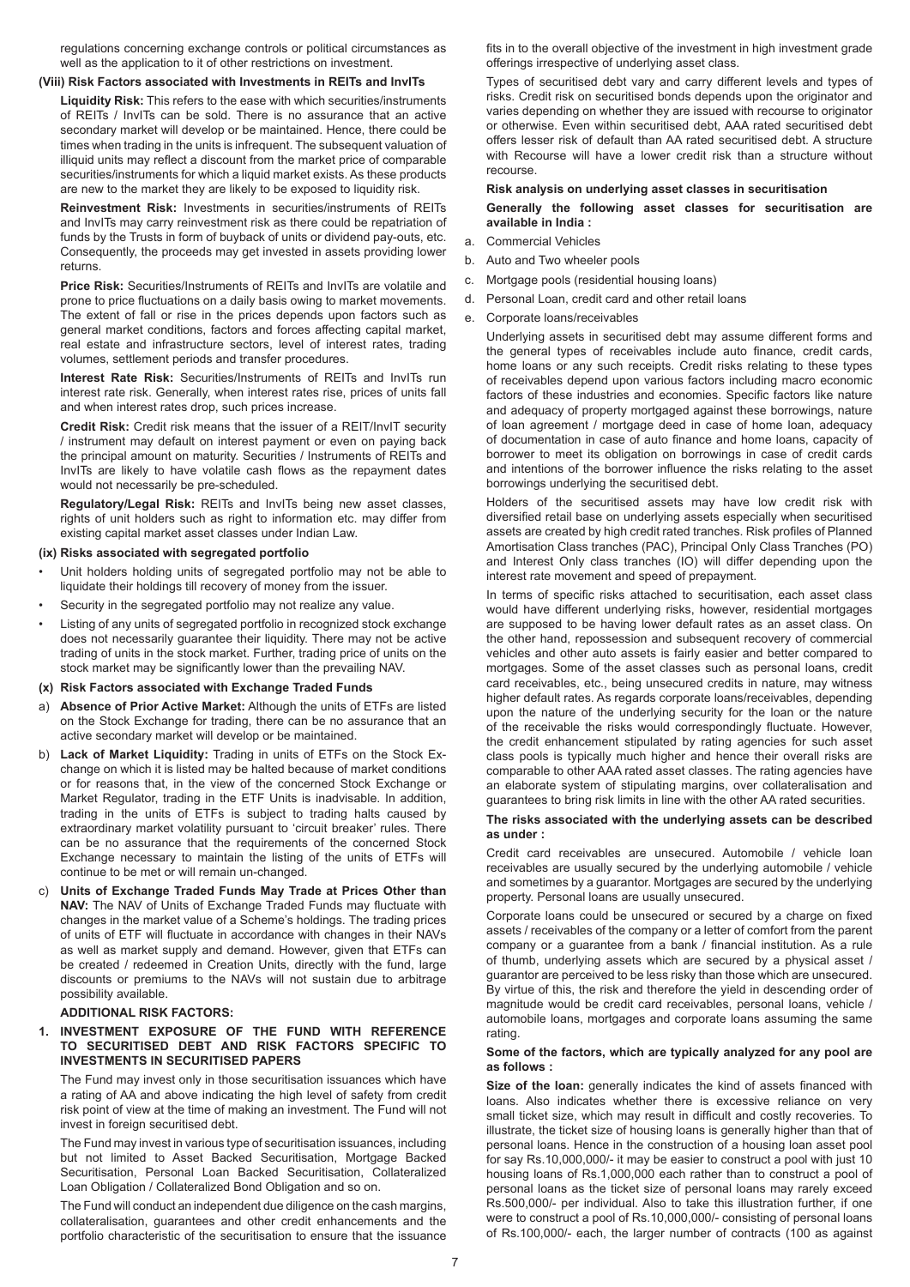regulations concerning exchange controls or political circumstances as well as the application to it of other restrictions on investment.

#### **(Viii) Risk Factors associated with Investments in REITs and InvITs**

**Liquidity Risk:** This refers to the ease with which securities/instruments of REITs / InvITs can be sold. There is no assurance that an active secondary market will develop or be maintained. Hence, there could be times when trading in the units is infrequent. The subsequent valuation of illiquid units may reflect a discount from the market price of comparable securities/instruments for which a liquid market exists. As these products are new to the market they are likely to be exposed to liquidity risk.

**Reinvestment Risk:** Investments in securities/instruments of REITs and InvITs may carry reinvestment risk as there could be repatriation of funds by the Trusts in form of buyback of units or dividend pay-outs, etc. Consequently, the proceeds may get invested in assets providing lower returns.

**Price Risk:** Securities/Instruments of REITs and InvITs are volatile and prone to price fluctuations on a daily basis owing to market movements. The extent of fall or rise in the prices depends upon factors such as general market conditions, factors and forces affecting capital market, real estate and infrastructure sectors, level of interest rates, trading volumes, settlement periods and transfer procedures.

**Interest Rate Risk:** Securities/Instruments of REITs and InvITs run interest rate risk. Generally, when interest rates rise, prices of units fall and when interest rates drop, such prices increase.

**Credit Risk:** Credit risk means that the issuer of a REIT/InvIT security / instrument may default on interest payment or even on paying back the principal amount on maturity. Securities / Instruments of REITs and InvITs are likely to have volatile cash flows as the repayment dates would not necessarily be pre-scheduled.

**Regulatory/Legal Risk:** REITs and InvITs being new asset classes, rights of unit holders such as right to information etc. may differ from existing capital market asset classes under Indian Law.

#### **(ix) Risks associated with segregated portfolio**

- Unit holders holding units of segregated portfolio may not be able to liquidate their holdings till recovery of money from the issuer.
- Security in the segregated portfolio may not realize any value.
- Listing of any units of segregated portfolio in recognized stock exchange does not necessarily guarantee their liquidity. There may not be active trading of units in the stock market. Further, trading price of units on the stock market may be significantly lower than the prevailing NAV.
- **(x) Risk Factors associated with Exchange Traded Funds**
- a) **Absence of Prior Active Market:** Although the units of ETFs are listed on the Stock Exchange for trading, there can be no assurance that an active secondary market will develop or be maintained.
- b) **Lack of Market Liquidity:** Trading in units of ETFs on the Stock Exchange on which it is listed may be halted because of market conditions or for reasons that, in the view of the concerned Stock Exchange or Market Regulator, trading in the ETF Units is inadvisable. In addition, trading in the units of ETFs is subject to trading halts caused by extraordinary market volatility pursuant to 'circuit breaker' rules. There can be no assurance that the requirements of the concerned Stock Exchange necessary to maintain the listing of the units of ETFs will continue to be met or will remain un-changed.
- c) **Units of Exchange Traded Funds May Trade at Prices Other than NAV:** The NAV of Units of Exchange Traded Funds may fluctuate with changes in the market value of a Scheme's holdings. The trading prices of units of ETF will fluctuate in accordance with changes in their NAVs as well as market supply and demand. However, given that ETFs can be created / redeemed in Creation Units, directly with the fund, large discounts or premiums to the NAVs will not sustain due to arbitrage possibility available.

# **ADDITIONAL RISK FACTORS:**

**1. INVESTMENT EXPOSURE OF THE FUND WITH REFERENCE TO SECURITISED DEBT AND RISK FACTORS SPECIFIC TO INVESTMENTS IN SECURITISED PAPERS** 

The Fund may invest only in those securitisation issuances which have a rating of AA and above indicating the high level of safety from credit risk point of view at the time of making an investment. The Fund will not invest in foreign securitised debt.

The Fund may invest in various type of securitisation issuances, including but not limited to Asset Backed Securitisation, Mortgage Backed Securitisation, Personal Loan Backed Securitisation, Collateralized Loan Obligation / Collateralized Bond Obligation and so on.

The Fund will conduct an independent due diligence on the cash margins, collateralisation, guarantees and other credit enhancements and the portfolio characteristic of the securitisation to ensure that the issuance fits in to the overall objective of the investment in high investment grade offerings irrespective of underlying asset class.

Types of securitised debt vary and carry different levels and types of risks. Credit risk on securitised bonds depends upon the originator and varies depending on whether they are issued with recourse to originator or otherwise. Even within securitised debt, AAA rated securitised debt offers lesser risk of default than AA rated securitised debt. A structure with Recourse will have a lower credit risk than a structure without recourse.

# **Risk analysis on underlying asset classes in securitisation**

- **Generally the following asset classes for securitisation are available in India :**
- a. Commercial Vehicles
- b. Auto and Two wheeler pools
- c. Mortgage pools (residential housing loans)
- d. Personal Loan, credit card and other retail loans
- e. Corporate loans/receivables

Underlying assets in securitised debt may assume different forms and the general types of receivables include auto finance, credit cards, home loans or any such receipts. Credit risks relating to these types of receivables depend upon various factors including macro economic factors of these industries and economies. Specific factors like nature and adequacy of property mortgaged against these borrowings, nature of loan agreement / mortgage deed in case of home loan, adequacy of documentation in case of auto finance and home loans, capacity of borrower to meet its obligation on borrowings in case of credit cards and intentions of the borrower influence the risks relating to the asset borrowings underlying the securitised debt.

Holders of the securitised assets may have low credit risk with diversified retail base on underlying assets especially when securitised assets are created by high credit rated tranches. Risk profiles of Planned Amortisation Class tranches (PAC), Principal Only Class Tranches (PO) and Interest Only class tranches (IO) will differ depending upon the interest rate movement and speed of prepayment.

In terms of specific risks attached to securitisation, each asset class would have different underlying risks, however, residential mortgages are supposed to be having lower default rates as an asset class. On the other hand, repossession and subsequent recovery of commercial vehicles and other auto assets is fairly easier and better compared to mortgages. Some of the asset classes such as personal loans, credit card receivables, etc., being unsecured credits in nature, may witness higher default rates. As regards corporate loans/receivables, depending upon the nature of the underlying security for the loan or the nature of the receivable the risks would correspondingly fluctuate. However, the credit enhancement stipulated by rating agencies for such asset class pools is typically much higher and hence their overall risks are comparable to other AAA rated asset classes. The rating agencies have an elaborate system of stipulating margins, over collateralisation and guarantees to bring risk limits in line with the other AA rated securities.

## **The risks associated with the underlying assets can be described as under :**

Credit card receivables are unsecured. Automobile / vehicle loan receivables are usually secured by the underlying automobile / vehicle and sometimes by a guarantor. Mortgages are secured by the underlying property. Personal loans are usually unsecured.

Corporate loans could be unsecured or secured by a charge on fixed assets / receivables of the company or a letter of comfort from the parent company or a guarantee from a bank / financial institution. As a rule of thumb, underlying assets which are secured by a physical asset / guarantor are perceived to be less risky than those which are unsecured. By virtue of this, the risk and therefore the yield in descending order of magnitude would be credit card receivables, personal loans, vehicle / automobile loans, mortgages and corporate loans assuming the same rating.

#### **Some of the factors, which are typically analyzed for any pool are as follows :**

**Size of the loan:** generally indicates the kind of assets financed with loans. Also indicates whether there is excessive reliance on very small ticket size, which may result in difficult and costly recoveries. To illustrate, the ticket size of housing loans is generally higher than that of personal loans. Hence in the construction of a housing loan asset pool for say Rs.10,000,000/- it may be easier to construct a pool with just 10 housing loans of Rs.1,000,000 each rather than to construct a pool of personal loans as the ticket size of personal loans may rarely exceed Rs.500,000/- per individual. Also to take this illustration further, if one were to construct a pool of Rs.10,000,000/- consisting of personal loans of Rs.100,000/- each, the larger number of contracts (100 as against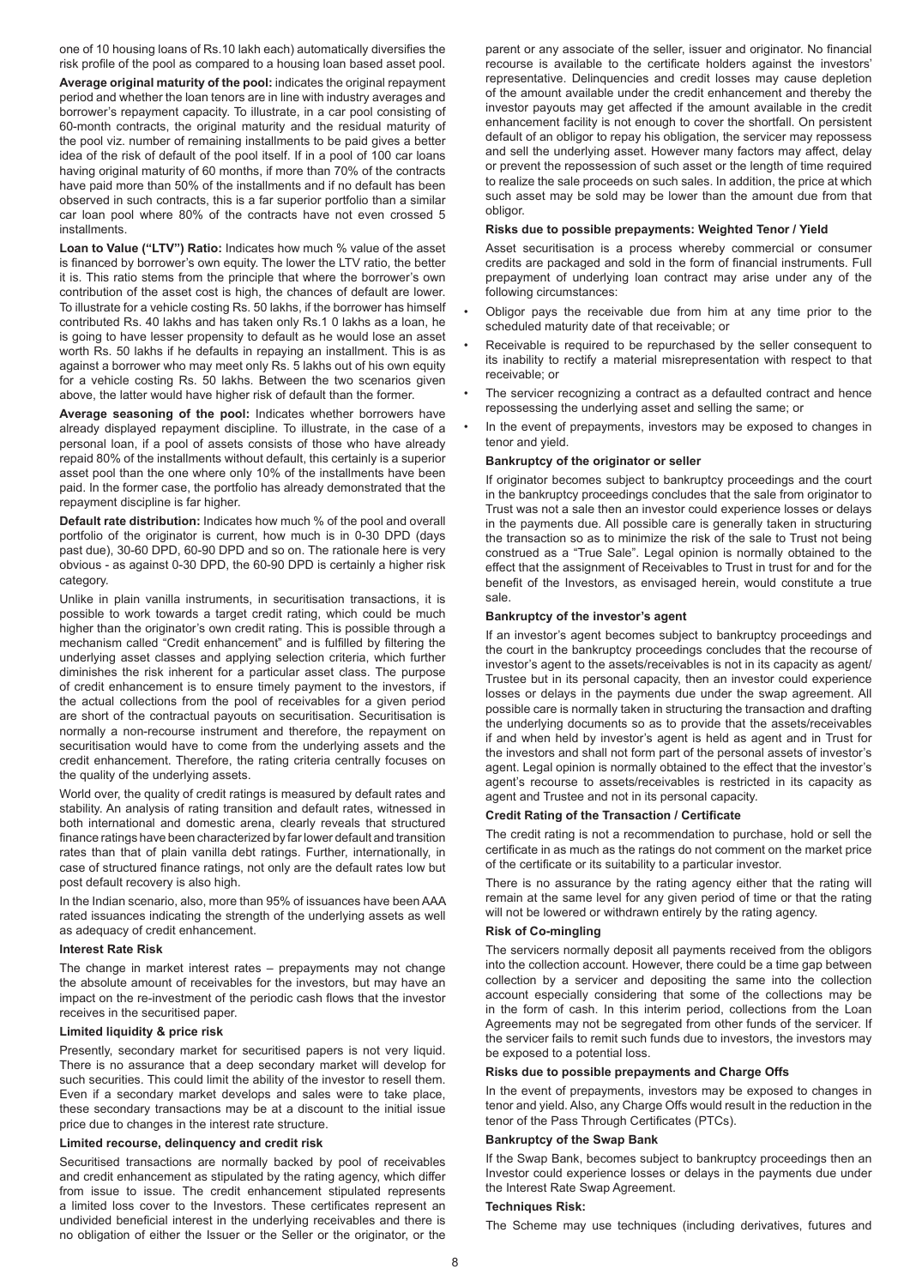one of 10 housing loans of Rs.10 lakh each) automatically diversifies the risk profile of the pool as compared to a housing loan based asset pool.

**Average original maturity of the pool:** indicates the original repayment period and whether the loan tenors are in line with industry averages and borrower's repayment capacity. To illustrate, in a car pool consisting of 60-month contracts, the original maturity and the residual maturity of the pool viz. number of remaining installments to be paid gives a better idea of the risk of default of the pool itself. If in a pool of 100 car loans having original maturity of 60 months, if more than 70% of the contracts have paid more than 50% of the installments and if no default has been observed in such contracts, this is a far superior portfolio than a similar car loan pool where 80% of the contracts have not even crossed 5 installments.

**Loan to Value ("LTV") Ratio:** Indicates how much % value of the asset is financed by borrower's own equity. The lower the LTV ratio, the better it is. This ratio stems from the principle that where the borrower's own contribution of the asset cost is high, the chances of default are lower. To illustrate for a vehicle costing Rs. 50 lakhs, if the borrower has himself contributed Rs. 40 lakhs and has taken only Rs.1 0 lakhs as a loan, he is going to have lesser propensity to default as he would lose an asset worth Rs. 50 lakhs if he defaults in repaying an installment. This is as against a borrower who may meet only Rs. 5 lakhs out of his own equity for a vehicle costing Rs. 50 lakhs. Between the two scenarios given above, the latter would have higher risk of default than the former.

**Average seasoning of the pool:** Indicates whether borrowers have already displayed repayment discipline. To illustrate, in the case of a personal loan, if a pool of assets consists of those who have already repaid 80% of the installments without default, this certainly is a superior asset pool than the one where only 10% of the installments have been paid. In the former case, the portfolio has already demonstrated that the repayment discipline is far higher.

**Default rate distribution:** Indicates how much % of the pool and overall portfolio of the originator is current, how much is in 0-30 DPD (days past due), 30-60 DPD, 60-90 DPD and so on. The rationale here is very obvious - as against 0-30 DPD, the 60-90 DPD is certainly a higher risk category.

Unlike in plain vanilla instruments, in securitisation transactions, it is possible to work towards a target credit rating, which could be much higher than the originator's own credit rating. This is possible through a mechanism called "Credit enhancement" and is fulfilled by filtering the underlying asset classes and applying selection criteria, which further diminishes the risk inherent for a particular asset class. The purpose of credit enhancement is to ensure timely payment to the investors, if the actual collections from the pool of receivables for a given period are short of the contractual payouts on securitisation. Securitisation is normally a non-recourse instrument and therefore, the repayment on securitisation would have to come from the underlying assets and the credit enhancement. Therefore, the rating criteria centrally focuses on the quality of the underlying assets.

World over, the quality of credit ratings is measured by default rates and stability. An analysis of rating transition and default rates, witnessed in both international and domestic arena, clearly reveals that structured finance ratings have been characterized by far lower default and transition rates than that of plain vanilla debt ratings. Further, internationally, in case of structured finance ratings, not only are the default rates low but post default recovery is also high.

In the Indian scenario, also, more than 95% of issuances have been AAA rated issuances indicating the strength of the underlying assets as well as adequacy of credit enhancement.

#### **Interest Rate Risk**

The change in market interest rates – prepayments may not change the absolute amount of receivables for the investors, but may have an impact on the re-investment of the periodic cash flows that the investor receives in the securitised paper.

#### **Limited liquidity & price risk**

Presently, secondary market for securitised papers is not very liquid. There is no assurance that a deep secondary market will develop for such securities. This could limit the ability of the investor to resell them. Even if a secondary market develops and sales were to take place, these secondary transactions may be at a discount to the initial issue price due to changes in the interest rate structure.

## **Limited recourse, delinquency and credit risk**

Securitised transactions are normally backed by pool of receivables and credit enhancement as stipulated by the rating agency, which differ from issue to issue. The credit enhancement stipulated represents a limited loss cover to the Investors. These certificates represent an undivided beneficial interest in the underlying receivables and there is no obligation of either the Issuer or the Seller or the originator, or the

parent or any associate of the seller, issuer and originator. No financial recourse is available to the certificate holders against the investors' representative. Delinquencies and credit losses may cause depletion of the amount available under the credit enhancement and thereby the investor payouts may get affected if the amount available in the credit enhancement facility is not enough to cover the shortfall. On persistent default of an obligor to repay his obligation, the servicer may repossess and sell the underlying asset. However many factors may affect, delay or prevent the repossession of such asset or the length of time required to realize the sale proceeds on such sales. In addition, the price at which such asset may be sold may be lower than the amount due from that obligor.

#### **Risks due to possible prepayments: Weighted Tenor / Yield**

Asset securitisation is a process whereby commercial or consumer credits are packaged and sold in the form of financial instruments. Full prepayment of underlying loan contract may arise under any of the following circumstances:

- Obligor pays the receivable due from him at any time prior to the scheduled maturity date of that receivable; or
- Receivable is required to be repurchased by the seller consequent to its inability to rectify a material misrepresentation with respect to that receivable; or
- The servicer recognizing a contract as a defaulted contract and hence repossessing the underlying asset and selling the same; or
- In the event of prepayments, investors may be exposed to changes in tenor and yield.

#### **Bankruptcy of the originator or seller**

If originator becomes subject to bankruptcy proceedings and the court in the bankruptcy proceedings concludes that the sale from originator to Trust was not a sale then an investor could experience losses or delays in the payments due. All possible care is generally taken in structuring the transaction so as to minimize the risk of the sale to Trust not being construed as a "True Sale". Legal opinion is normally obtained to the effect that the assignment of Receivables to Trust in trust for and for the benefit of the Investors, as envisaged herein, would constitute a true sale.

## **Bankruptcy of the investor's agent**

If an investor's agent becomes subject to bankruptcy proceedings and the court in the bankruptcy proceedings concludes that the recourse of investor's agent to the assets/receivables is not in its capacity as agent/ Trustee but in its personal capacity, then an investor could experience losses or delays in the payments due under the swap agreement. All possible care is normally taken in structuring the transaction and drafting the underlying documents so as to provide that the assets/receivables if and when held by investor's agent is held as agent and in Trust for the investors and shall not form part of the personal assets of investor's agent. Legal opinion is normally obtained to the effect that the investor's agent's recourse to assets/receivables is restricted in its capacity as agent and Trustee and not in its personal capacity.

#### **Credit Rating of the Transaction / Certificate**

The credit rating is not a recommendation to purchase, hold or sell the certificate in as much as the ratings do not comment on the market price of the certificate or its suitability to a particular investor.

There is no assurance by the rating agency either that the rating will remain at the same level for any given period of time or that the rating will not be lowered or withdrawn entirely by the rating agency.

# **Risk of Co-mingling**

The servicers normally deposit all payments received from the obligors into the collection account. However, there could be a time gap between collection by a servicer and depositing the same into the collection account especially considering that some of the collections may be in the form of cash. In this interim period, collections from the Loan Agreements may not be segregated from other funds of the servicer. If the servicer fails to remit such funds due to investors, the investors may be exposed to a potential loss.

#### **Risks due to possible prepayments and Charge Offs**

In the event of prepayments, investors may be exposed to changes in tenor and yield. Also, any Charge Offs would result in the reduction in the tenor of the Pass Through Certificates (PTCs).

#### **Bankruptcy of the Swap Bank**

If the Swap Bank, becomes subject to bankruptcy proceedings then an Investor could experience losses or delays in the payments due under the Interest Rate Swap Agreement.

#### **Techniques Risk:**

The Scheme may use techniques (including derivatives, futures and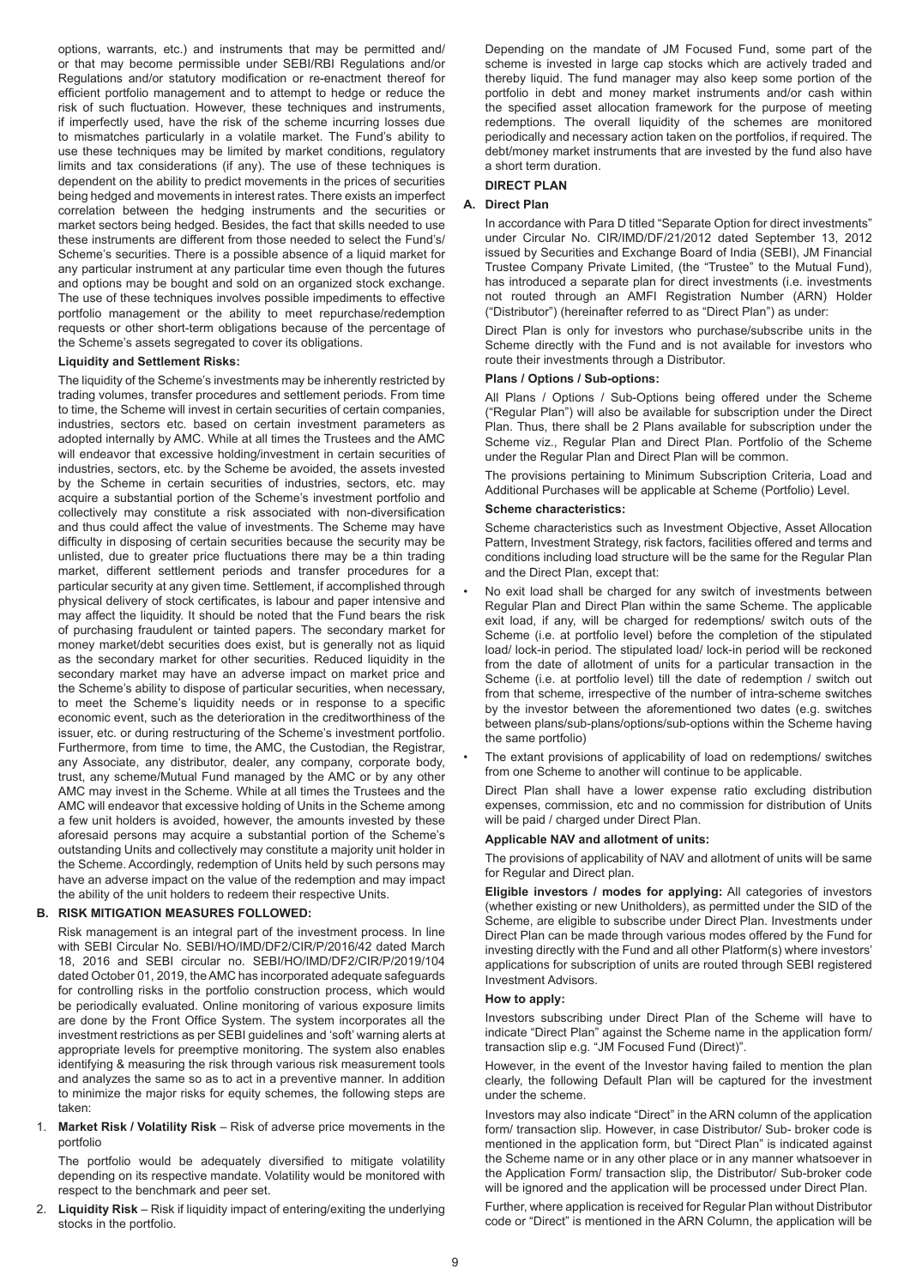options, warrants, etc.) and instruments that may be permitted and/ or that may become permissible under SEBI/RBI Regulations and/or Regulations and/or statutory modification or re-enactment thereof for efficient portfolio management and to attempt to hedge or reduce the risk of such fluctuation. However, these techniques and instruments, if imperfectly used, have the risk of the scheme incurring losses due to mismatches particularly in a volatile market. The Fund's ability to use these techniques may be limited by market conditions, regulatory limits and tax considerations (if any). The use of these techniques is dependent on the ability to predict movements in the prices of securities being hedged and movements in interest rates. There exists an imperfect correlation between the hedging instruments and the securities or market sectors being hedged. Besides, the fact that skills needed to use these instruments are different from those needed to select the Fund's/ Scheme's securities. There is a possible absence of a liquid market for any particular instrument at any particular time even though the futures and options may be bought and sold on an organized stock exchange. The use of these techniques involves possible impediments to effective portfolio management or the ability to meet repurchase/redemption requests or other short-term obligations because of the percentage of the Scheme's assets segregated to cover its obligations.

# **Liquidity and Settlement Risks:**

The liquidity of the Scheme's investments may be inherently restricted by trading volumes, transfer procedures and settlement periods. From time to time, the Scheme will invest in certain securities of certain companies, industries, sectors etc. based on certain investment parameters as adopted internally by AMC. While at all times the Trustees and the AMC will endeavor that excessive holding/investment in certain securities of industries, sectors, etc. by the Scheme be avoided, the assets invested by the Scheme in certain securities of industries, sectors, etc. may acquire a substantial portion of the Scheme's investment portfolio and collectively may constitute a risk associated with non-diversification and thus could affect the value of investments. The Scheme may have difficulty in disposing of certain securities because the security may be unlisted, due to greater price fluctuations there may be a thin trading market, different settlement periods and transfer procedures for a particular security at any given time. Settlement, if accomplished through physical delivery of stock certificates, is labour and paper intensive and may affect the liquidity. It should be noted that the Fund bears the risk of purchasing fraudulent or tainted papers. The secondary market for money market/debt securities does exist, but is generally not as liquid as the secondary market for other securities. Reduced liquidity in the secondary market may have an adverse impact on market price and the Scheme's ability to dispose of particular securities, when necessary, to meet the Scheme's liquidity needs or in response to a specific economic event, such as the deterioration in the creditworthiness of the issuer, etc. or during restructuring of the Scheme's investment portfolio. Furthermore, from time to time, the AMC, the Custodian, the Registrar, any Associate, any distributor, dealer, any company, corporate body, trust, any scheme/Mutual Fund managed by the AMC or by any other AMC may invest in the Scheme. While at all times the Trustees and the AMC will endeavor that excessive holding of Units in the Scheme among a few unit holders is avoided, however, the amounts invested by these aforesaid persons may acquire a substantial portion of the Scheme's outstanding Units and collectively may constitute a majority unit holder in the Scheme. Accordingly, redemption of Units held by such persons may have an adverse impact on the value of the redemption and may impact the ability of the unit holders to redeem their respective Units.

# **B. RISK MITIGATION MEASURES FOLLOWED:**

Risk management is an integral part of the investment process. In line with SEBI Circular No. SEBI/HO/IMD/DF2/CIR/P/2016/42 dated March 18, 2016 and SEBI circular no. SEBI/HO/IMD/DF2/CIR/P/2019/104 dated October 01, 2019, the AMC has incorporated adequate safeguards for controlling risks in the portfolio construction process, which would be periodically evaluated. Online monitoring of various exposure limits are done by the Front Office System. The system incorporates all the investment restrictions as per SEBI guidelines and 'soft' warning alerts at appropriate levels for preemptive monitoring. The system also enables identifying & measuring the risk through various risk measurement tools and analyzes the same so as to act in a preventive manner. In addition to minimize the major risks for equity schemes, the following steps are taken:

#### 1. **Market Risk / Volatility Risk** – Risk of adverse price movements in the portfolio

The portfolio would be adequately diversified to mitigate volatility depending on its respective mandate. Volatility would be monitored with respect to the benchmark and peer set.

2. **Liquidity Risk** – Risk if liquidity impact of entering/exiting the underlying stocks in the portfolio.

Depending on the mandate of JM Focused Fund, some part of the scheme is invested in large cap stocks which are actively traded and thereby liquid. The fund manager may also keep some portion of the portfolio in debt and money market instruments and/or cash within the specified asset allocation framework for the purpose of meeting redemptions. The overall liquidity of the schemes are monitored periodically and necessary action taken on the portfolios, if required. The debt/money market instruments that are invested by the fund also have a short term duration.

#### **DIRECT PLAN**

#### **A. Direct Plan**

In accordance with Para D titled "Separate Option for direct investments" under Circular No. CIR/IMD/DF/21/2012 dated September 13, 2012 issued by Securities and Exchange Board of India (SEBI), JM Financial Trustee Company Private Limited, (the "Trustee" to the Mutual Fund), has introduced a separate plan for direct investments (i.e. investments not routed through an AMFI Registration Number (ARN) Holder ("Distributor") (hereinafter referred to as "Direct Plan") as under:

Direct Plan is only for investors who purchase/subscribe units in the Scheme directly with the Fund and is not available for investors who route their investments through a Distributor.

# **Plans / Options / Sub-options:**

All Plans / Options / Sub-Options being offered under the Scheme ("Regular Plan") will also be available for subscription under the Direct Plan. Thus, there shall be 2 Plans available for subscription under the Scheme viz., Regular Plan and Direct Plan. Portfolio of the Scheme under the Regular Plan and Direct Plan will be common.

The provisions pertaining to Minimum Subscription Criteria, Load and Additional Purchases will be applicable at Scheme (Portfolio) Level.

#### **Scheme characteristics:**

Scheme characteristics such as Investment Objective, Asset Allocation Pattern, Investment Strategy, risk factors, facilities offered and terms and conditions including load structure will be the same for the Regular Plan and the Direct Plan, except that:

- No exit load shall be charged for any switch of investments between Regular Plan and Direct Plan within the same Scheme. The applicable exit load, if any, will be charged for redemptions/ switch outs of the Scheme (i.e. at portfolio level) before the completion of the stipulated load/ lock-in period. The stipulated load/ lock-in period will be reckoned from the date of allotment of units for a particular transaction in the Scheme (i.e. at portfolio level) till the date of redemption / switch out from that scheme, irrespective of the number of intra-scheme switches by the investor between the aforementioned two dates (e.g. switches between plans/sub-plans/options/sub-options within the Scheme having the same portfolio)
- The extant provisions of applicability of load on redemptions/ switches from one Scheme to another will continue to be applicable.

Direct Plan shall have a lower expense ratio excluding distribution expenses, commission, etc and no commission for distribution of Units will be paid / charged under Direct Plan.

#### **Applicable NAV and allotment of units:**

The provisions of applicability of NAV and allotment of units will be same for Regular and Direct plan.

**Eligible investors / modes for applying:** All categories of investors (whether existing or new Unitholders), as permitted under the SID of the Scheme, are eligible to subscribe under Direct Plan. Investments under Direct Plan can be made through various modes offered by the Fund for investing directly with the Fund and all other Platform(s) where investors' applications for subscription of units are routed through SEBI registered Investment Advisors.

# **How to apply:**

Investors subscribing under Direct Plan of the Scheme will have to indicate "Direct Plan" against the Scheme name in the application form/ transaction slip e.g. "JM Focused Fund (Direct)".

However, in the event of the Investor having failed to mention the plan clearly, the following Default Plan will be captured for the investment under the scheme.

Investors may also indicate "Direct" in the ARN column of the application form/ transaction slip. However, in case Distributor/ Sub- broker code is mentioned in the application form, but "Direct Plan" is indicated against the Scheme name or in any other place or in any manner whatsoever in the Application Form/ transaction slip, the Distributor/ Sub-broker code will be ignored and the application will be processed under Direct Plan.

Further, where application is received for Regular Plan without Distributor code or "Direct" is mentioned in the ARN Column, the application will be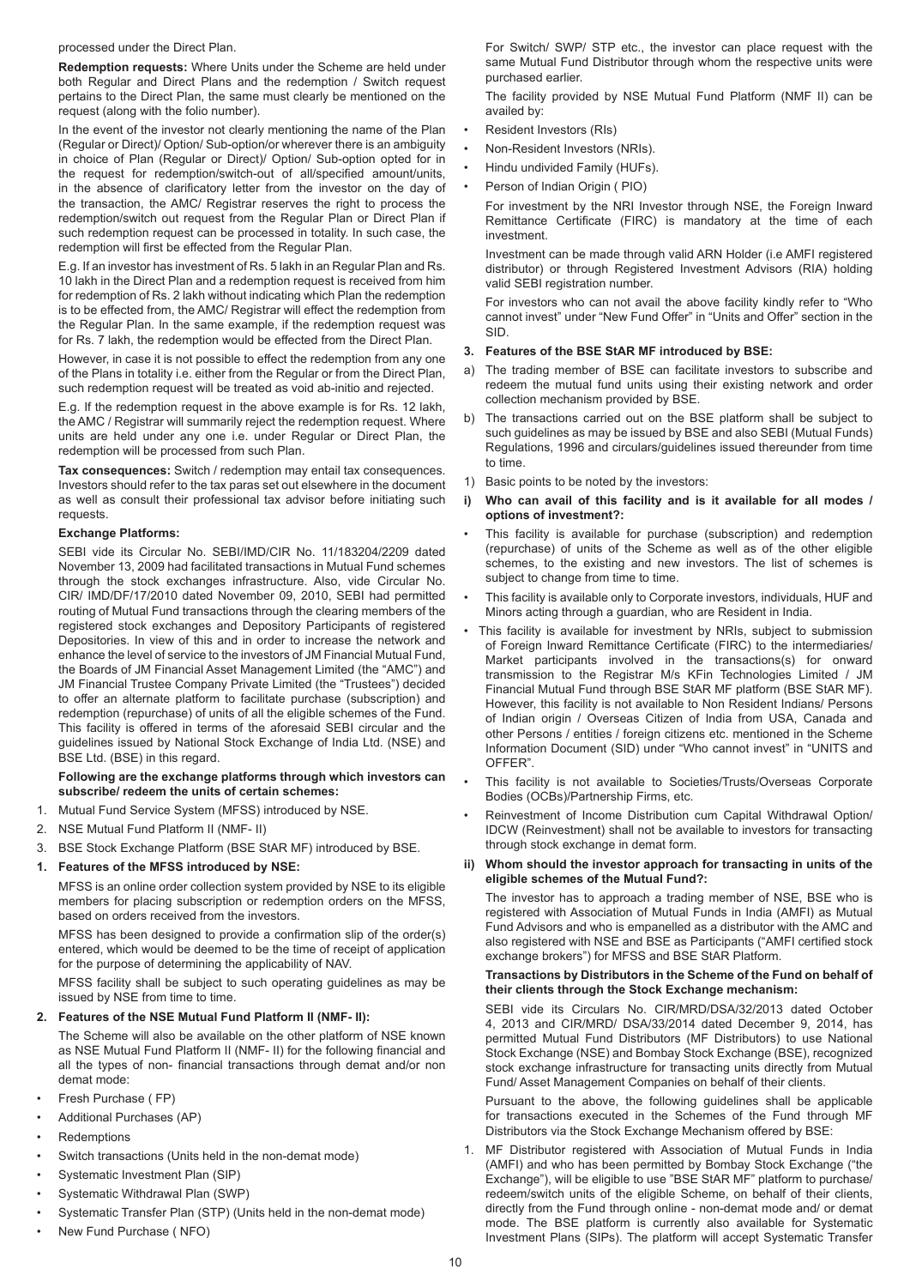processed under the Direct Plan.

**Redemption requests:** Where Units under the Scheme are held under both Regular and Direct Plans and the redemption / Switch request pertains to the Direct Plan, the same must clearly be mentioned on the request (along with the folio number).

In the event of the investor not clearly mentioning the name of the Plan (Regular or Direct)/ Option/ Sub-option/or wherever there is an ambiguity in choice of Plan (Regular or Direct)/ Option/ Sub-option opted for in the request for redemption/switch-out of all/specified amount/units, in the absence of clarificatory letter from the investor on the day of the transaction, the AMC/ Registrar reserves the right to process the redemption/switch out request from the Regular Plan or Direct Plan if such redemption request can be processed in totality. In such case, the redemption will first be effected from the Regular Plan.

E.g. If an investor has investment of Rs. 5 lakh in an Regular Plan and Rs. 10 lakh in the Direct Plan and a redemption request is received from him for redemption of Rs. 2 lakh without indicating which Plan the redemption is to be effected from, the AMC/ Registrar will effect the redemption from the Regular Plan. In the same example, if the redemption request was for Rs. 7 lakh, the redemption would be effected from the Direct Plan.

However, in case it is not possible to effect the redemption from any one of the Plans in totality i.e. either from the Regular or from the Direct Plan, such redemption request will be treated as void ab-initio and rejected.

E.g. If the redemption request in the above example is for Rs. 12 lakh, the AMC / Registrar will summarily reject the redemption request. Where units are held under any one i.e. under Regular or Direct Plan, the redemption will be processed from such Plan.

**Tax consequences:** Switch / redemption may entail tax consequences. Investors should refer to the tax paras set out elsewhere in the document as well as consult their professional tax advisor before initiating such requests.

## **Exchange Platforms:**

SEBI vide its Circular No. SEBI/IMD/CIR No. 11/183204/2209 dated November 13, 2009 had facilitated transactions in Mutual Fund schemes through the stock exchanges infrastructure. Also, vide Circular No. CIR/ IMD/DF/17/2010 dated November 09, 2010, SEBI had permitted routing of Mutual Fund transactions through the clearing members of the registered stock exchanges and Depository Participants of registered Depositories. In view of this and in order to increase the network and enhance the level of service to the investors of JM Financial Mutual Fund, the Boards of JM Financial Asset Management Limited (the "AMC") and JM Financial Trustee Company Private Limited (the "Trustees") decided to offer an alternate platform to facilitate purchase (subscription) and redemption (repurchase) of units of all the eligible schemes of the Fund. This facility is offered in terms of the aforesaid SEBI circular and the guidelines issued by National Stock Exchange of India Ltd. (NSE) and BSE Ltd. (BSE) in this regard.

#### **Following are the exchange platforms through which investors can subscribe/ redeem the units of certain schemes:**

- 1. Mutual Fund Service System (MFSS) introduced by NSE.
- 2. NSE Mutual Fund Platform II (NMF- II)
- 3. BSE Stock Exchange Platform (BSE StAR MF) introduced by BSE.

#### **1. Features of the MFSS introduced by NSE:**

MFSS is an online order collection system provided by NSE to its eligible members for placing subscription or redemption orders on the MFSS, based on orders received from the investors.

MFSS has been designed to provide a confirmation slip of the order(s) entered, which would be deemed to be the time of receipt of application for the purpose of determining the applicability of NAV.

MFSS facility shall be subject to such operating guidelines as may be issued by NSE from time to time.

# **2. Features of the NSE Mutual Fund Platform II (NMF- II):**

The Scheme will also be available on the other platform of NSE known as NSE Mutual Fund Platform II (NMF- II) for the following financial and all the types of non- financial transactions through demat and/or non demat mode:

- Fresh Purchase ( FP)
- Additional Purchases (AP)
- **Redemptions**
- Switch transactions (Units held in the non-demat mode)
- Systematic Investment Plan (SIP)
- Systematic Withdrawal Plan (SWP)
- Systematic Transfer Plan (STP) (Units held in the non-demat mode)
- New Fund Purchase ( NFO)

For Switch/ SWP/ STP etc., the investor can place request with the same Mutual Fund Distributor through whom the respective units were purchased earlier.

The facility provided by NSE Mutual Fund Platform (NMF II) can be availed by:

- Resident Investors (RIs)
- Non-Resident Investors (NRIs).
- Hindu undivided Family (HUFs).
- Person of Indian Origin ( PIO)

For investment by the NRI Investor through NSE, the Foreign Inward Remittance Certificate (FIRC) is mandatory at the time of each investment.

Investment can be made through valid ARN Holder (i.e AMFI registered distributor) or through Registered Investment Advisors (RIA) holding valid SEBI registration number.

For investors who can not avail the above facility kindly refer to "Who cannot invest" under "New Fund Offer" in "Units and Offer" section in the SID.

#### **3. Features of the BSE StAR MF introduced by BSE:**

- a) The trading member of BSE can facilitate investors to subscribe and redeem the mutual fund units using their existing network and order collection mechanism provided by BSE.
- b) The transactions carried out on the BSE platform shall be subject to such guidelines as may be issued by BSE and also SEBI (Mutual Funds) Regulations, 1996 and circulars/guidelines issued thereunder from time to time.
- 1) Basic points to be noted by the investors:
- **i) Who can avail of this facility and is it available for all modes / options of investment?:**
- This facility is available for purchase (subscription) and redemption (repurchase) of units of the Scheme as well as of the other eligible schemes, to the existing and new investors. The list of schemes is subject to change from time to time.
- This facility is available only to Corporate investors, individuals, HUF and Minors acting through a guardian, who are Resident in India.
- This facility is available for investment by NRIs, subject to submission of Foreign Inward Remittance Certificate (FIRC) to the intermediaries/ Market participants involved in the transactions(s) for onward transmission to the Registrar M/s KFin Technologies Limited / JM Financial Mutual Fund through BSE StAR MF platform (BSE StAR MF). However, this facility is not available to Non Resident Indians/ Persons of Indian origin / Overseas Citizen of India from USA, Canada and other Persons / entities / foreign citizens etc. mentioned in the Scheme Information Document (SID) under "Who cannot invest" in "UNITS and OFFER".
- This facility is not available to Societies/Trusts/Overseas Corporate Bodies (OCBs)/Partnership Firms, etc.
- Reinvestment of Income Distribution cum Capital Withdrawal Option/ IDCW (Reinvestment) shall not be available to investors for transacting through stock exchange in demat form.
- **ii) Whom should the investor approach for transacting in units of the eligible schemes of the Mutual Fund?:**

The investor has to approach a trading member of NSE, BSE who is registered with Association of Mutual Funds in India (AMFI) as Mutual Fund Advisors and who is empanelled as a distributor with the AMC and also registered with NSE and BSE as Participants ("AMFI certified stock exchange brokers") for MFSS and BSE StAR Platform.

## **Transactions by Distributors in the Scheme of the Fund on behalf of their clients through the Stock Exchange mechanism:**

SEBI vide its Circulars No. CIR/MRD/DSA/32/2013 dated October 4, 2013 and CIR/MRD/ DSA/33/2014 dated December 9, 2014, has permitted Mutual Fund Distributors (MF Distributors) to use National Stock Exchange (NSE) and Bombay Stock Exchange (BSE), recognized stock exchange infrastructure for transacting units directly from Mutual Fund/ Asset Management Companies on behalf of their clients.

Pursuant to the above, the following guidelines shall be applicable for transactions executed in the Schemes of the Fund through MF Distributors via the Stock Exchange Mechanism offered by BSE:

1. MF Distributor registered with Association of Mutual Funds in India (AMFI) and who has been permitted by Bombay Stock Exchange ("the Exchange"), will be eligible to use "BSE StAR MF" platform to purchase/ redeem/switch units of the eligible Scheme, on behalf of their clients, directly from the Fund through online - non-demat mode and/ or demat mode. The BSE platform is currently also available for Systematic Investment Plans (SIPs). The platform will accept Systematic Transfer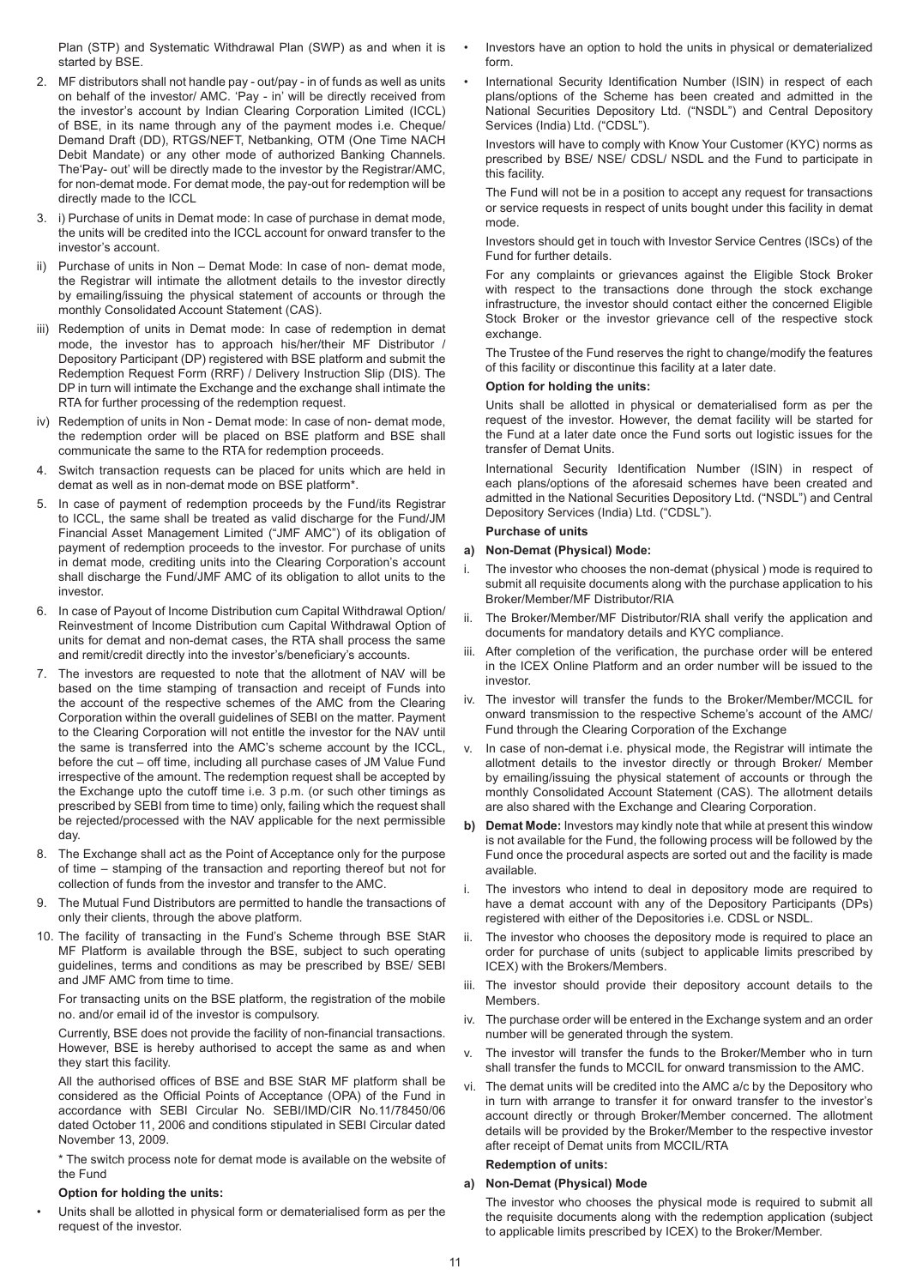Plan (STP) and Systematic Withdrawal Plan (SWP) as and when it is started by BSE.

- 2. MF distributors shall not handle pay out/pay in of funds as well as units on behalf of the investor/ AMC. 'Pay - in' will be directly received from the investor's account by Indian Clearing Corporation Limited (ICCL) of BSE, in its name through any of the payment modes i.e. Cheque/ Demand Draft (DD), RTGS/NEFT, Netbanking, OTM (One Time NACH Debit Mandate) or any other mode of authorized Banking Channels. The'Pay- out' will be directly made to the investor by the Registrar/AMC, for non-demat mode. For demat mode, the pay-out for redemption will be directly made to the ICCL
- 3. i) Purchase of units in Demat mode: In case of purchase in demat mode, the units will be credited into the ICCL account for onward transfer to the investor's account.
- Purchase of units in Non Demat Mode: In case of non- demat mode, the Registrar will intimate the allotment details to the investor directly by emailing/issuing the physical statement of accounts or through the monthly Consolidated Account Statement (CAS).
- iii) Redemption of units in Demat mode: In case of redemption in demat mode, the investor has to approach his/her/their MF Distributor / Depository Participant (DP) registered with BSE platform and submit the Redemption Request Form (RRF) / Delivery Instruction Slip (DIS). The DP in turn will intimate the Exchange and the exchange shall intimate the RTA for further processing of the redemption request.
- iv) Redemption of units in Non Demat mode: In case of non- demat mode, the redemption order will be placed on BSE platform and BSE shall communicate the same to the RTA for redemption proceeds.
- 4. Switch transaction requests can be placed for units which are held in demat as well as in non-demat mode on BSE platform\*.
- 5. In case of payment of redemption proceeds by the Fund/its Registrar to ICCL, the same shall be treated as valid discharge for the Fund/JM Financial Asset Management Limited ("JMF AMC") of its obligation of payment of redemption proceeds to the investor. For purchase of units in demat mode, crediting units into the Clearing Corporation's account shall discharge the Fund/JMF AMC of its obligation to allot units to the investor.
- 6. In case of Payout of Income Distribution cum Capital Withdrawal Option/ Reinvestment of Income Distribution cum Capital Withdrawal Option of units for demat and non-demat cases, the RTA shall process the same and remit/credit directly into the investor's/beneficiary's accounts.
- 7. The investors are requested to note that the allotment of NAV will be based on the time stamping of transaction and receipt of Funds into the account of the respective schemes of the AMC from the Clearing Corporation within the overall guidelines of SEBI on the matter. Payment to the Clearing Corporation will not entitle the investor for the NAV until the same is transferred into the AMC's scheme account by the ICCL, before the cut – off time, including all purchase cases of JM Value Fund irrespective of the amount. The redemption request shall be accepted by the Exchange upto the cutoff time i.e. 3 p.m. (or such other timings as prescribed by SEBI from time to time) only, failing which the request shall be rejected/processed with the NAV applicable for the next permissible day.
- 8. The Exchange shall act as the Point of Acceptance only for the purpose of time – stamping of the transaction and reporting thereof but not for collection of funds from the investor and transfer to the AMC.
- 9. The Mutual Fund Distributors are permitted to handle the transactions of only their clients, through the above platform.
- 10. The facility of transacting in the Fund's Scheme through BSE StAR MF Platform is available through the BSE, subject to such operating guidelines, terms and conditions as may be prescribed by BSE/ SEBI and JMF AMC from time to time.

For transacting units on the BSE platform, the registration of the mobile no. and/or email id of the investor is compulsory.

Currently, BSE does not provide the facility of non-financial transactions. However, BSE is hereby authorised to accept the same as and when they start this facility.

All the authorised offices of BSE and BSE StAR MF platform shall be considered as the Official Points of Acceptance (OPA) of the Fund in accordance with SEBI Circular No. SEBI/IMD/CIR No.11/78450/06 dated October 11, 2006 and conditions stipulated in SEBI Circular dated November 13, 2009.

\* The switch process note for demat mode is available on the website of the Fund

# **Option for holding the units:**

Units shall be allotted in physical form or dematerialised form as per the request of the investor.

- Investors have an option to hold the units in physical or dematerialized form.
- International Security Identification Number (ISIN) in respect of each plans/options of the Scheme has been created and admitted in the National Securities Depository Ltd. ("NSDL") and Central Depository Services (India) Ltd. ("CDSL").

Investors will have to comply with Know Your Customer (KYC) norms as prescribed by BSE/ NSE/ CDSL/ NSDL and the Fund to participate in this facility.

The Fund will not be in a position to accept any request for transactions or service requests in respect of units bought under this facility in demat mode.

Investors should get in touch with Investor Service Centres (ISCs) of the Fund for further details.

For any complaints or grievances against the Eligible Stock Broker with respect to the transactions done through the stock exchange infrastructure, the investor should contact either the concerned Eligible Stock Broker or the investor grievance cell of the respective stock exchange.

The Trustee of the Fund reserves the right to change/modify the features of this facility or discontinue this facility at a later date.

## **Option for holding the units:**

Units shall be allotted in physical or dematerialised form as per the request of the investor. However, the demat facility will be started for the Fund at a later date once the Fund sorts out logistic issues for the transfer of Demat Units.

International Security Identification Number (ISIN) in respect of each plans/options of the aforesaid schemes have been created and admitted in the National Securities Depository Ltd. ("NSDL") and Central Depository Services (India) Ltd. ("CDSL").

# **Purchase of units**

#### **a) Non-Demat (Physical) Mode:**

- i. The investor who chooses the non-demat (physical ) mode is required to submit all requisite documents along with the purchase application to his Broker/Member/MF Distributor/RIA
- ii. The Broker/Member/MF Distributor/RIA shall verify the application and documents for mandatory details and KYC compliance.
- iii. After completion of the verification, the purchase order will be entered in the ICEX Online Platform and an order number will be issued to the investor.
- iv. The investor will transfer the funds to the Broker/Member/MCCIL for onward transmission to the respective Scheme's account of the AMC/ Fund through the Clearing Corporation of the Exchange
- In case of non-demat i.e. physical mode, the Registrar will intimate the allotment details to the investor directly or through Broker/ Member by emailing/issuing the physical statement of accounts or through the monthly Consolidated Account Statement (CAS). The allotment details are also shared with the Exchange and Clearing Corporation.
- **b) Demat Mode:** Investors may kindly note that while at present this window is not available for the Fund, the following process will be followed by the Fund once the procedural aspects are sorted out and the facility is made available.
- i. The investors who intend to deal in depository mode are required to have a demat account with any of the Depository Participants (DPs) registered with either of the Depositories i.e. CDSL or NSDL.
- ii. The investor who chooses the depository mode is required to place an order for purchase of units (subject to applicable limits prescribed by ICEX) with the Brokers/Members.
- The investor should provide their depository account details to the **Members**
- iv. The purchase order will be entered in the Exchange system and an order number will be generated through the system.
- v. The investor will transfer the funds to the Broker/Member who in turn shall transfer the funds to MCCIL for onward transmission to the AMC.
- vi. The demat units will be credited into the AMC a/c by the Depository who in turn with arrange to transfer it for onward transfer to the investor's account directly or through Broker/Member concerned. The allotment details will be provided by the Broker/Member to the respective investor after receipt of Demat units from MCCIL/RTA

# **Redemption of units:**

# **a) Non-Demat (Physical) Mode**

The investor who chooses the physical mode is required to submit all the requisite documents along with the redemption application (subject to applicable limits prescribed by ICEX) to the Broker/Member.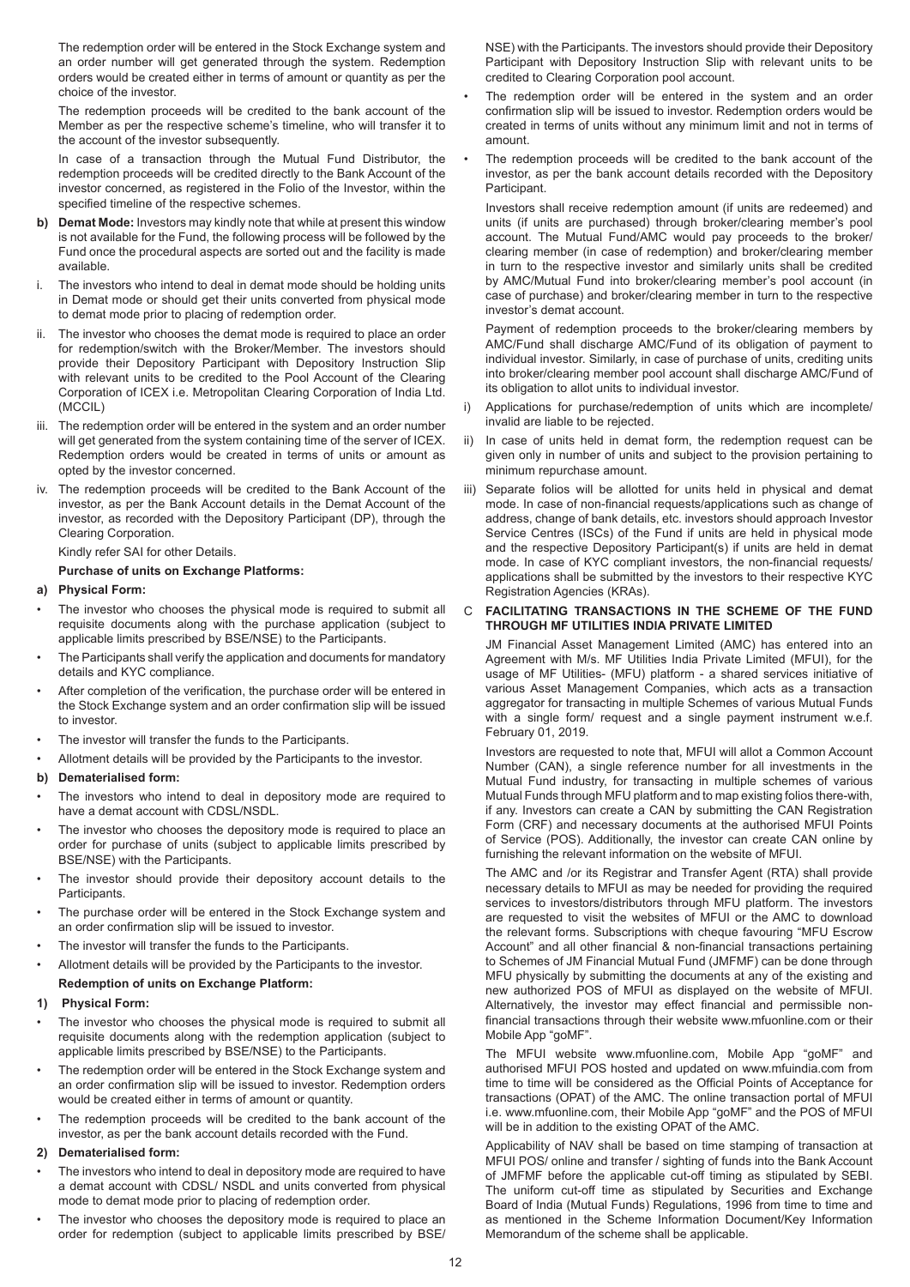The redemption order will be entered in the Stock Exchange system and an order number will get generated through the system. Redemption orders would be created either in terms of amount or quantity as per the choice of the investor.

The redemption proceeds will be credited to the bank account of the Member as per the respective scheme's timeline, who will transfer it to the account of the investor subsequently.

In case of a transaction through the Mutual Fund Distributor, the redemption proceeds will be credited directly to the Bank Account of the investor concerned, as registered in the Folio of the Investor, within the specified timeline of the respective schemes.

- **b) Demat Mode:** Investors may kindly note that while at present this window is not available for the Fund, the following process will be followed by the Fund once the procedural aspects are sorted out and the facility is made available.
- i. The investors who intend to deal in demat mode should be holding units in Demat mode or should get their units converted from physical mode to demat mode prior to placing of redemption order.
- The investor who chooses the demat mode is required to place an order for redemption/switch with the Broker/Member. The investors should provide their Depository Participant with Depository Instruction Slip with relevant units to be credited to the Pool Account of the Clearing Corporation of ICEX i.e. Metropolitan Clearing Corporation of India Ltd. (MCCIL)
- iii. The redemption order will be entered in the system and an order number will get generated from the system containing time of the server of ICEX. Redemption orders would be created in terms of units or amount as opted by the investor concerned.
- iv. The redemption proceeds will be credited to the Bank Account of the investor, as per the Bank Account details in the Demat Account of the investor, as recorded with the Depository Participant (DP), through the Clearing Corporation.

Kindly refer SAI for other Details.

#### **Purchase of units on Exchange Platforms:**

- **a) Physical Form:**
- The investor who chooses the physical mode is required to submit all requisite documents along with the purchase application (subject to applicable limits prescribed by BSE/NSE) to the Participants.
- The Participants shall verify the application and documents for mandatory details and KYC compliance.
- After completion of the verification, the purchase order will be entered in the Stock Exchange system and an order confirmation slip will be issued to investor.
- The investor will transfer the funds to the Participants.
- Allotment details will be provided by the Participants to the investor.

#### **b) Dematerialised form:**

- The investors who intend to deal in depository mode are required to have a demat account with CDSL/NSDL.
- The investor who chooses the depository mode is required to place an order for purchase of units (subject to applicable limits prescribed by BSE/NSE) with the Participants.
- The investor should provide their depository account details to the **Participants**
- The purchase order will be entered in the Stock Exchange system and an order confirmation slip will be issued to investor.
- The investor will transfer the funds to the Participants.
- Allotment details will be provided by the Participants to the investor. **Redemption of units on Exchange Platform:**
- **1) Physical Form:**
- The investor who chooses the physical mode is required to submit all requisite documents along with the redemption application (subject to applicable limits prescribed by BSE/NSE) to the Participants.
- The redemption order will be entered in the Stock Exchange system and an order confirmation slip will be issued to investor. Redemption orders would be created either in terms of amount or quantity.
- The redemption proceeds will be credited to the bank account of the investor, as per the bank account details recorded with the Fund.

## **2) Dematerialised form:**

- The investors who intend to deal in depository mode are required to have a demat account with CDSL/ NSDL and units converted from physical mode to demat mode prior to placing of redemption order.
- The investor who chooses the depository mode is required to place an order for redemption (subject to applicable limits prescribed by BSE/

NSE) with the Participants. The investors should provide their Depository Participant with Depository Instruction Slip with relevant units to be credited to Clearing Corporation pool account.

- The redemption order will be entered in the system and an order confirmation slip will be issued to investor. Redemption orders would be created in terms of units without any minimum limit and not in terms of amount.
- The redemption proceeds will be credited to the bank account of the investor, as per the bank account details recorded with the Depository Participant.

Investors shall receive redemption amount (if units are redeemed) and units (if units are purchased) through broker/clearing member's pool account. The Mutual Fund/AMC would pay proceeds to the broker/ clearing member (in case of redemption) and broker/clearing member in turn to the respective investor and similarly units shall be credited by AMC/Mutual Fund into broker/clearing member's pool account (in case of purchase) and broker/clearing member in turn to the respective investor's demat account.

Payment of redemption proceeds to the broker/clearing members by AMC/Fund shall discharge AMC/Fund of its obligation of payment to individual investor. Similarly, in case of purchase of units, crediting units into broker/clearing member pool account shall discharge AMC/Fund of its obligation to allot units to individual investor.

- i) Applications for purchase/redemption of units which are incomplete/ invalid are liable to be rejected.
- In case of units held in demat form, the redemption request can be given only in number of units and subject to the provision pertaining to minimum repurchase amount.
- iii) Separate folios will be allotted for units held in physical and demat mode. In case of non-financial requests/applications such as change of address, change of bank details, etc. investors should approach Investor Service Centres (ISCs) of the Fund if units are held in physical mode and the respective Depository Participant(s) if units are held in demat mode. In case of KYC compliant investors, the non-financial requests/ applications shall be submitted by the investors to their respective KYC Registration Agencies (KRAs).

## C **FACILITATING TRANSACTIONS IN THE SCHEME OF THE FUND THROUGH MF UTILITIES INDIA PRIVATE LIMITED**

JM Financial Asset Management Limited (AMC) has entered into an Agreement with M/s. MF Utilities India Private Limited (MFUI), for the usage of MF Utilities- (MFU) platform - a shared services initiative of various Asset Management Companies, which acts as a transaction aggregator for transacting in multiple Schemes of various Mutual Funds with a single form/ request and a single payment instrument w.e.f. February 01, 2019.

Investors are requested to note that, MFUI will allot a Common Account Number (CAN), a single reference number for all investments in the Mutual Fund industry, for transacting in multiple schemes of various Mutual Funds through MFU platform and to map existing folios there-with, if any. Investors can create a CAN by submitting the CAN Registration Form (CRF) and necessary documents at the authorised MFUI Points of Service (POS). Additionally, the investor can create CAN online by furnishing the relevant information on the website of MFUI.

The AMC and /or its Registrar and Transfer Agent (RTA) shall provide necessary details to MFUI as may be needed for providing the required services to investors/distributors through MFU platform. The investors are requested to visit the websites of MFUI or the AMC to download the relevant forms. Subscriptions with cheque favouring "MFU Escrow Account" and all other financial & non-financial transactions pertaining to Schemes of JM Financial Mutual Fund (JMFMF) can be done through MFU physically by submitting the documents at any of the existing and new authorized POS of MFUI as displayed on the website of MFUI. Alternatively, the investor may effect financial and permissible nonfinancial transactions through their website www.mfuonline.com or their Mobile App "goMF".

The MFUI website www.mfuonline.com, Mobile App "goMF" and authorised MFUI POS hosted and updated on www.mfuindia.com from time to time will be considered as the Official Points of Acceptance for transactions (OPAT) of the AMC. The online transaction portal of MFUI i.e. www.mfuonline.com, their Mobile App "goMF" and the POS of MFUI will be in addition to the existing OPAT of the AMC.

Applicability of NAV shall be based on time stamping of transaction at MFUI POS/ online and transfer / sighting of funds into the Bank Account of JMFMF before the applicable cut-off timing as stipulated by SEBI. The uniform cut-off time as stipulated by Securities and Exchange Board of India (Mutual Funds) Regulations, 1996 from time to time and as mentioned in the Scheme Information Document/Key Information Memorandum of the scheme shall be applicable.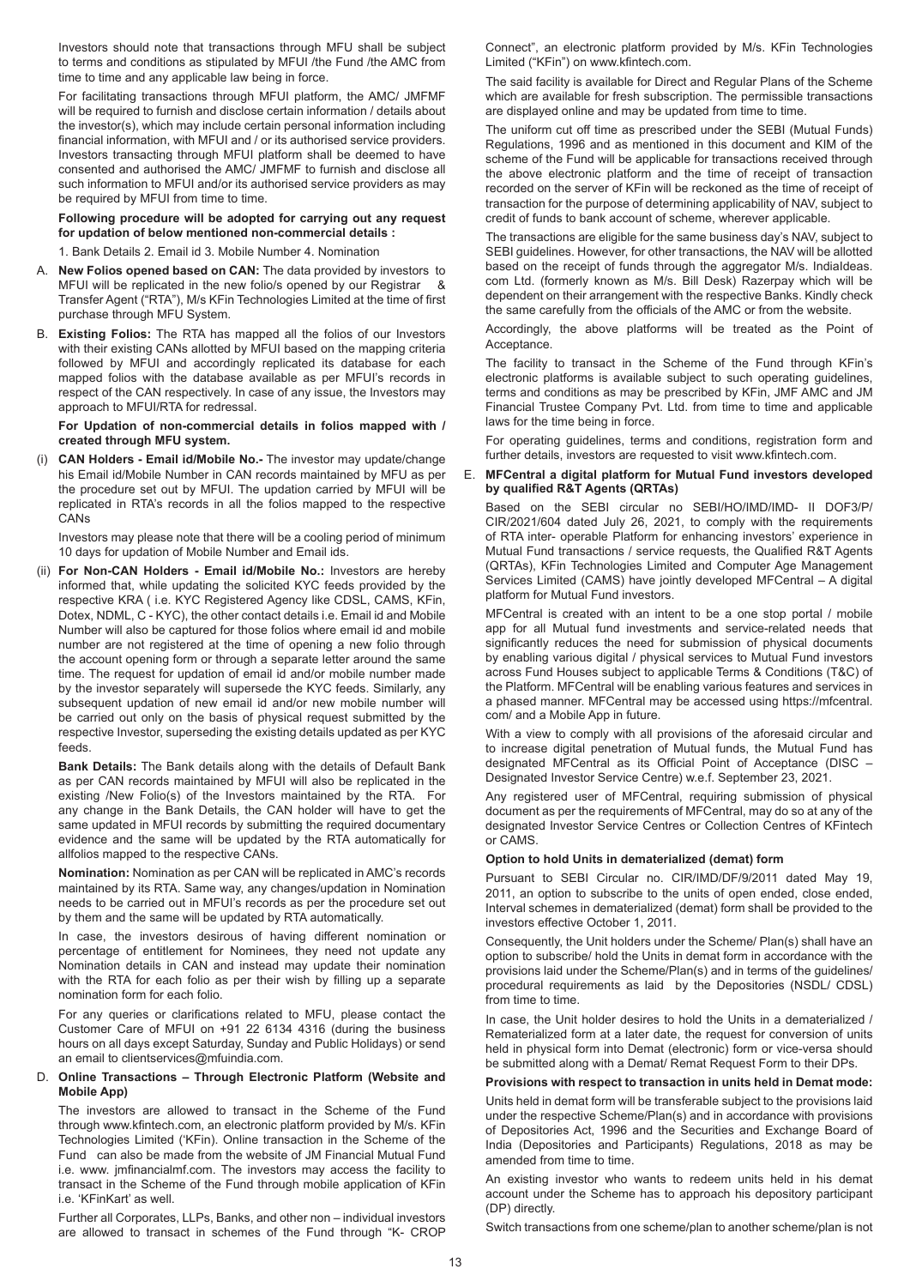Investors should note that transactions through MFU shall be subject to terms and conditions as stipulated by MFUI /the Fund /the AMC from time to time and any applicable law being in force.

For facilitating transactions through MFUI platform, the AMC/ JMFMF will be required to furnish and disclose certain information / details about the investor(s), which may include certain personal information including financial information, with MFUI and / or its authorised service providers. Investors transacting through MFUI platform shall be deemed to have consented and authorised the AMC/ JMFMF to furnish and disclose all such information to MFUI and/or its authorised service providers as may be required by MFUI from time to time.

## **Following procedure will be adopted for carrying out any request for updation of below mentioned non-commercial details :**

1. Bank Details 2. Email id 3. Mobile Number 4. Nomination

- A. **New Folios opened based on CAN:** The data provided by investors to MFUI will be replicated in the new folio/s opened by our Registrar & Transfer Agent ("RTA"), M/s KFin Technologies Limited at the time of first purchase through MFU System.
- B. **Existing Folios:** The RTA has mapped all the folios of our Investors with their existing CANs allotted by MFUI based on the mapping criteria followed by MFUI and accordingly replicated its database for each mapped folios with the database available as per MFUI's records in respect of the CAN respectively. In case of any issue, the Investors may approach to MFUI/RTA for redressal.

**For Updation of non-commercial details in folios mapped with / created through MFU system.**

(i) **CAN Holders - Email id/Mobile No.-** The investor may update/change his Email id/Mobile Number in CAN records maintained by MFU as per the procedure set out by MFUI. The updation carried by MFUI will be replicated in RTA's records in all the folios mapped to the respective CANs

Investors may please note that there will be a cooling period of minimum 10 days for updation of Mobile Number and Email ids.

(ii) **For Non-CAN Holders - Email id/Mobile No.:** Investors are hereby informed that, while updating the solicited KYC feeds provided by the respective KRA ( i.e. KYC Registered Agency like CDSL, CAMS, KFin, Dotex, NDML, C - KYC), the other contact details i.e. Email id and Mobile Number will also be captured for those folios where email id and mobile number are not registered at the time of opening a new folio through the account opening form or through a separate letter around the same time. The request for updation of email id and/or mobile number made by the investor separately will supersede the KYC feeds. Similarly, any subsequent updation of new email id and/or new mobile number will be carried out only on the basis of physical request submitted by the respective Investor, superseding the existing details updated as per KYC feeds.

**Bank Details:** The Bank details along with the details of Default Bank as per CAN records maintained by MFUI will also be replicated in the existing /New Folio(s) of the Investors maintained by the RTA. For any change in the Bank Details, the CAN holder will have to get the same updated in MFUI records by submitting the required documentary evidence and the same will be updated by the RTA automatically for allfolios mapped to the respective CANs.

**Nomination:** Nomination as per CAN will be replicated in AMC's records maintained by its RTA. Same way, any changes/updation in Nomination needs to be carried out in MFUI's records as per the procedure set out by them and the same will be updated by RTA automatically.

In case, the investors desirous of having different nomination or percentage of entitlement for Nominees, they need not update any Nomination details in CAN and instead may update their nomination with the RTA for each folio as per their wish by filling up a separate nomination form for each folio.

For any queries or clarifications related to MFU, please contact the Customer Care of MFUI on +91 22 6134 4316 (during the business hours on all days except Saturday, Sunday and Public Holidays) or send an email to clientservices@mfuindia.com.

# D. **Online Transactions – Through Electronic Platform (Website and Mobile App)**

The investors are allowed to transact in the Scheme of the Fund through www.kfintech.com, an electronic platform provided by M/s. KFin Technologies Limited ('KFin). Online transaction in the Scheme of the Fund can also be made from the website of JM Financial Mutual Fund i.e. www. jmfinancialmf.com. The investors may access the facility to transact in the Scheme of the Fund through mobile application of KFin i.e. 'KFinKart' as well.

Further all Corporates, LLPs, Banks, and other non – individual investors are allowed to transact in schemes of the Fund through "K- CROP Connect", an electronic platform provided by M/s. KFin Technologies Limited ("KFin") on www.kfintech.com.

The said facility is available for Direct and Regular Plans of the Scheme which are available for fresh subscription. The permissible transactions are displayed online and may be updated from time to time.

The uniform cut off time as prescribed under the SEBI (Mutual Funds) Regulations, 1996 and as mentioned in this document and KIM of the scheme of the Fund will be applicable for transactions received through the above electronic platform and the time of receipt of transaction recorded on the server of KFin will be reckoned as the time of receipt of transaction for the purpose of determining applicability of NAV, subject to credit of funds to bank account of scheme, wherever applicable.

The transactions are eligible for the same business day's NAV, subject to SEBI guidelines. However, for other transactions, the NAV will be allotted based on the receipt of funds through the aggregator M/s. IndiaIdeas. com Ltd. (formerly known as M/s. Bill Desk) Razerpay which will be dependent on their arrangement with the respective Banks. Kindly check the same carefully from the officials of the AMC or from the website.

Accordingly, the above platforms will be treated as the Point of Acceptance.

The facility to transact in the Scheme of the Fund through KFin's electronic platforms is available subject to such operating guidelines, terms and conditions as may be prescribed by KFin, JMF AMC and JM Financial Trustee Company Pvt. Ltd. from time to time and applicable laws for the time being in force.

For operating guidelines, terms and conditions, registration form and further details, investors are requested to visit www.kfintech.com.

## E. **MFCentral a digital platform for Mutual Fund investors developed by qualified R&T Agents (QRTAs)**

Based on the SEBI circular no SEBI/HO/IMD/IMD- II DOF3/P/ CIR/2021/604 dated July 26, 2021, to comply with the requirements of RTA inter- operable Platform for enhancing investors' experience in Mutual Fund transactions / service requests, the Qualified R&T Agents (QRTAs), KFin Technologies Limited and Computer Age Management Services Limited (CAMS) have jointly developed MFCentral – A digital platform for Mutual Fund investors.

MFCentral is created with an intent to be a one stop portal / mobile app for all Mutual fund investments and service-related needs that significantly reduces the need for submission of physical documents by enabling various digital / physical services to Mutual Fund investors across Fund Houses subject to applicable Terms & Conditions (T&C) of the Platform. MFCentral will be enabling various features and services in a phased manner. MFCentral may be accessed using https://mfcentral. com/ and a Mobile App in future.

With a view to comply with all provisions of the aforesaid circular and to increase digital penetration of Mutual funds, the Mutual Fund has designated MFCentral as its Official Point of Acceptance (DISC – Designated Investor Service Centre) w.e.f. September 23, 2021.

Any registered user of MFCentral, requiring submission of physical document as per the requirements of MFCentral, may do so at any of the designated Investor Service Centres or Collection Centres of KFintech or CAMS.

# **Option to hold Units in dematerialized (demat) form**

Pursuant to SEBI Circular no. CIR/IMD/DF/9/2011 dated May 19, 2011, an option to subscribe to the units of open ended, close ended, Interval schemes in dematerialized (demat) form shall be provided to the investors effective October 1, 2011.

Consequently, the Unit holders under the Scheme/ Plan(s) shall have an option to subscribe/ hold the Units in demat form in accordance with the provisions laid under the Scheme/Plan(s) and in terms of the guidelines/ procedural requirements as laid by the Depositories (NSDL/ CDSL) from time to time.

In case, the Unit holder desires to hold the Units in a dematerialized / Rematerialized form at a later date, the request for conversion of units held in physical form into Demat (electronic) form or vice-versa should be submitted along with a Demat/ Remat Request Form to their DPs.

# **Provisions with respect to transaction in units held in Demat mode:**

Units held in demat form will be transferable subject to the provisions laid under the respective Scheme/Plan(s) and in accordance with provisions of Depositories Act, 1996 and the Securities and Exchange Board of India (Depositories and Participants) Regulations, 2018 as may be amended from time to time.

An existing investor who wants to redeem units held in his demat account under the Scheme has to approach his depository participant (DP) directly.

Switch transactions from one scheme/plan to another scheme/plan is not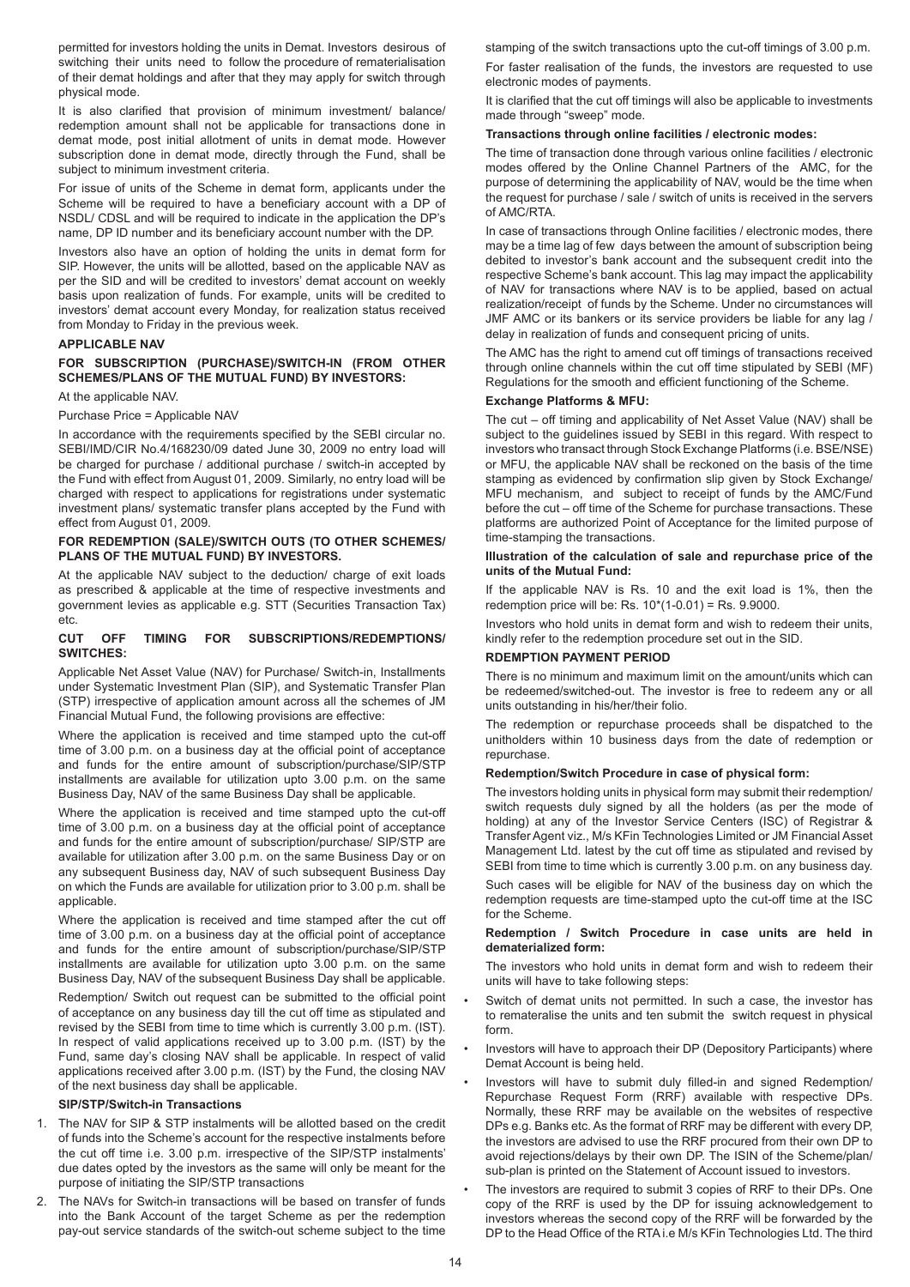permitted for investors holding the units in Demat. Investors desirous of switching their units need to follow the procedure of rematerialisation of their demat holdings and after that they may apply for switch through physical mode.

It is also clarified that provision of minimum investment/ balance/ redemption amount shall not be applicable for transactions done in demat mode, post initial allotment of units in demat mode. However subscription done in demat mode, directly through the Fund, shall be subject to minimum investment criteria.

For issue of units of the Scheme in demat form, applicants under the Scheme will be required to have a beneficiary account with a DP of NSDL/ CDSL and will be required to indicate in the application the DP's name, DP ID number and its beneficiary account number with the DP.

Investors also have an option of holding the units in demat form for SIP. However, the units will be allotted, based on the applicable NAV as per the SID and will be credited to investors' demat account on weekly basis upon realization of funds. For example, units will be credited to investors' demat account every Monday, for realization status received from Monday to Friday in the previous week.

# **APPLICABLE NAV**

# **FOR SUBSCRIPTION (PURCHASE)/SWITCH-IN (FROM OTHER SCHEMES/PLANS OF THE MUTUAL FUND) BY INVESTORS:**

At the applicable NAV.

#### Purchase Price = Applicable NAV

In accordance with the requirements specified by the SEBI circular no. SEBI/IMD/CIR No.4/168230/09 dated June 30, 2009 no entry load will be charged for purchase / additional purchase / switch-in accepted by the Fund with effect from August 01, 2009. Similarly, no entry load will be charged with respect to applications for registrations under systematic investment plans/ systematic transfer plans accepted by the Fund with effect from August 01, 2009.

# **FOR REDEMPTION (SALE)/SWITCH OUTS (TO OTHER SCHEMES/ PLANS OF THE MUTUAL FUND) BY INVESTORS.**

At the applicable NAV subject to the deduction/ charge of exit loads as prescribed & applicable at the time of respective investments and government levies as applicable e.g. STT (Securities Transaction Tax) etc.

## **CUT OFF TIMING FOR SUBSCRIPTIONS/REDEMPTIONS/ SWITCHES:**

Applicable Net Asset Value (NAV) for Purchase/ Switch-in, Installments under Systematic Investment Plan (SIP), and Systematic Transfer Plan (STP) irrespective of application amount across all the schemes of JM Financial Mutual Fund, the following provisions are effective:

Where the application is received and time stamped upto the cut-off time of 3.00 p.m. on a business day at the official point of acceptance and funds for the entire amount of subscription/purchase/SIP/STP installments are available for utilization upto 3.00 p.m. on the same Business Day, NAV of the same Business Day shall be applicable.

Where the application is received and time stamped upto the cut-off time of 3.00 p.m. on a business day at the official point of acceptance and funds for the entire amount of subscription/purchase/ SIP/STP are available for utilization after 3.00 p.m. on the same Business Day or on any subsequent Business day, NAV of such subsequent Business Day on which the Funds are available for utilization prior to 3.00 p.m. shall be applicable.

Where the application is received and time stamped after the cut off time of 3.00 p.m. on a business day at the official point of acceptance and funds for the entire amount of subscription/purchase/SIP/STP installments are available for utilization upto 3.00 p.m. on the same Business Day, NAV of the subsequent Business Day shall be applicable.

Redemption/ Switch out request can be submitted to the official point of acceptance on any business day till the cut off time as stipulated and revised by the SEBI from time to time which is currently 3.00 p.m. (IST). In respect of valid applications received up to 3.00 p.m. (IST) by the Fund, same day's closing NAV shall be applicable. In respect of valid applications received after 3.00 p.m. (IST) by the Fund, the closing NAV of the next business day shall be applicable.

#### **SIP/STP/Switch-in Transactions**

- 1. The NAV for SIP & STP instalments will be allotted based on the credit of funds into the Scheme's account for the respective instalments before the cut off time i.e. 3.00 p.m. irrespective of the SIP/STP instalments' due dates opted by the investors as the same will only be meant for the purpose of initiating the SIP/STP transactions
- 2. The NAVs for Switch-in transactions will be based on transfer of funds into the Bank Account of the target Scheme as per the redemption pay-out service standards of the switch-out scheme subject to the time

stamping of the switch transactions upto the cut-off timings of 3.00 p.m. For faster realisation of the funds, the investors are requested to use electronic modes of payments.

It is clarified that the cut off timings will also be applicable to investments made through "sweep" mode.

# **Transactions through online facilities / electronic modes:**

The time of transaction done through various online facilities / electronic modes offered by the Online Channel Partners of the AMC, for the purpose of determining the applicability of NAV, would be the time when the request for purchase / sale / switch of units is received in the servers of AMC/RTA.

In case of transactions through Online facilities / electronic modes, there may be a time lag of few days between the amount of subscription being debited to investor's bank account and the subsequent credit into the respective Scheme's bank account. This lag may impact the applicability of NAV for transactions where NAV is to be applied, based on actual realization/receipt of funds by the Scheme. Under no circumstances will JMF AMC or its bankers or its service providers be liable for any lag / delay in realization of funds and consequent pricing of units.

The AMC has the right to amend cut off timings of transactions received through online channels within the cut off time stipulated by SEBI (MF) Regulations for the smooth and efficient functioning of the Scheme.

#### **Exchange Platforms & MFU:**

The cut – off timing and applicability of Net Asset Value (NAV) shall be subject to the guidelines issued by SEBI in this regard. With respect to investors who transact through Stock Exchange Platforms (i.e. BSE/NSE) or MFU, the applicable NAV shall be reckoned on the basis of the time stamping as evidenced by confirmation slip given by Stock Exchange/ MFU mechanism, and subject to receipt of funds by the AMC/Fund before the cut – off time of the Scheme for purchase transactions. These platforms are authorized Point of Acceptance for the limited purpose of time-stamping the transactions.

#### **Illustration of the calculation of sale and repurchase price of the units of the Mutual Fund:**

If the applicable NAV is Rs. 10 and the exit load is 1%, then the redemption price will be: Rs.  $10*(1-0.01) =$  Rs. 9.9000.

Investors who hold units in demat form and wish to redeem their units, kindly refer to the redemption procedure set out in the SID.

#### **RDEMPTION PAYMENT PERIOD**

There is no minimum and maximum limit on the amount/units which can be redeemed/switched-out. The investor is free to redeem any or all units outstanding in his/her/their folio.

The redemption or repurchase proceeds shall be dispatched to the unitholders within 10 business days from the date of redemption or repurchase.

## **Redemption/Switch Procedure in case of physical form:**

The investors holding units in physical form may submit their redemption/ switch requests duly signed by all the holders (as per the mode of holding) at any of the Investor Service Centers (ISC) of Registrar & Transfer Agent viz., M/s KFin Technologies Limited or JM Financial Asset Management Ltd. latest by the cut off time as stipulated and revised by SEBI from time to time which is currently 3.00 p.m. on any business day.

Such cases will be eligible for NAV of the business day on which the redemption requests are time-stamped upto the cut-off time at the ISC for the Scheme.

# **Redemption / Switch Procedure in case units are held in dematerialized form:**

The investors who hold units in demat form and wish to redeem their units will have to take following steps:

- Switch of demat units not permitted. In such a case, the investor has to remateralise the units and ten submit the switch request in physical form.
- Investors will have to approach their DP (Depository Participants) where Demat Account is being held.
- Investors will have to submit duly filled-in and signed Redemption/ Repurchase Request Form (RRF) available with respective DPs. Normally, these RRF may be available on the websites of respective DPs e.g. Banks etc. As the format of RRF may be different with every DP, the investors are advised to use the RRF procured from their own DP to avoid rejections/delays by their own DP. The ISIN of the Scheme/plan/ sub-plan is printed on the Statement of Account issued to investors.
- The investors are required to submit 3 copies of RRF to their DPs. One copy of the RRF is used by the DP for issuing acknowledgement to investors whereas the second copy of the RRF will be forwarded by the DP to the Head Office of the RTA i.e M/s KFin Technologies Ltd. The third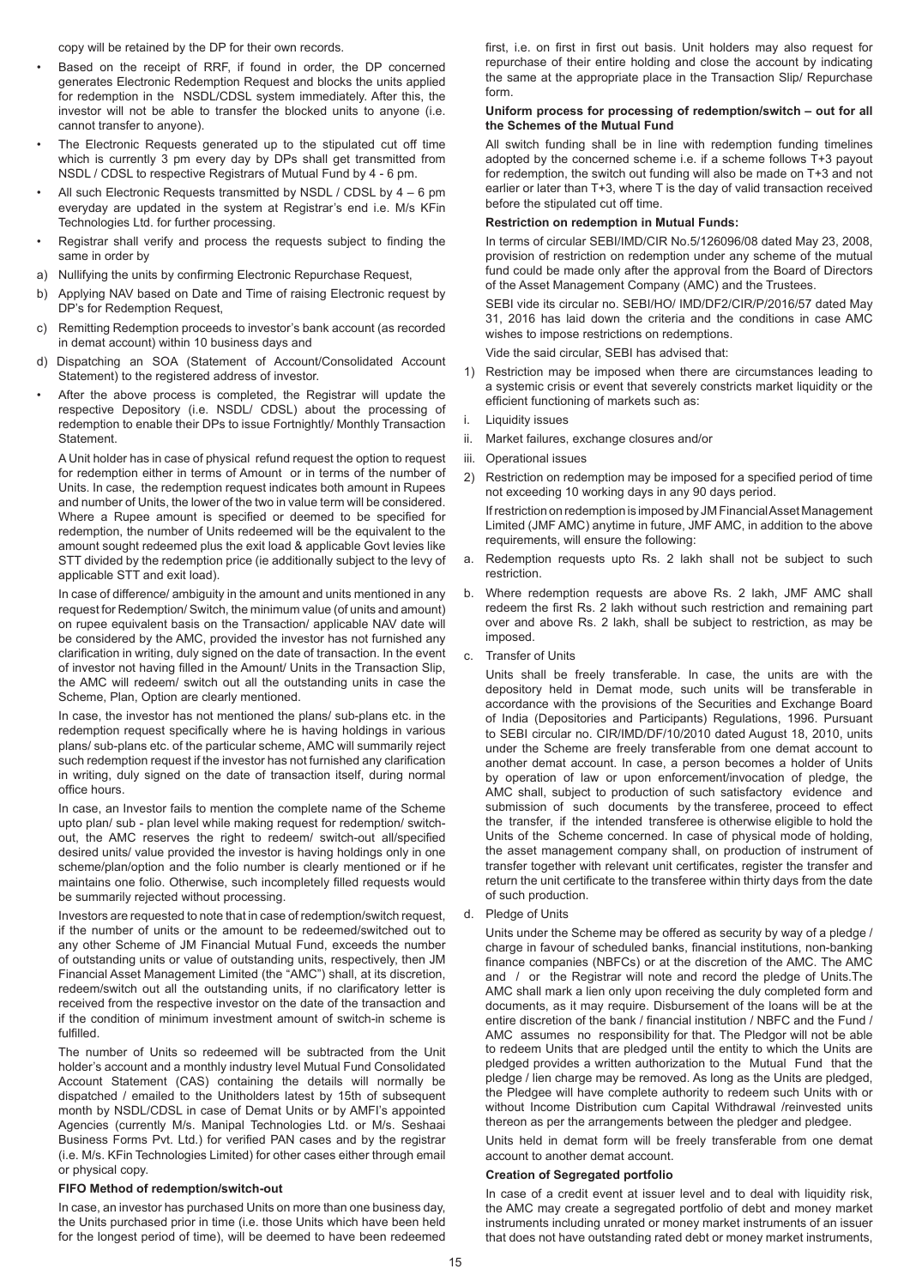copy will be retained by the DP for their own records.

- Based on the receipt of RRF, if found in order, the DP concerned generates Electronic Redemption Request and blocks the units applied for redemption in the NSDL/CDSL system immediately. After this, the investor will not be able to transfer the blocked units to anyone (i.e. cannot transfer to anyone).
- The Electronic Requests generated up to the stipulated cut off time which is currently 3 pm every day by DPs shall get transmitted from NSDL / CDSL to respective Registrars of Mutual Fund by 4 - 6 pm.
- All such Electronic Requests transmitted by NSDL / CDSL by 4 6 pm everyday are updated in the system at Registrar's end i.e. M/s KFin Technologies Ltd. for further processing.
- Registrar shall verify and process the requests subject to finding the same in order by
- a) Nullifying the units by confirming Electronic Repurchase Request,
- b) Applying NAV based on Date and Time of raising Electronic request by DP's for Redemption Request,
- c) Remitting Redemption proceeds to investor's bank account (as recorded in demat account) within 10 business days and
- d) Dispatching an SOA (Statement of Account/Consolidated Account Statement) to the registered address of investor.
- After the above process is completed, the Registrar will update the respective Depository (i.e. NSDL/ CDSL) about the processing of redemption to enable their DPs to issue Fortnightly/ Monthly Transaction Statement.

A Unit holder has in case of physical refund request the option to request for redemption either in terms of Amount or in terms of the number of Units. In case, the redemption request indicates both amount in Rupees and number of Units, the lower of the two in value term will be considered. Where a Rupee amount is specified or deemed to be specified for redemption, the number of Units redeemed will be the equivalent to the amount sought redeemed plus the exit load & applicable Govt levies like STT divided by the redemption price (ie additionally subject to the levy of applicable STT and exit load).

In case of difference/ ambiguity in the amount and units mentioned in any request for Redemption/ Switch, the minimum value (of units and amount) on rupee equivalent basis on the Transaction/ applicable NAV date will be considered by the AMC, provided the investor has not furnished any clarification in writing, duly signed on the date of transaction. In the event of investor not having filled in the Amount/ Units in the Transaction Slip, the AMC will redeem/ switch out all the outstanding units in case the Scheme, Plan, Option are clearly mentioned.

In case, the investor has not mentioned the plans/ sub-plans etc. in the redemption request specifically where he is having holdings in various plans/ sub-plans etc. of the particular scheme, AMC will summarily reject such redemption request if the investor has not furnished any clarification in writing, duly signed on the date of transaction itself, during normal office hours.

In case, an Investor fails to mention the complete name of the Scheme upto plan/ sub - plan level while making request for redemption/ switchout, the AMC reserves the right to redeem/ switch-out all/specified desired units/ value provided the investor is having holdings only in one scheme/plan/option and the folio number is clearly mentioned or if he maintains one folio. Otherwise, such incompletely filled requests would be summarily rejected without processing.

Investors are requested to note that in case of redemption/switch request, if the number of units or the amount to be redeemed/switched out to any other Scheme of JM Financial Mutual Fund, exceeds the number of outstanding units or value of outstanding units, respectively, then JM Financial Asset Management Limited (the "AMC") shall, at its discretion, redeem/switch out all the outstanding units, if no clarificatory letter is received from the respective investor on the date of the transaction and if the condition of minimum investment amount of switch-in scheme is fulfilled.

The number of Units so redeemed will be subtracted from the Unit holder's account and a monthly industry level Mutual Fund Consolidated Account Statement (CAS) containing the details will normally be dispatched / emailed to the Unitholders latest by 15th of subsequent month by NSDL/CDSL in case of Demat Units or by AMFI's appointed Agencies (currently M/s. Manipal Technologies Ltd. or M/s. Seshaai Business Forms Pvt. Ltd.) for verified PAN cases and by the registrar (i.e. M/s. KFin Technologies Limited) for other cases either through email or physical copy.

# **FIFO Method of redemption/switch-out**

In case, an investor has purchased Units on more than one business day, the Units purchased prior in time (i.e. those Units which have been held for the longest period of time), will be deemed to have been redeemed first, i.e. on first in first out basis. Unit holders may also request for repurchase of their entire holding and close the account by indicating the same at the appropriate place in the Transaction Slip/ Repurchase form.

#### **Uniform process for processing of redemption/switch – out for all the Schemes of the Mutual Fund**

All switch funding shall be in line with redemption funding timelines adopted by the concerned scheme i.e. if a scheme follows T+3 payout for redemption, the switch out funding will also be made on T+3 and not earlier or later than T+3, where T is the day of valid transaction received before the stipulated cut off time.

#### **Restriction on redemption in Mutual Funds:**

In terms of circular SEBI/IMD/CIR No.5/126096/08 dated May 23, 2008, provision of restriction on redemption under any scheme of the mutual fund could be made only after the approval from the Board of Directors of the Asset Management Company (AMC) and the Trustees.

SEBI vide its circular no. SEBI/HO/ IMD/DF2/CIR/P/2016/57 dated May 31, 2016 has laid down the criteria and the conditions in case AMC wishes to impose restrictions on redemptions.

Vide the said circular, SEBI has advised that:

- 1) Restriction may be imposed when there are circumstances leading to a systemic crisis or event that severely constricts market liquidity or the efficient functioning of markets such as:
- i. Liquidity issues
- ii. Market failures, exchange closures and/or
- iii. Operational issues
- 2) Restriction on redemption may be imposed for a specified period of time not exceeding 10 working days in any 90 days period.

If restriction on redemption is imposed by JM Financial Asset Management Limited (JMF AMC) anytime in future, JMF AMC, in addition to the above requirements, will ensure the following:

- a. Redemption requests upto Rs. 2 lakh shall not be subject to such restriction.
- b. Where redemption requests are above Rs. 2 lakh, JMF AMC shall redeem the first Rs. 2 lakh without such restriction and remaining part over and above Rs. 2 lakh, shall be subject to restriction, as may be imposed.
- c. Transfer of Units

Units shall be freely transferable. In case, the units are with the depository held in Demat mode, such units will be transferable in accordance with the provisions of the Securities and Exchange Board of India (Depositories and Participants) Regulations, 1996. Pursuant to SEBI circular no. CIR/IMD/DF/10/2010 dated August 18, 2010, units under the Scheme are freely transferable from one demat account to another demat account. In case, a person becomes a holder of Units by operation of law or upon enforcement/invocation of pledge, the AMC shall, subject to production of such satisfactory evidence and submission of such documents by the transferee, proceed to effect the transfer, if the intended transferee is otherwise eligible to hold the Units of the Scheme concerned. In case of physical mode of holding, the asset management company shall, on production of instrument of transfer together with relevant unit certificates, register the transfer and return the unit certificate to the transferee within thirty days from the date of such production.

d. Pledge of Units

Units under the Scheme may be offered as security by way of a pledge / charge in favour of scheduled banks, financial institutions, non-banking finance companies (NBFCs) or at the discretion of the AMC. The AMC and / or the Registrar will note and record the pledge of Units.The AMC shall mark a lien only upon receiving the duly completed form and documents, as it may require. Disbursement of the loans will be at the entire discretion of the bank / financial institution / NBFC and the Fund / AMC assumes no responsibility for that. The Pledgor will not be able to redeem Units that are pledged until the entity to which the Units are pledged provides a written authorization to the Mutual Fund that the pledge / lien charge may be removed. As long as the Units are pledged, the Pledgee will have complete authority to redeem such Units with or without Income Distribution cum Capital Withdrawal /reinvested units thereon as per the arrangements between the pledger and pledgee.

Units held in demat form will be freely transferable from one demat account to another demat account.

#### **Creation of Segregated portfolio**

In case of a credit event at issuer level and to deal with liquidity risk. the AMC may create a segregated portfolio of debt and money market instruments including unrated or money market instruments of an issuer that does not have outstanding rated debt or money market instruments,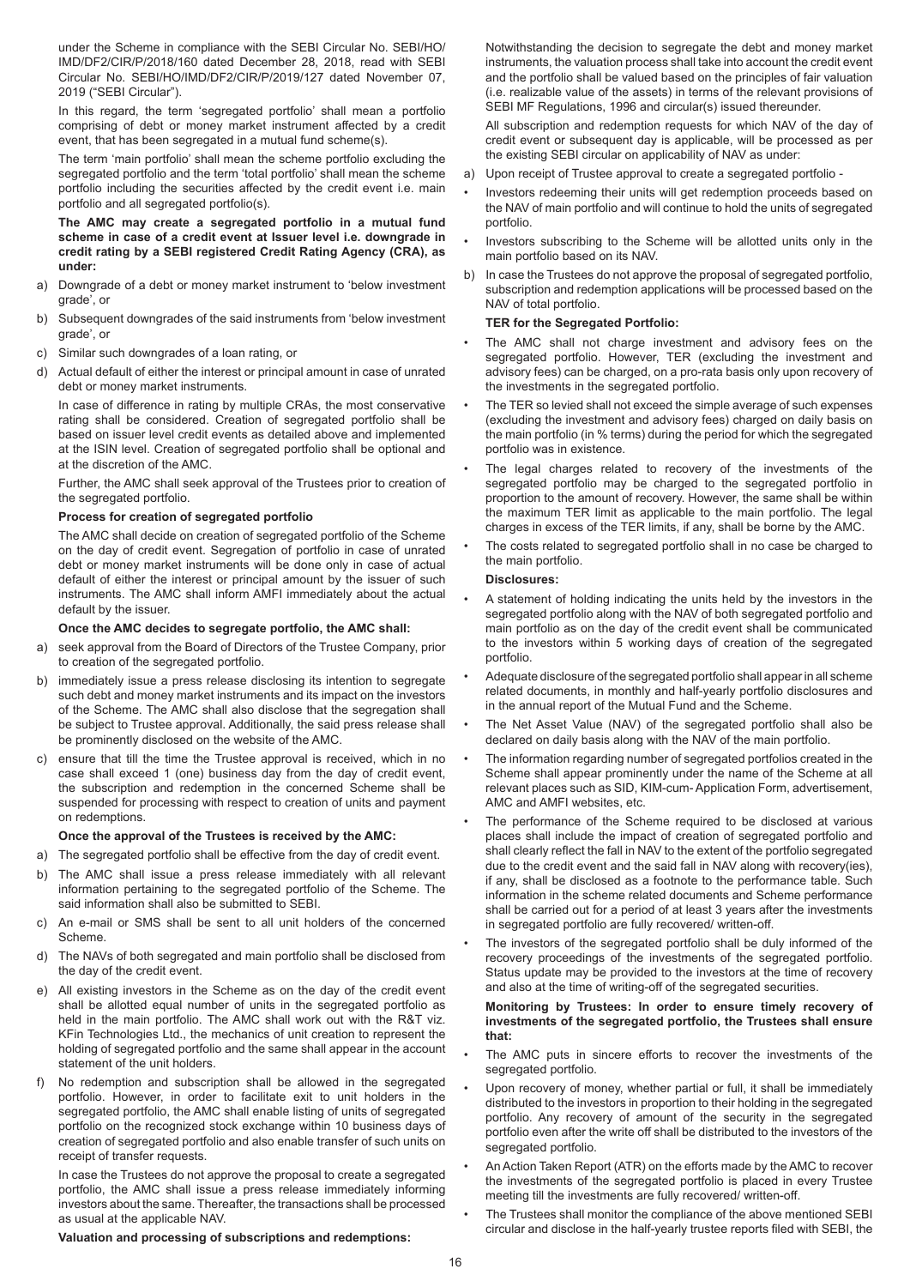under the Scheme in compliance with the SEBI Circular No. SEBI/HO/ IMD/DF2/CIR/P/2018/160 dated December 28, 2018, read with SEBI Circular No. SEBI/HO/IMD/DF2/CIR/P/2019/127 dated November 07, 2019 ("SEBI Circular").

In this regard, the term 'segregated portfolio' shall mean a portfolio comprising of debt or money market instrument affected by a credit event, that has been segregated in a mutual fund scheme(s).

The term 'main portfolio' shall mean the scheme portfolio excluding the segregated portfolio and the term 'total portfolio' shall mean the scheme portfolio including the securities affected by the credit event i.e. main portfolio and all segregated portfolio(s).

**The AMC may create a segregated portfolio in a mutual fund scheme in case of a credit event at Issuer level i.e. downgrade in credit rating by a SEBI registered Credit Rating Agency (CRA), as under:**

- a) Downgrade of a debt or money market instrument to 'below investment grade', or
- b) Subsequent downgrades of the said instruments from 'below investment grade', or
- c) Similar such downgrades of a loan rating, or
- d) Actual default of either the interest or principal amount in case of unrated debt or money market instruments.

In case of difference in rating by multiple CRAs, the most conservative rating shall be considered. Creation of segregated portfolio shall be based on issuer level credit events as detailed above and implemented at the ISIN level. Creation of segregated portfolio shall be optional and at the discretion of the AMC.

Further, the AMC shall seek approval of the Trustees prior to creation of the segregated portfolio.

## **Process for creation of segregated portfolio**

The AMC shall decide on creation of segregated portfolio of the Scheme on the day of credit event. Segregation of portfolio in case of unrated debt or money market instruments will be done only in case of actual default of either the interest or principal amount by the issuer of such instruments. The AMC shall inform AMFI immediately about the actual default by the issuer.

#### **Once the AMC decides to segregate portfolio, the AMC shall:**

- a) seek approval from the Board of Directors of the Trustee Company, prior to creation of the segregated portfolio.
- b) immediately issue a press release disclosing its intention to segregate such debt and money market instruments and its impact on the investors of the Scheme. The AMC shall also disclose that the segregation shall be subject to Trustee approval. Additionally, the said press release shall be prominently disclosed on the website of the AMC.
- c) ensure that till the time the Trustee approval is received, which in no case shall exceed 1 (one) business day from the day of credit event, the subscription and redemption in the concerned Scheme shall be suspended for processing with respect to creation of units and payment on redemptions.

#### **Once the approval of the Trustees is received by the AMC:**

- a) The segregated portfolio shall be effective from the day of credit event.
- b) The AMC shall issue a press release immediately with all relevant information pertaining to the segregated portfolio of the Scheme. The said information shall also be submitted to SEBI.
- c) An e-mail or SMS shall be sent to all unit holders of the concerned Scheme.
- d) The NAVs of both segregated and main portfolio shall be disclosed from the day of the credit event.
- e) All existing investors in the Scheme as on the day of the credit event shall be allotted equal number of units in the segregated portfolio as held in the main portfolio. The AMC shall work out with the R&T viz. KFin Technologies Ltd., the mechanics of unit creation to represent the holding of segregated portfolio and the same shall appear in the account statement of the unit holders.
- f) No redemption and subscription shall be allowed in the segregated portfolio. However, in order to facilitate exit to unit holders in the segregated portfolio, the AMC shall enable listing of units of segregated portfolio on the recognized stock exchange within 10 business days of creation of segregated portfolio and also enable transfer of such units on receipt of transfer requests.

In case the Trustees do not approve the proposal to create a segregated portfolio, the AMC shall issue a press release immediately informing investors about the same. Thereafter, the transactions shall be processed as usual at the applicable NAV.

#### **Valuation and processing of subscriptions and redemptions:**

Notwithstanding the decision to segregate the debt and money market instruments, the valuation process shall take into account the credit event and the portfolio shall be valued based on the principles of fair valuation (i.e. realizable value of the assets) in terms of the relevant provisions of SEBI MF Regulations, 1996 and circular(s) issued thereunder.

All subscription and redemption requests for which NAV of the day of credit event or subsequent day is applicable, will be processed as per the existing SEBI circular on applicability of NAV as under:

- a) Upon receipt of Trustee approval to create a segregated portfolio -
- Investors redeeming their units will get redemption proceeds based on the NAV of main portfolio and will continue to hold the units of segregated portfolio.
- Investors subscribing to the Scheme will be allotted units only in the main portfolio based on its NAV.
- b) In case the Trustees do not approve the proposal of segregated portfolio, subscription and redemption applications will be processed based on the NAV of total portfolio.

# **TER for the Segregated Portfolio:**

- The AMC shall not charge investment and advisory fees on the segregated portfolio. However, TER (excluding the investment and advisory fees) can be charged, on a pro-rata basis only upon recovery of the investments in the segregated portfolio.
- The TER so levied shall not exceed the simple average of such expenses (excluding the investment and advisory fees) charged on daily basis on the main portfolio (in % terms) during the period for which the segregated portfolio was in existence.
- The legal charges related to recovery of the investments of the segregated portfolio may be charged to the segregated portfolio in proportion to the amount of recovery. However, the same shall be within the maximum TER limit as applicable to the main portfolio. The legal charges in excess of the TER limits, if any, shall be borne by the AMC.
- The costs related to segregated portfolio shall in no case be charged to the main portfolio.

#### **Disclosures:**

- A statement of holding indicating the units held by the investors in the segregated portfolio along with the NAV of both segregated portfolio and main portfolio as on the day of the credit event shall be communicated to the investors within 5 working days of creation of the segregated portfolio.
- Adequate disclosure of the segregated portfolio shall appear in all scheme related documents, in monthly and half-yearly portfolio disclosures and in the annual report of the Mutual Fund and the Scheme.
- The Net Asset Value (NAV) of the segregated portfolio shall also be declared on daily basis along with the NAV of the main portfolio.
- The information regarding number of segregated portfolios created in the Scheme shall appear prominently under the name of the Scheme at all relevant places such as SID, KIM-cum- Application Form, advertisement, AMC and AMFI websites, etc.
- The performance of the Scheme required to be disclosed at various places shall include the impact of creation of segregated portfolio and shall clearly reflect the fall in NAV to the extent of the portfolio segregated due to the credit event and the said fall in NAV along with recovery(ies), if any, shall be disclosed as a footnote to the performance table. Such information in the scheme related documents and Scheme performance shall be carried out for a period of at least 3 years after the investments in segregated portfolio are fully recovered/ written-off.
- The investors of the segregated portfolio shall be duly informed of the recovery proceedings of the investments of the segregated portfolio. Status update may be provided to the investors at the time of recovery and also at the time of writing-off of the segregated securities.

#### **Monitoring by Trustees: In order to ensure timely recovery of investments of the segregated portfolio, the Trustees shall ensure that:**

- The AMC puts in sincere efforts to recover the investments of the segregated portfolio.
- Upon recovery of money, whether partial or full, it shall be immediately distributed to the investors in proportion to their holding in the segregated portfolio. Any recovery of amount of the security in the segregated portfolio even after the write off shall be distributed to the investors of the segregated portfolio.
- An Action Taken Report (ATR) on the efforts made by the AMC to recover the investments of the segregated portfolio is placed in every Trustee meeting till the investments are fully recovered/ written-off.
- The Trustees shall monitor the compliance of the above mentioned SEBI circular and disclose in the half-yearly trustee reports filed with SEBI, the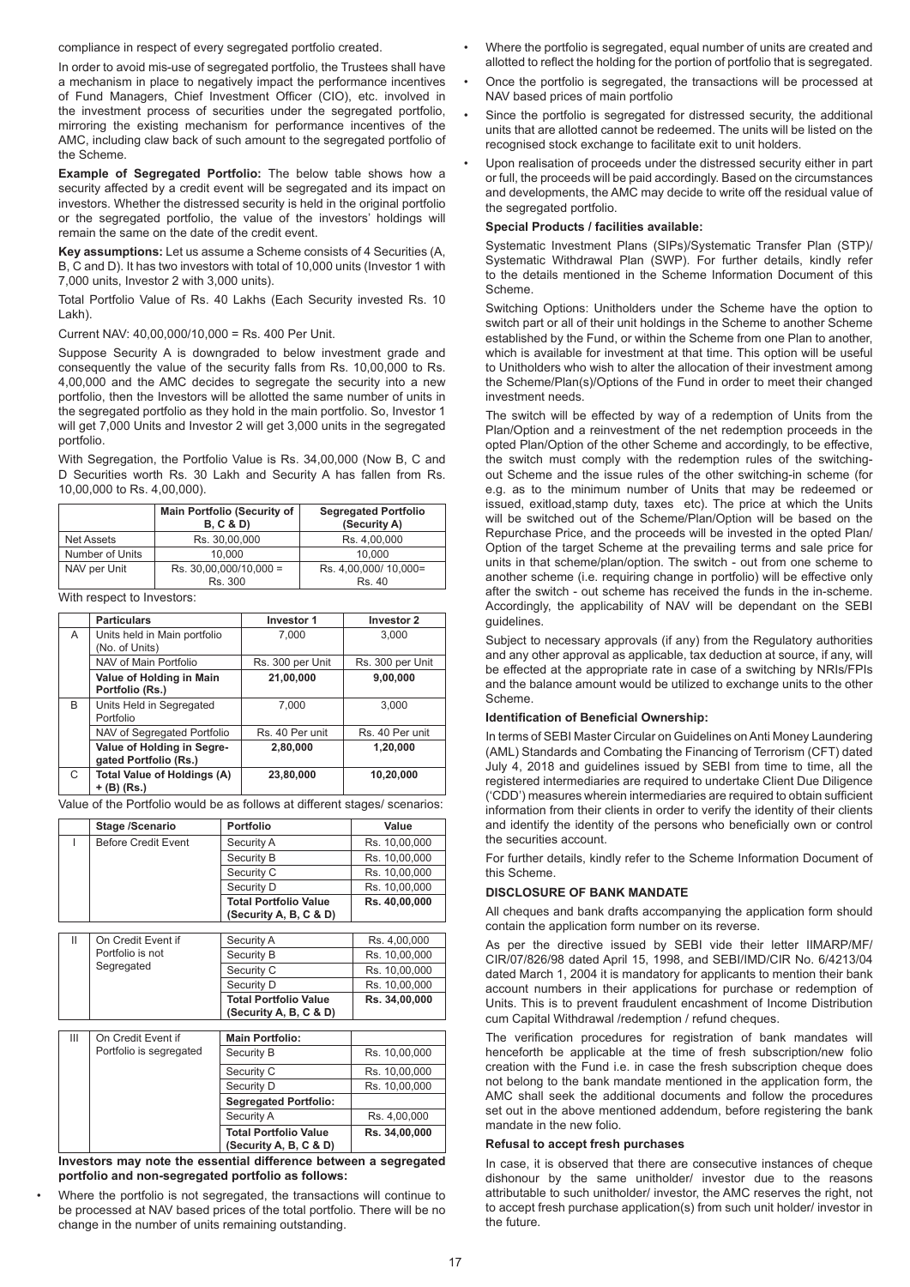compliance in respect of every segregated portfolio created.

In order to avoid mis-use of segregated portfolio, the Trustees shall have a mechanism in place to negatively impact the performance incentives of Fund Managers, Chief Investment Officer (CIO), etc. involved in the investment process of securities under the segregated portfolio, mirroring the existing mechanism for performance incentives of the AMC, including claw back of such amount to the segregated portfolio of the Scheme.

**Example of Segregated Portfolio:** The below table shows how a security affected by a credit event will be segregated and its impact on investors. Whether the distressed security is held in the original portfolio or the segregated portfolio, the value of the investors' holdings will remain the same on the date of the credit event.

**Key assumptions:** Let us assume a Scheme consists of 4 Securities (A, B, C and D). It has two investors with total of 10,000 units (Investor 1 with 7,000 units, Investor 2 with 3,000 units).

Total Portfolio Value of Rs. 40 Lakhs (Each Security invested Rs. 10 Lakh).

Current NAV: 40,00,000/10,000 = Rs. 400 Per Unit.

Suppose Security A is downgraded to below investment grade and consequently the value of the security falls from Rs. 10,00,000 to Rs. 4,00,000 and the AMC decides to segregate the security into a new portfolio, then the Investors will be allotted the same number of units in the segregated portfolio as they hold in the main portfolio. So, Investor 1 will get 7,000 Units and Investor 2 will get 3,000 units in the segregated portfolio.

With Segregation, the Portfolio Value is Rs. 34,00,000 (Now B, C and D Securities worth Rs. 30 Lakh and Security A has fallen from Rs. 10,00,000 to Rs. 4,00,000).

|                   | <b>Main Portfolio (Security of</b><br>B, C & D | <b>Segregated Portfolio</b><br>(Security A) |
|-------------------|------------------------------------------------|---------------------------------------------|
| <b>Net Assets</b> | Rs. 30.00.000                                  | Rs. 4.00.000                                |
| Number of Units   | 10.000                                         | 10.000                                      |
| NAV per Unit      | Rs. 30,00,000/10,000 =                         | Rs. 4,00,000/ 10,000=                       |
|                   | Rs. 300                                        | Rs. 40                                      |

With respect to Investors:

|              | <b>Particulars</b>                                  | <b>Investor 1</b> | Investor 2       |
|--------------|-----------------------------------------------------|-------------------|------------------|
| A            | Units held in Main portfolio                        | 7.000             | 3.000            |
|              | (No. of Units)                                      |                   |                  |
|              | NAV of Main Portfolio                               | Rs. 300 per Unit  | Rs. 300 per Unit |
|              | Value of Holding in Main<br>Portfolio (Rs.)         | 21,00,000         | 9,00,000         |
| <sub>R</sub> | Units Held in Segregated<br>Portfolio               | 7.000             | 3.000            |
|              | NAV of Segregated Portfolio                         | Rs. 40 Per unit   | Rs. 40 Per unit  |
|              | Value of Holding in Segre-<br>gated Portfolio (Rs.) | 2.80.000          | 1.20.000         |
| C            | <b>Total Value of Holdings (A)</b><br>+ (B) (Rs.)   | 23,80,000         | 10,20,000        |

Value of the Portfolio would be as follows at different stages/ scenarios:

| Stage /Scenario            | <b>Portfolio</b>                                       | Value         |
|----------------------------|--------------------------------------------------------|---------------|
| <b>Before Credit Event</b> | Security A                                             | Rs. 10,00,000 |
|                            | Security B                                             | Rs. 10,00,000 |
|                            | Security C                                             | Rs. 10,00,000 |
|                            | Security D                                             | Rs. 10,00,000 |
|                            | <b>Total Portfolio Value</b><br>(Security A, B, C & D) | Rs. 40.00.000 |
|                            |                                                        |               |
| On Credit Event if         | Security A                                             | Rs. 4,00,000  |

|  |   | Portfolio is not<br>Segregated | Security B                                             | Rs. 10,00,000 |
|--|---|--------------------------------|--------------------------------------------------------|---------------|
|  |   |                                | Security C                                             | Rs. 10,00,000 |
|  |   |                                | Security D                                             | Rs. 10,00,000 |
|  |   |                                | <b>Total Portfolio Value</b><br>(Security A, B, C & D) | Rs. 34,00,000 |
|  |   |                                |                                                        |               |
|  | Ш | On Credit Event if             | <b>Main Portfolio:</b>                                 |               |
|  |   | Portfolio is segregated        | Security B                                             | Rs. 10,00,000 |
|  |   |                                | Security C                                             | Rs. 10.00.000 |
|  |   |                                | Security D                                             | Rs. 10,00,000 |
|  |   |                                | <b>Segregated Portfolio:</b>                           |               |
|  |   |                                | Security A                                             | Rs. 4,00,000  |
|  |   |                                | <b>Total Portfolio Value</b>                           | Rs. 34.00.000 |

**(Security A, B, C & D) Investors may note the essential difference between a segregated portfolio and non-segregated portfolio as follows:**

• Where the portfolio is not segregated, the transactions will continue to be processed at NAV based prices of the total portfolio. There will be no change in the number of units remaining outstanding.

- Where the portfolio is segregated, equal number of units are created and allotted to reflect the holding for the portion of portfolio that is segregated.
- Once the portfolio is segregated, the transactions will be processed at NAV based prices of main portfolio
- Since the portfolio is segregated for distressed security, the additional units that are allotted cannot be redeemed. The units will be listed on the recognised stock exchange to facilitate exit to unit holders.
- Upon realisation of proceeds under the distressed security either in part or full, the proceeds will be paid accordingly. Based on the circumstances and developments, the AMC may decide to write off the residual value of the segregated portfolio.

#### **Special Products / facilities available:**

Systematic Investment Plans (SIPs)/Systematic Transfer Plan (STP)/ Systematic Withdrawal Plan (SWP). For further details, kindly refer to the details mentioned in the Scheme Information Document of this Scheme.

Switching Options: Unitholders under the Scheme have the option to switch part or all of their unit holdings in the Scheme to another Scheme established by the Fund, or within the Scheme from one Plan to another, which is available for investment at that time. This option will be useful to Unitholders who wish to alter the allocation of their investment among the Scheme/Plan(s)/Options of the Fund in order to meet their changed investment needs.

The switch will be effected by way of a redemption of Units from the Plan/Option and a reinvestment of the net redemption proceeds in the opted Plan/Option of the other Scheme and accordingly, to be effective, the switch must comply with the redemption rules of the switchingout Scheme and the issue rules of the other switching-in scheme (for e.g. as to the minimum number of Units that may be redeemed or issued, exitload,stamp duty, taxes etc). The price at which the Units will be switched out of the Scheme/Plan/Option will be based on the Repurchase Price, and the proceeds will be invested in the opted Plan/ Option of the target Scheme at the prevailing terms and sale price for units in that scheme/plan/option. The switch - out from one scheme to another scheme (i.e. requiring change in portfolio) will be effective only after the switch - out scheme has received the funds in the in-scheme. Accordingly, the applicability of NAV will be dependant on the SEBI guidelines.

Subject to necessary approvals (if any) from the Regulatory authorities and any other approval as applicable, tax deduction at source, if any, will be effected at the appropriate rate in case of a switching by NRIs/FPIs and the balance amount would be utilized to exchange units to the other Scheme.

## **Identification of Beneficial Ownership:**

In terms of SEBI Master Circular on Guidelines on Anti Money Laundering (AML) Standards and Combating the Financing of Terrorism (CFT) dated July 4, 2018 and guidelines issued by SEBI from time to time, all the registered intermediaries are required to undertake Client Due Diligence ('CDD') measures wherein intermediaries are required to obtain sufficient information from their clients in order to verify the identity of their clients and identify the identity of the persons who beneficially own or control the securities account.

For further details, kindly refer to the Scheme Information Document of this Scheme.

# **DISCLOSURE OF BANK MANDATE**

All cheques and bank drafts accompanying the application form should contain the application form number on its reverse.

As per the directive issued by SEBI vide their letter IIMARP/MF/ CIR/07/826/98 dated April 15, 1998, and SEBI/IMD/CIR No. 6/4213/04 dated March 1, 2004 it is mandatory for applicants to mention their bank account numbers in their applications for purchase or redemption of Units. This is to prevent fraudulent encashment of Income Distribution cum Capital Withdrawal /redemption / refund cheques.

The verification procedures for registration of bank mandates will henceforth be applicable at the time of fresh subscription/new folio creation with the Fund i.e. in case the fresh subscription cheque does not belong to the bank mandate mentioned in the application form, the AMC shall seek the additional documents and follow the procedures set out in the above mentioned addendum, before registering the bank mandate in the new folio.

#### **Refusal to accept fresh purchases**

In case, it is observed that there are consecutive instances of cheque dishonour by the same unitholder/ investor due to the reasons attributable to such unitholder/ investor, the AMC reserves the right, not to accept fresh purchase application(s) from such unit holder/ investor in the future.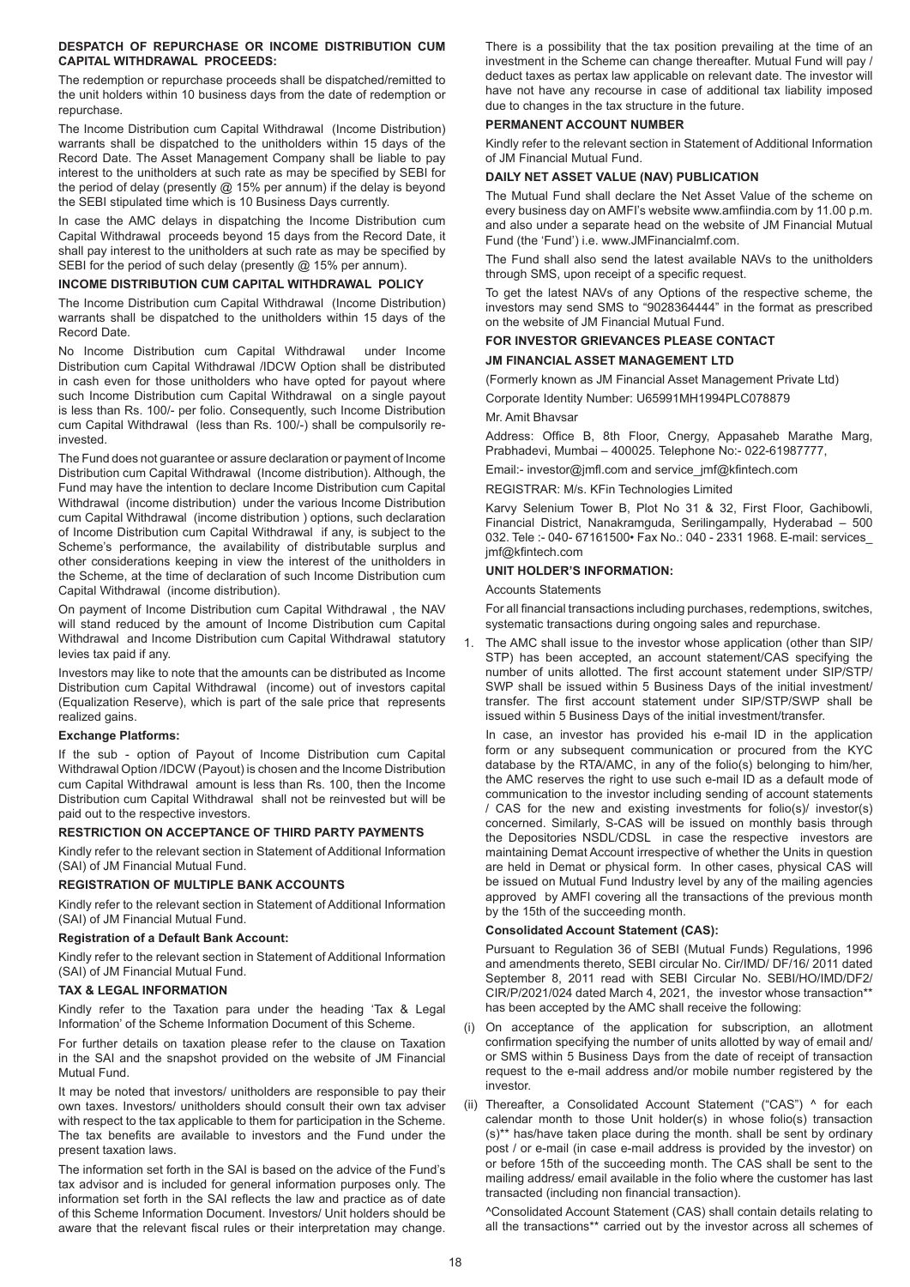# **DESPATCH OF REPURCHASE OR INCOME DISTRIBUTION CUM CAPITAL WITHDRAWAL PROCEEDS:**

The redemption or repurchase proceeds shall be dispatched/remitted to the unit holders within 10 business days from the date of redemption or repurchase.

The Income Distribution cum Capital Withdrawal (Income Distribution) warrants shall be dispatched to the unitholders within 15 days of the Record Date. The Asset Management Company shall be liable to pay interest to the unitholders at such rate as may be specified by SEBI for the period of delay (presently  $@$  15% per annum) if the delay is beyond the SEBI stipulated time which is 10 Business Days currently.

In case the AMC delays in dispatching the Income Distribution cum Capital Withdrawal proceeds beyond 15 days from the Record Date, it shall pay interest to the unitholders at such rate as may be specified by SEBI for the period of such delay (presently @ 15% per annum).

## **INCOME DISTRIBUTION CUM CAPITAL WITHDRAWAL POLICY**

The Income Distribution cum Capital Withdrawal (Income Distribution) warrants shall be dispatched to the unitholders within 15 days of the Record Date.

No Income Distribution cum Capital Withdrawal under Income Distribution cum Capital Withdrawal /IDCW Option shall be distributed in cash even for those unitholders who have opted for payout where such Income Distribution cum Capital Withdrawal on a single payout is less than Rs. 100/- per folio. Consequently, such Income Distribution cum Capital Withdrawal (less than Rs. 100/-) shall be compulsorily reinvested.

The Fund does not guarantee or assure declaration or payment of Income Distribution cum Capital Withdrawal (Income distribution). Although, the Fund may have the intention to declare Income Distribution cum Capital Withdrawal (income distribution) under the various Income Distribution cum Capital Withdrawal (income distribution ) options, such declaration of Income Distribution cum Capital Withdrawal if any, is subject to the Scheme's performance, the availability of distributable surplus and other considerations keeping in view the interest of the unitholders in the Scheme, at the time of declaration of such Income Distribution cum Capital Withdrawal (income distribution).

On payment of Income Distribution cum Capital Withdrawal , the NAV will stand reduced by the amount of Income Distribution cum Capital Withdrawal and Income Distribution cum Capital Withdrawal statutory levies tax paid if any.

Investors may like to note that the amounts can be distributed as Income Distribution cum Capital Withdrawal (income) out of investors capital (Equalization Reserve), which is part of the sale price that represents realized gains.

## **Exchange Platforms:**

If the sub - option of Payout of Income Distribution cum Capital Withdrawal Option /IDCW (Payout) is chosen and the Income Distribution cum Capital Withdrawal amount is less than Rs. 100, then the Income Distribution cum Capital Withdrawal shall not be reinvested but will be paid out to the respective investors.

#### **RESTRICTION ON ACCEPTANCE OF THIRD PARTY PAYMENTS**

Kindly refer to the relevant section in Statement of Additional Information (SAI) of JM Financial Mutual Fund.

## **REGISTRATION OF MULTIPLE BANK ACCOUNTS**

Kindly refer to the relevant section in Statement of Additional Information (SAI) of JM Financial Mutual Fund.

#### **Registration of a Default Bank Account:**

Kindly refer to the relevant section in Statement of Additional Information (SAI) of JM Financial Mutual Fund.

# **TAX & LEGAL INFORMATION**

Kindly refer to the Taxation para under the heading 'Tax & Legal Information' of the Scheme Information Document of this Scheme.

For further details on taxation please refer to the clause on Taxation in the SAI and the snapshot provided on the website of JM Financial Mutual Fund.

It may be noted that investors/ unitholders are responsible to pay their own taxes. Investors/ unitholders should consult their own tax adviser with respect to the tax applicable to them for participation in the Scheme. The tax benefits are available to investors and the Fund under the present taxation laws.

The information set forth in the SAI is based on the advice of the Fund's tax advisor and is included for general information purposes only. The information set forth in the SAI reflects the law and practice as of date of this Scheme Information Document. Investors/ Unit holders should be aware that the relevant fiscal rules or their interpretation may change.

There is a possibility that the tax position prevailing at the time of an investment in the Scheme can change thereafter. Mutual Fund will pay / deduct taxes as pertax law applicable on relevant date. The investor will have not have any recourse in case of additional tax liability imposed due to changes in the tax structure in the future.

# **PERMANENT ACCOUNT NUMBER**

Kindly refer to the relevant section in Statement of Additional Information of JM Financial Mutual Fund.

# **DAILY NET ASSET VALUE (NAV) PUBLICATION**

The Mutual Fund shall declare the Net Asset Value of the scheme on every business day on AMFI's website www.amfiindia.com by 11.00 p.m. and also under a separate head on the website of JM Financial Mutual Fund (the 'Fund') i.e. www.JMFinancialmf.com.

The Fund shall also send the latest available NAVs to the unitholders through SMS, upon receipt of a specific request.

To get the latest NAVs of any Options of the respective scheme, the investors may send SMS to "9028364444" in the format as prescribed on the website of JM Financial Mutual Fund.

# **FOR INVESTOR GRIEVANCES PLEASE CONTACT JM FINANCIAL ASSET MANAGEMENT LTD**

(Formerly known as JM Financial Asset Management Private Ltd)

Corporate Identity Number: U65991MH1994PLC078879

#### Mr. Amit Bhavsar

Address: Office B, 8th Floor, Cnergy, Appasaheb Marathe Marg, Prabhadevi, Mumbai – 400025. Telephone No:- 022-61987777,

Email:- investor@jmfl.com and service\_jmf@kfintech.com

REGISTRAR: M/s. KFin Technologies Limited

Karvy Selenium Tower B, Plot No 31 & 32, First Floor, Gachibowli, Financial District, Nanakramguda, Serilingampally, Hyderabad – 500 032. Tele :- 040- 67161500• Fax No.: 040 - 2331 1968. E-mail: services\_ jmf@kfintech.com

#### **UNIT HOLDER'S INFORMATION:**

#### Accounts Statements

For all financial transactions including purchases, redemptions, switches, systematic transactions during ongoing sales and repurchase.

1. The AMC shall issue to the investor whose application (other than SIP/ STP) has been accepted, an account statement/CAS specifying the number of units allotted. The first account statement under SIP/STP/ SWP shall be issued within 5 Business Days of the initial investment/ transfer. The first account statement under SIP/STP/SWP shall be issued within 5 Business Days of the initial investment/transfer.

In case, an investor has provided his e-mail ID in the application form or any subsequent communication or procured from the KYC database by the RTA/AMC, in any of the folio(s) belonging to him/her, the AMC reserves the right to use such e-mail ID as a default mode of communication to the investor including sending of account statements / CAS for the new and existing investments for folio(s)/ investor(s) concerned. Similarly, S-CAS will be issued on monthly basis through the Depositories NSDL/CDSL in case the respective investors are maintaining Demat Account irrespective of whether the Units in question are held in Demat or physical form. In other cases, physical CAS will be issued on Mutual Fund Industry level by any of the mailing agencies approved by AMFI covering all the transactions of the previous month by the 15th of the succeeding month.

# **Consolidated Account Statement (CAS):**

Pursuant to Regulation 36 of SEBI (Mutual Funds) Regulations, 1996 and amendments thereto, SEBI circular No. Cir/IMD/ DF/16/ 2011 dated September 8, 2011 read with SEBI Circular No. SEBI/HO/IMD/DF2/ CIR/P/2021/024 dated March 4, 2021, the investor whose transaction\*\* has been accepted by the AMC shall receive the following:

- (i) On acceptance of the application for subscription, an allotment confirmation specifying the number of units allotted by way of email and/ or SMS within 5 Business Days from the date of receipt of transaction request to the e-mail address and/or mobile number registered by the investor.
- (ii) Thereafter, a Consolidated Account Statement ("CAS") ^ for each calendar month to those Unit holder(s) in whose folio(s) transaction (s)\*\* has/have taken place during the month. shall be sent by ordinary post / or e-mail (in case e-mail address is provided by the investor) on or before 15th of the succeeding month. The CAS shall be sent to the mailing address/ email available in the folio where the customer has last transacted (including non financial transaction).

^Consolidated Account Statement (CAS) shall contain details relating to all the transactions\*\* carried out by the investor across all schemes of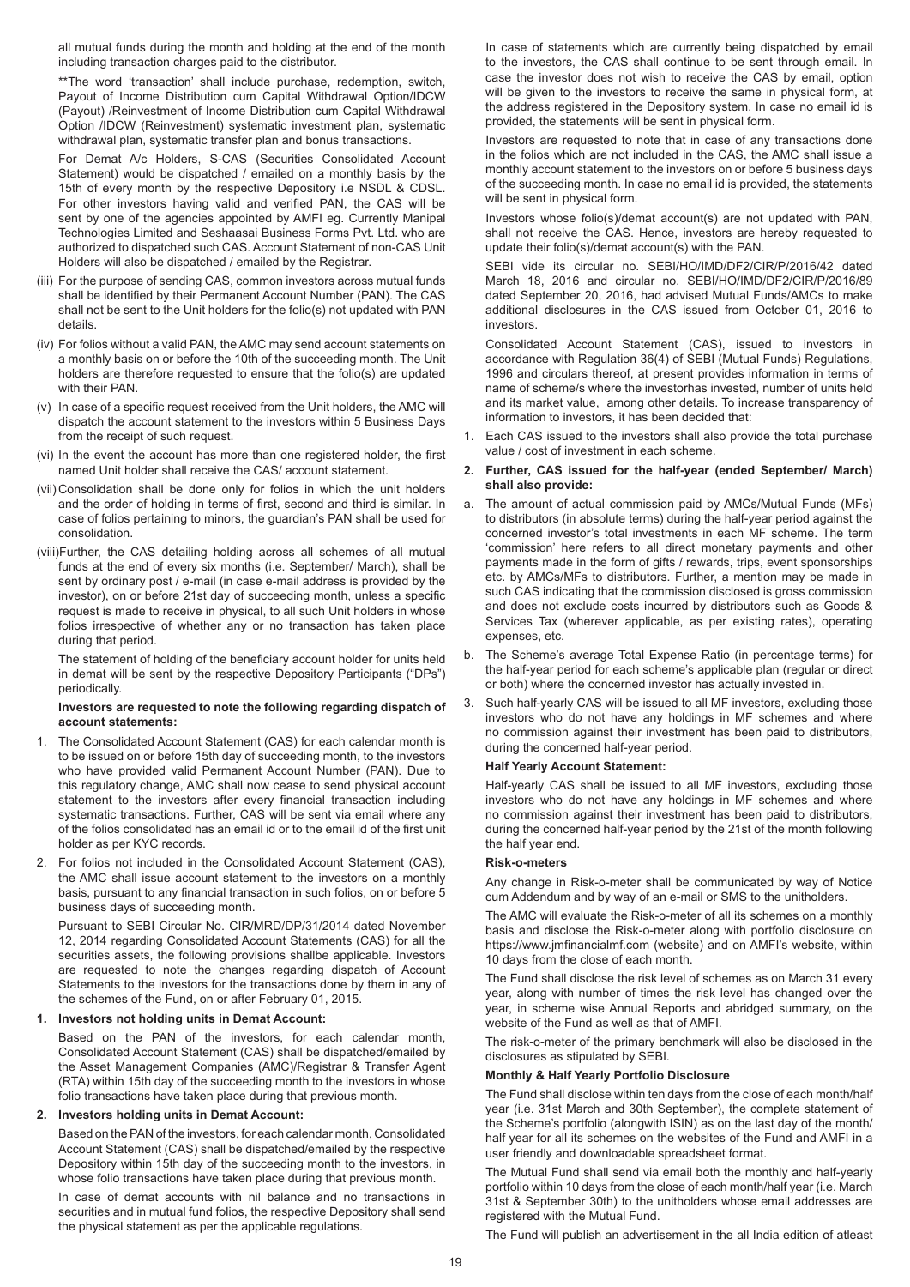all mutual funds during the month and holding at the end of the month including transaction charges paid to the distributor.

\*\*The word 'transaction' shall include purchase, redemption, switch, Payout of Income Distribution cum Capital Withdrawal Option/IDCW (Payout) /Reinvestment of Income Distribution cum Capital Withdrawal Option /IDCW (Reinvestment) systematic investment plan, systematic withdrawal plan, systematic transfer plan and bonus transactions.

For Demat A/c Holders, S-CAS (Securities Consolidated Account Statement) would be dispatched / emailed on a monthly basis by the 15th of every month by the respective Depository i.e NSDL & CDSL. For other investors having valid and verified PAN, the CAS will be sent by one of the agencies appointed by AMFI eg. Currently Manipal Technologies Limited and Seshaasai Business Forms Pvt. Ltd. who are authorized to dispatched such CAS. Account Statement of non-CAS Unit Holders will also be dispatched / emailed by the Registrar.

- (iii) For the purpose of sending CAS, common investors across mutual funds shall be identified by their Permanent Account Number (PAN). The CAS shall not be sent to the Unit holders for the folio(s) not updated with PAN details.
- (iv) For folios without a valid PAN, the AMC may send account statements on a monthly basis on or before the 10th of the succeeding month. The Unit holders are therefore requested to ensure that the folio(s) are updated with their PAN.
- (v) In case of a specific request received from the Unit holders, the AMC will dispatch the account statement to the investors within 5 Business Days from the receipt of such request.
- (vi) In the event the account has more than one registered holder, the first named Unit holder shall receive the CAS/ account statement.
- (vii) Consolidation shall be done only for folios in which the unit holders and the order of holding in terms of first, second and third is similar. In case of folios pertaining to minors, the guardian's PAN shall be used for consolidation.
- (viii)Further, the CAS detailing holding across all schemes of all mutual funds at the end of every six months (i.e. September/ March), shall be sent by ordinary post / e-mail (in case e-mail address is provided by the investor), on or before 21st day of succeeding month, unless a specific request is made to receive in physical, to all such Unit holders in whose folios irrespective of whether any or no transaction has taken place during that period.

The statement of holding of the beneficiary account holder for units held in demat will be sent by the respective Depository Participants ("DPs") periodically.

## **Investors are requested to note the following regarding dispatch of account statements:**

- 1. The Consolidated Account Statement (CAS) for each calendar month is to be issued on or before 15th day of succeeding month, to the investors who have provided valid Permanent Account Number (PAN). Due to this regulatory change, AMC shall now cease to send physical account statement to the investors after every financial transaction including systematic transactions. Further, CAS will be sent via email where any of the folios consolidated has an email id or to the email id of the first unit holder as per KYC records.
- 2. For folios not included in the Consolidated Account Statement (CAS), the AMC shall issue account statement to the investors on a monthly basis, pursuant to any financial transaction in such folios, on or before 5 business days of succeeding month.

Pursuant to SEBI Circular No. CIR/MRD/DP/31/2014 dated November 12, 2014 regarding Consolidated Account Statements (CAS) for all the securities assets, the following provisions shallbe applicable. Investors are requested to note the changes regarding dispatch of Account Statements to the investors for the transactions done by them in any of the schemes of the Fund, on or after February 01, 2015.

# **1. Investors not holding units in Demat Account:**

Based on the PAN of the investors, for each calendar month, Consolidated Account Statement (CAS) shall be dispatched/emailed by the Asset Management Companies (AMC)/Registrar & Transfer Agent (RTA) within 15th day of the succeeding month to the investors in whose folio transactions have taken place during that previous month.

## **2. Investors holding units in Demat Account:**

Based on the PAN of the investors, for each calendar month, Consolidated Account Statement (CAS) shall be dispatched/emailed by the respective Depository within 15th day of the succeeding month to the investors, in whose folio transactions have taken place during that previous month.

In case of demat accounts with nil balance and no transactions in securities and in mutual fund folios, the respective Depository shall send the physical statement as per the applicable regulations.

In case of statements which are currently being dispatched by email to the investors, the CAS shall continue to be sent through email. In case the investor does not wish to receive the CAS by email, option will be given to the investors to receive the same in physical form, at the address registered in the Depository system. In case no email id is provided, the statements will be sent in physical form.

Investors are requested to note that in case of any transactions done in the folios which are not included in the CAS, the AMC shall issue a monthly account statement to the investors on or before 5 business days of the succeeding month. In case no email id is provided, the statements will be sent in physical form.

Investors whose folio(s)/demat account(s) are not updated with PAN, shall not receive the CAS. Hence, investors are hereby requested to update their folio(s)/demat account(s) with the PAN.

SEBI vide its circular no. SEBI/HO/IMD/DF2/CIR/P/2016/42 dated March 18, 2016 and circular no. SEBI/HO/IMD/DF2/CIR/P/2016/89 dated September 20, 2016, had advised Mutual Funds/AMCs to make additional disclosures in the CAS issued from October 01, 2016 to investors.

Consolidated Account Statement (CAS), issued to investors in accordance with Regulation 36(4) of SEBI (Mutual Funds) Regulations, 1996 and circulars thereof, at present provides information in terms of name of scheme/s where the investorhas invested, number of units held and its market value, among other details. To increase transparency of information to investors, it has been decided that:

Each CAS issued to the investors shall also provide the total purchase value / cost of investment in each scheme.

# **2. Further, CAS issued for the half-year (ended September/ March) shall also provide:**

- a. The amount of actual commission paid by AMCs/Mutual Funds (MFs) to distributors (in absolute terms) during the half-year period against the concerned investor's total investments in each MF scheme. The term 'commission' here refers to all direct monetary payments and other payments made in the form of gifts / rewards, trips, event sponsorships etc. by AMCs/MFs to distributors. Further, a mention may be made in such CAS indicating that the commission disclosed is gross commission and does not exclude costs incurred by distributors such as Goods & Services Tax (wherever applicable, as per existing rates), operating expenses, etc.
- b. The Scheme's average Total Expense Ratio (in percentage terms) for the half-year period for each scheme's applicable plan (regular or direct or both) where the concerned investor has actually invested in.
- 3. Such half-yearly CAS will be issued to all MF investors, excluding those investors who do not have any holdings in MF schemes and where no commission against their investment has been paid to distributors, during the concerned half-year period.

# **Half Yearly Account Statement:**

Half-yearly CAS shall be issued to all MF investors, excluding those investors who do not have any holdings in MF schemes and where no commission against their investment has been paid to distributors, during the concerned half-year period by the 21st of the month following the half year end.

## **Risk-o-meters**

Any change in Risk-o-meter shall be communicated by way of Notice cum Addendum and by way of an e-mail or SMS to the unitholders.

The AMC will evaluate the Risk-o-meter of all its schemes on a monthly basis and disclose the Risk-o-meter along with portfolio disclosure on https://www.jmfinancialmf.com (website) and on AMFI's website, within 10 days from the close of each month.

The Fund shall disclose the risk level of schemes as on March 31 every year, along with number of times the risk level has changed over the year, in scheme wise Annual Reports and abridged summary, on the website of the Fund as well as that of AMFI.

The risk-o-meter of the primary benchmark will also be disclosed in the disclosures as stipulated by SEBI.

## **Monthly & Half Yearly Portfolio Disclosure**

The Fund shall disclose within ten days from the close of each month/half year (i.e. 31st March and 30th September), the complete statement of the Scheme's portfolio (alongwith ISIN) as on the last day of the month/ half year for all its schemes on the websites of the Fund and AMFI in a user friendly and downloadable spreadsheet format.

The Mutual Fund shall send via email both the monthly and half-yearly portfolio within 10 days from the close of each month/half year (i.e. March 31st & September 30th) to the unitholders whose email addresses are registered with the Mutual Fund.

The Fund will publish an advertisement in the all India edition of atleast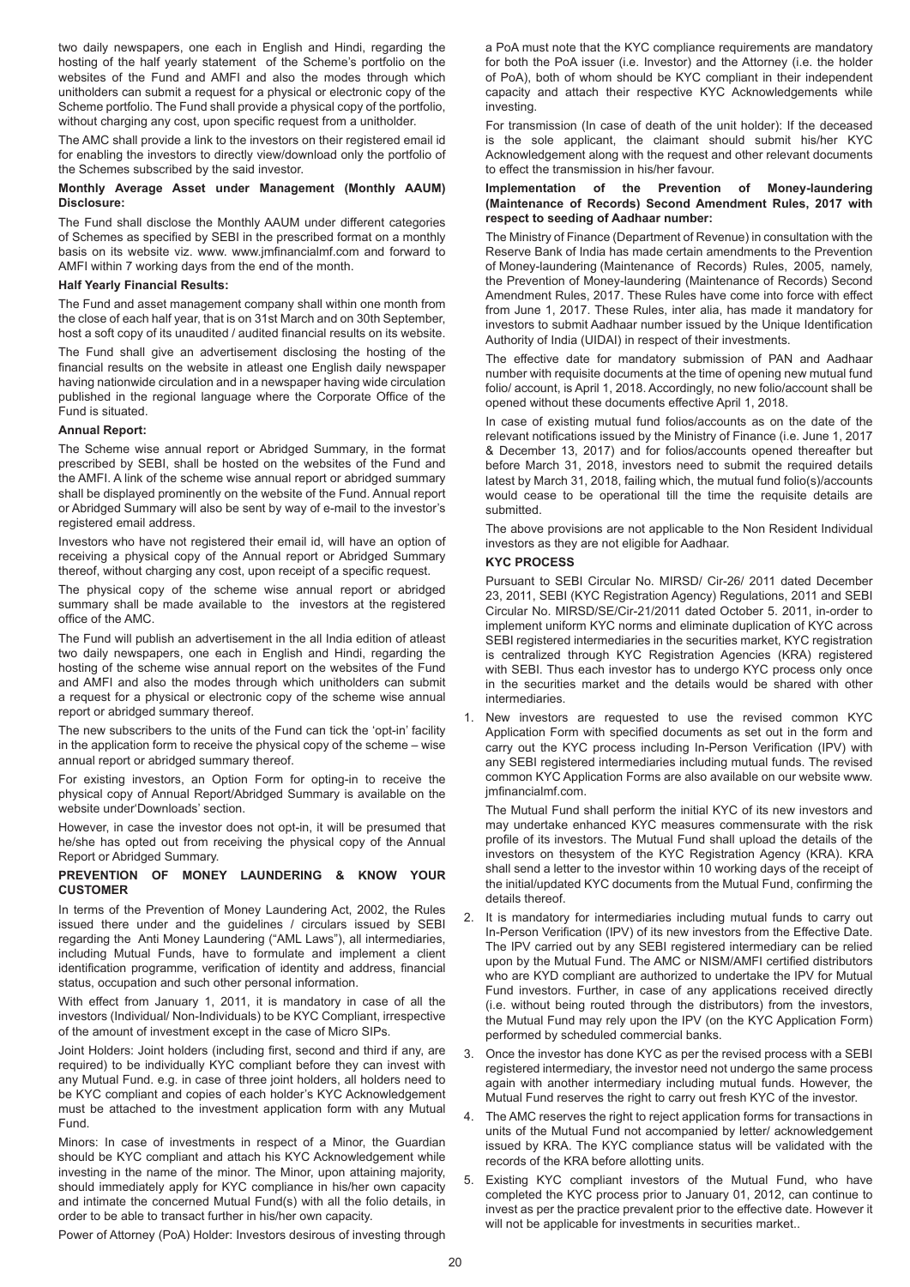two daily newspapers, one each in English and Hindi, regarding the hosting of the half yearly statement of the Scheme's portfolio on the websites of the Fund and AMFI and also the modes through which unitholders can submit a request for a physical or electronic copy of the Scheme portfolio. The Fund shall provide a physical copy of the portfolio, without charging any cost, upon specific request from a unitholder.

The AMC shall provide a link to the investors on their registered email id for enabling the investors to directly view/download only the portfolio of the Schemes subscribed by the said investor.

# **Monthly Average Asset under Management (Monthly AAUM) Disclosure:**

The Fund shall disclose the Monthly AAUM under different categories of Schemes as specified by SEBI in the prescribed format on a monthly basis on its website viz. www. www.jmfinancialmf.com and forward to AMFI within 7 working days from the end of the month.

# **Half Yearly Financial Results:**

The Fund and asset management company shall within one month from the close of each half year, that is on 31st March and on 30th September, host a soft copy of its unaudited / audited financial results on its website.

The Fund shall give an advertisement disclosing the hosting of the financial results on the website in atleast one English daily newspaper having nationwide circulation and in a newspaper having wide circulation published in the regional language where the Corporate Office of the Fund is situated.

# **Annual Report:**

The Scheme wise annual report or Abridged Summary, in the format prescribed by SEBI, shall be hosted on the websites of the Fund and the AMFI. A link of the scheme wise annual report or abridged summary shall be displayed prominently on the website of the Fund. Annual report or Abridged Summary will also be sent by way of e-mail to the investor's registered email address.

Investors who have not registered their email id, will have an option of receiving a physical copy of the Annual report or Abridged Summary thereof, without charging any cost, upon receipt of a specific request.

The physical copy of the scheme wise annual report or abridged summary shall be made available to the investors at the registered office of the AMC.

The Fund will publish an advertisement in the all India edition of atleast two daily newspapers, one each in English and Hindi, regarding the hosting of the scheme wise annual report on the websites of the Fund and AMFI and also the modes through which unitholders can submit a request for a physical or electronic copy of the scheme wise annual report or abridged summary thereof.

The new subscribers to the units of the Fund can tick the 'opt-in' facility in the application form to receive the physical copy of the scheme – wise annual report or abridged summary thereof.

For existing investors, an Option Form for opting-in to receive the physical copy of Annual Report/Abridged Summary is available on the website under'Downloads' section.

However, in case the investor does not opt-in, it will be presumed that he/she has opted out from receiving the physical copy of the Annual Report or Abridged Summary.

#### **PREVENTION OF MONEY LAUNDERING & KNOW YOUR CUSTOMER**

In terms of the Prevention of Money Laundering Act, 2002, the Rules issued there under and the guidelines / circulars issued by SEBI regarding the Anti Money Laundering ("AML Laws"), all intermediaries, including Mutual Funds, have to formulate and implement a client identification programme, verification of identity and address, financial status, occupation and such other personal information.

With effect from January 1, 2011, it is mandatory in case of all the investors (Individual/ Non-Individuals) to be KYC Compliant, irrespective of the amount of investment except in the case of Micro SIPs.

Joint Holders: Joint holders (including first, second and third if any, are required) to be individually KYC compliant before they can invest with any Mutual Fund. e.g. in case of three joint holders, all holders need to be KYC compliant and copies of each holder's KYC Acknowledgement must be attached to the investment application form with any Mutual Fund.

Minors: In case of investments in respect of a Minor, the Guardian should be KYC compliant and attach his KYC Acknowledgement while investing in the name of the minor. The Minor, upon attaining majority, should immediately apply for KYC compliance in his/her own capacity and intimate the concerned Mutual Fund(s) with all the folio details, in order to be able to transact further in his/her own capacity.

Power of Attorney (PoA) Holder: Investors desirous of investing through

a PoA must note that the KYC compliance requirements are mandatory for both the PoA issuer (i.e. Investor) and the Attorney (i.e. the holder of PoA), both of whom should be KYC compliant in their independent capacity and attach their respective KYC Acknowledgements while investing.

For transmission (In case of death of the unit holder): If the deceased is the sole applicant, the claimant should submit his/her KYC Acknowledgement along with the request and other relevant documents to effect the transmission in his/her favour.

#### **Implementation of the Prevention of Money-laundering (Maintenance of Records) Second Amendment Rules, 2017 with respect to seeding of Aadhaar number:**

The Ministry of Finance (Department of Revenue) in consultation with the Reserve Bank of India has made certain amendments to the Prevention of Money-laundering (Maintenance of Records) Rules, 2005, namely, the Prevention of Money-laundering (Maintenance of Records) Second Amendment Rules, 2017. These Rules have come into force with effect from June 1, 2017. These Rules, inter alia, has made it mandatory for investors to submit Aadhaar number issued by the Unique Identification Authority of India (UIDAI) in respect of their investments.

The effective date for mandatory submission of PAN and Aadhaar number with requisite documents at the time of opening new mutual fund folio/ account, is April 1, 2018. Accordingly, no new folio/account shall be opened without these documents effective April 1, 2018.

In case of existing mutual fund folios/accounts as on the date of the relevant notifications issued by the Ministry of Finance (i.e. June 1, 2017 & December 13, 2017) and for folios/accounts opened thereafter but before March 31, 2018, investors need to submit the required details latest by March 31, 2018, failing which, the mutual fund folio(s)/accounts would cease to be operational till the time the requisite details are submitted.

The above provisions are not applicable to the Non Resident Individual investors as they are not eligible for Aadhaar.

# **KYC PROCESS**

Pursuant to SEBI Circular No. MIRSD/ Cir-26/ 2011 dated December 23, 2011, SEBI (KYC Registration Agency) Regulations, 2011 and SEBI Circular No. MIRSD/SE/Cir-21/2011 dated October 5. 2011, in-order to implement uniform KYC norms and eliminate duplication of KYC across SEBI registered intermediaries in the securities market, KYC registration is centralized through KYC Registration Agencies (KRA) registered with SEBI. Thus each investor has to undergo KYC process only once in the securities market and the details would be shared with other **intermediaries** 

New investors are requested to use the revised common KYC Application Form with specified documents as set out in the form and carry out the KYC process including In-Person Verification (IPV) with any SEBI registered intermediaries including mutual funds. The revised common KYC Application Forms are also available on our website www. jmfinancialmf.com.

The Mutual Fund shall perform the initial KYC of its new investors and may undertake enhanced KYC measures commensurate with the risk profile of its investors. The Mutual Fund shall upload the details of the investors on thesystem of the KYC Registration Agency (KRA). KRA shall send a letter to the investor within 10 working days of the receipt of the initial/updated KYC documents from the Mutual Fund, confirming the details thereof.

- 2. It is mandatory for intermediaries including mutual funds to carry out In-Person Verification (IPV) of its new investors from the Effective Date. The IPV carried out by any SEBI registered intermediary can be relied upon by the Mutual Fund. The AMC or NISM/AMFI certified distributors who are KYD compliant are authorized to undertake the IPV for Mutual Fund investors. Further, in case of any applications received directly (i.e. without being routed through the distributors) from the investors, the Mutual Fund may rely upon the IPV (on the KYC Application Form) performed by scheduled commercial banks.
- 3. Once the investor has done KYC as per the revised process with a SEBI registered intermediary, the investor need not undergo the same process again with another intermediary including mutual funds. However, the Mutual Fund reserves the right to carry out fresh KYC of the investor.
- 4. The AMC reserves the right to reject application forms for transactions in units of the Mutual Fund not accompanied by letter/ acknowledgement issued by KRA. The KYC compliance status will be validated with the records of the KRA before allotting units.
- 5. Existing KYC compliant investors of the Mutual Fund, who have completed the KYC process prior to January 01, 2012, can continue to invest as per the practice prevalent prior to the effective date. However it will not be applicable for investments in securities market..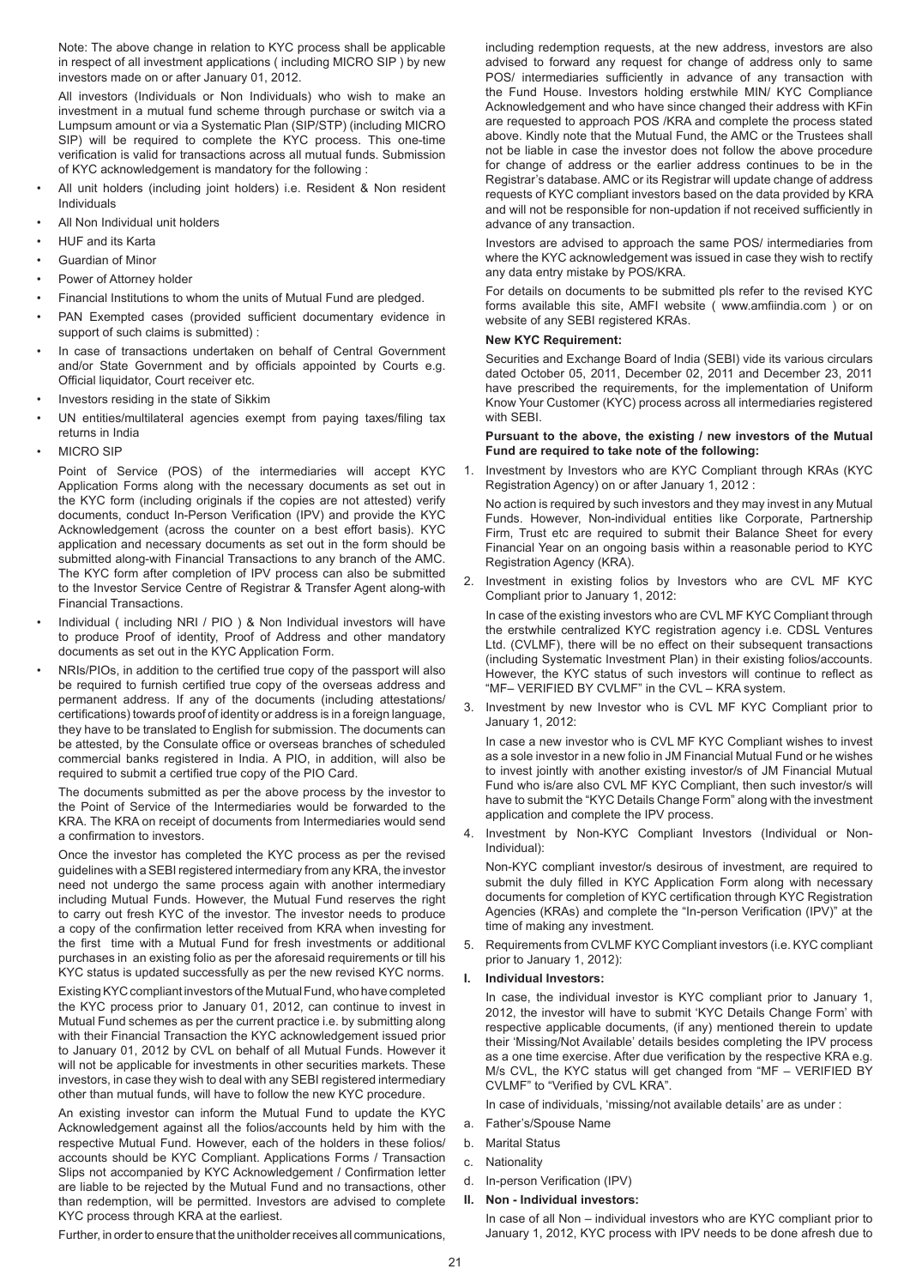Note: The above change in relation to KYC process shall be applicable in respect of all investment applications ( including MICRO SIP ) by new investors made on or after January 01, 2012.

All investors (Individuals or Non Individuals) who wish to make an investment in a mutual fund scheme through purchase or switch via a Lumpsum amount or via a Systematic Plan (SIP/STP) (including MICRO SIP) will be required to complete the KYC process. This one-time verification is valid for transactions across all mutual funds. Submission of KYC acknowledgement is mandatory for the following :

- All unit holders (including joint holders) i.e. Resident & Non resident Individuals
- All Non Individual unit holders
- HUF and its Karta
- Guardian of Minor
- Power of Attorney holder
- Financial Institutions to whom the units of Mutual Fund are pledged.
- PAN Exempted cases (provided sufficient documentary evidence in support of such claims is submitted) :
- In case of transactions undertaken on behalf of Central Government and/or State Government and by officials appointed by Courts e.g. Official liquidator, Court receiver etc.
- Investors residing in the state of Sikkim
- UN entities/multilateral agencies exempt from paying taxes/filing tax returns in India
- MICRO SIP

Point of Service (POS) of the intermediaries will accept KYC Application Forms along with the necessary documents as set out in the KYC form (including originals if the copies are not attested) verify documents, conduct In-Person Verification (IPV) and provide the KYC Acknowledgement (across the counter on a best effort basis). KYC application and necessary documents as set out in the form should be submitted along-with Financial Transactions to any branch of the AMC. The KYC form after completion of IPV process can also be submitted to the Investor Service Centre of Registrar & Transfer Agent along-with Financial Transactions.

- Individual ( including NRI / PIO ) & Non Individual investors will have to produce Proof of identity, Proof of Address and other mandatory documents as set out in the KYC Application Form.
- NRIs/PIOs, in addition to the certified true copy of the passport will also be required to furnish certified true copy of the overseas address and permanent address. If any of the documents (including attestations/ certifications) towards proof of identity or address is in a foreign language, they have to be translated to English for submission. The documents can be attested, by the Consulate office or overseas branches of scheduled commercial banks registered in India. A PIO, in addition, will also be required to submit a certified true copy of the PIO Card.

The documents submitted as per the above process by the investor to the Point of Service of the Intermediaries would be forwarded to the KRA. The KRA on receipt of documents from Intermediaries would send a confirmation to investors.

Once the investor has completed the KYC process as per the revised guidelines with a SEBI registered intermediary from any KRA, the investor need not undergo the same process again with another intermediary including Mutual Funds. However, the Mutual Fund reserves the right to carry out fresh KYC of the investor. The investor needs to produce a copy of the confirmation letter received from KRA when investing for the first time with a Mutual Fund for fresh investments or additional purchases in an existing folio as per the aforesaid requirements or till his KYC status is updated successfully as per the new revised KYC norms.

Existing KYC compliant investors of the Mutual Fund, who have completed the KYC process prior to January 01, 2012, can continue to invest in Mutual Fund schemes as per the current practice i.e. by submitting along with their Financial Transaction the KYC acknowledgement issued prior to January 01, 2012 by CVL on behalf of all Mutual Funds. However it will not be applicable for investments in other securities markets. These investors, in case they wish to deal with any SEBI registered intermediary other than mutual funds, will have to follow the new KYC procedure.

An existing investor can inform the Mutual Fund to update the KYC Acknowledgement against all the folios/accounts held by him with the respective Mutual Fund. However, each of the holders in these folios/ accounts should be KYC Compliant. Applications Forms / Transaction Slips not accompanied by KYC Acknowledgement / Confirmation letter are liable to be rejected by the Mutual Fund and no transactions, other than redemption, will be permitted. Investors are advised to complete KYC process through KRA at the earliest.

Further, in order to ensure that the unitholder receives all communications,

including redemption requests, at the new address, investors are also advised to forward any request for change of address only to same POS/ intermediaries sufficiently in advance of any transaction with the Fund House. Investors holding erstwhile MIN/ KYC Compliance Acknowledgement and who have since changed their address with KFin are requested to approach POS /KRA and complete the process stated above. Kindly note that the Mutual Fund, the AMC or the Trustees shall not be liable in case the investor does not follow the above procedure for change of address or the earlier address continues to be in the Registrar's database. AMC or its Registrar will update change of address requests of KYC compliant investors based on the data provided by KRA and will not be responsible for non-updation if not received sufficiently in advance of any transaction.

Investors are advised to approach the same POS/ intermediaries from where the KYC acknowledgement was issued in case they wish to rectify any data entry mistake by POS/KRA.

For details on documents to be submitted pls refer to the revised KYC forms available this site, AMFI website ( www.amfiindia.com ) or on website of any SEBI registered KRAs.

# **New KYC Requirement:**

Securities and Exchange Board of India (SEBI) vide its various circulars dated October 05, 2011, December 02, 2011 and December 23, 2011 have prescribed the requirements, for the implementation of Uniform Know Your Customer (KYC) process across all intermediaries registered with SEBI.

#### **Pursuant to the above, the existing / new investors of the Mutual Fund are required to take note of the following:**

Investment by Investors who are KYC Compliant through KRAs (KYC Registration Agency) on or after January 1, 2012 :

No action is required by such investors and they may invest in any Mutual Funds. However, Non-individual entities like Corporate, Partnership Firm, Trust etc are required to submit their Balance Sheet for every Financial Year on an ongoing basis within a reasonable period to KYC Registration Agency (KRA).

2. Investment in existing folios by Investors who are CVL MF KYC Compliant prior to January 1, 2012:

In case of the existing investors who are CVL MF KYC Compliant through the erstwhile centralized KYC registration agency i.e. CDSL Ventures Ltd. (CVLMF), there will be no effect on their subsequent transactions (including Systematic Investment Plan) in their existing folios/accounts. However, the KYC status of such investors will continue to reflect as "MF– VERIFIED BY CVLMF" in the CVL – KRA system.

3. Investment by new Investor who is CVL MF KYC Compliant prior to January 1, 2012:

In case a new investor who is CVL MF KYC Compliant wishes to invest as a sole investor in a new folio in JM Financial Mutual Fund or he wishes to invest jointly with another existing investor/s of JM Financial Mutual Fund who is/are also CVL MF KYC Compliant, then such investor/s will have to submit the "KYC Details Change Form" along with the investment application and complete the IPV process.

4. Investment by Non-KYC Compliant Investors (Individual or Non-Individual):

Non-KYC compliant investor/s desirous of investment, are required to submit the duly filled in KYC Application Form along with necessary documents for completion of KYC certification through KYC Registration Agencies (KRAs) and complete the "In-person Verification (IPV)" at the time of making any investment.

5. Requirements from CVLMF KYC Compliant investors (i.e. KYC compliant prior to January 1, 2012):

# **I. Individual Investors:**

In case, the individual investor is KYC compliant prior to January 1, 2012, the investor will have to submit 'KYC Details Change Form' with respective applicable documents, (if any) mentioned therein to update their 'Missing/Not Available' details besides completing the IPV process as a one time exercise. After due verification by the respective KRA e.g. M/s CVL, the KYC status will get changed from "MF – VERIFIED BY CVLMF" to "Verified by CVL KRA".

In case of individuals, 'missing/not available details' are as under :

- a. Father's/Spouse Name
- b. Marital Status
- c. Nationality
- d. In-person Verification (IPV)

## **II. Non - Individual investors:**

In case of all Non – individual investors who are KYC compliant prior to January 1, 2012, KYC process with IPV needs to be done afresh due to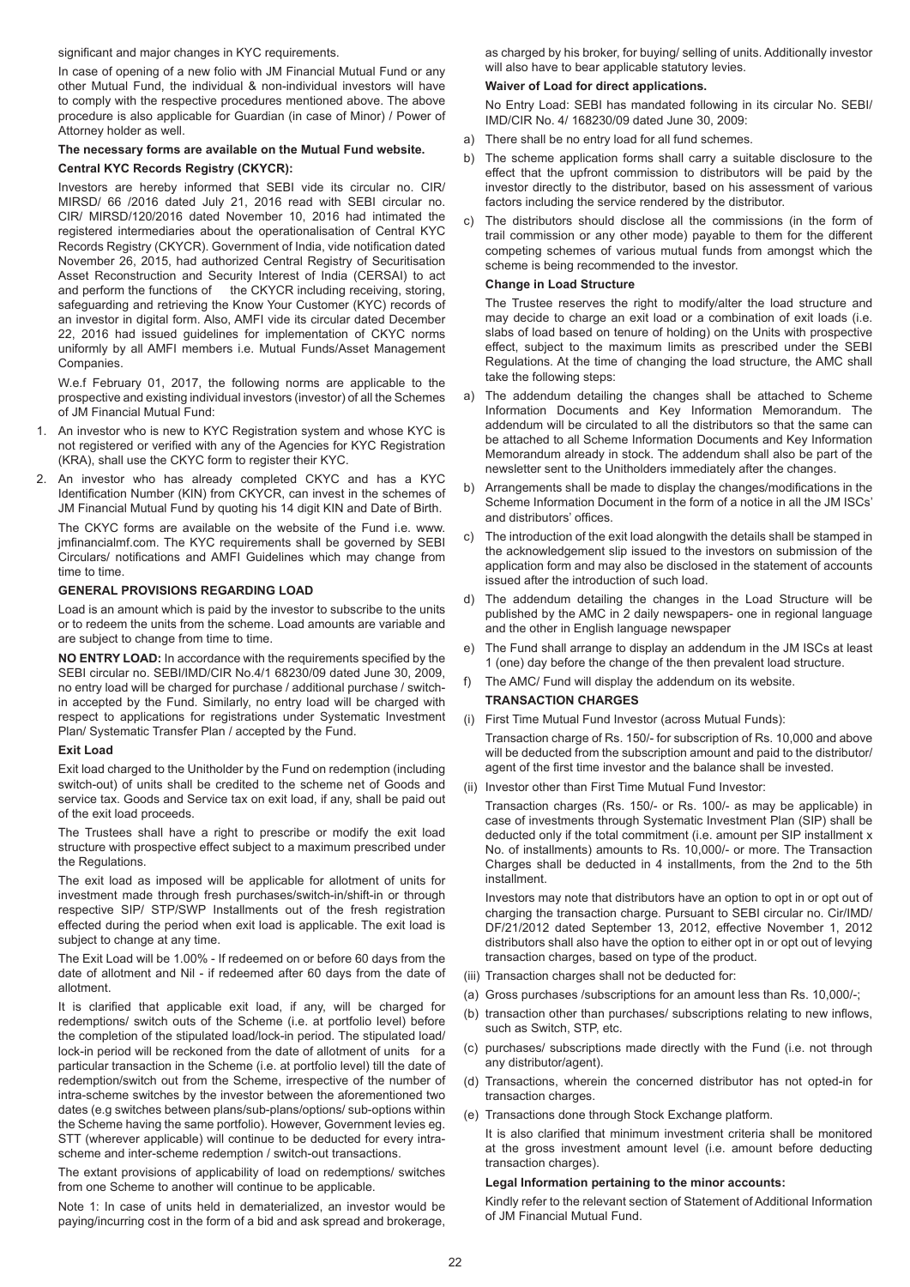significant and major changes in KYC requirements.

In case of opening of a new folio with JM Financial Mutual Fund or any other Mutual Fund, the individual & non-individual investors will have to comply with the respective procedures mentioned above. The above procedure is also applicable for Guardian (in case of Minor) / Power of Attorney holder as well.

#### **The necessary forms are available on the Mutual Fund website.**

#### **Central KYC Records Registry (CKYCR):**

Investors are hereby informed that SEBI vide its circular no. CIR/ MIRSD/ 66 /2016 dated July 21, 2016 read with SEBI circular no. CIR/ MIRSD/120/2016 dated November 10, 2016 had intimated the registered intermediaries about the operationalisation of Central KYC Records Registry (CKYCR). Government of India, vide notification dated November 26, 2015, had authorized Central Registry of Securitisation Asset Reconstruction and Security Interest of India (CERSAI) to act and perform the functions of the CKYCR including receiving, storing, safeguarding and retrieving the Know Your Customer (KYC) records of an investor in digital form. Also, AMFI vide its circular dated December 22, 2016 had issued guidelines for implementation of CKYC norms uniformly by all AMFI members i.e. Mutual Funds/Asset Management Companies.

W.e.f February 01, 2017, the following norms are applicable to the prospective and existing individual investors (investor) of all the Schemes of JM Financial Mutual Fund:

- 1. An investor who is new to KYC Registration system and whose KYC is not registered or verified with any of the Agencies for KYC Registration (KRA), shall use the CKYC form to register their KYC.
- 2. An investor who has already completed CKYC and has a KYC Identification Number (KIN) from CKYCR, can invest in the schemes of JM Financial Mutual Fund by quoting his 14 digit KIN and Date of Birth.

The CKYC forms are available on the website of the Fund i.e. www. jmfinancialmf.com. The KYC requirements shall be governed by SEBI Circulars/ notifications and AMFI Guidelines which may change from time to time.

#### **GENERAL PROVISIONS REGARDING LOAD**

Load is an amount which is paid by the investor to subscribe to the units or to redeem the units from the scheme. Load amounts are variable and are subject to change from time to time.

**NO ENTRY LOAD:** In accordance with the requirements specified by the SEBI circular no. SEBI/IMD/CIR No.4/1 68230/09 dated June 30, 2009, no entry load will be charged for purchase / additional purchase / switchin accepted by the Fund. Similarly, no entry load will be charged with respect to applications for registrations under Systematic Investment Plan/ Systematic Transfer Plan / accepted by the Fund.

#### **Exit Load**

Exit load charged to the Unitholder by the Fund on redemption (including switch-out) of units shall be credited to the scheme net of Goods and service tax. Goods and Service tax on exit load, if any, shall be paid out of the exit load proceeds.

The Trustees shall have a right to prescribe or modify the exit load structure with prospective effect subject to a maximum prescribed under the Regulations.

The exit load as imposed will be applicable for allotment of units for investment made through fresh purchases/switch-in/shift-in or through respective SIP/ STP/SWP Installments out of the fresh registration effected during the period when exit load is applicable. The exit load is subject to change at any time.

The Exit Load will be 1.00% - If redeemed on or before 60 days from the date of allotment and Nil - if redeemed after 60 days from the date of allotment.

It is clarified that applicable exit load, if any, will be charged for redemptions/ switch outs of the Scheme (i.e. at portfolio level) before the completion of the stipulated load/lock-in period. The stipulated load/ lock-in period will be reckoned from the date of allotment of units for a particular transaction in the Scheme (i.e. at portfolio level) till the date of redemption/switch out from the Scheme, irrespective of the number of intra-scheme switches by the investor between the aforementioned two dates (e.g switches between plans/sub-plans/options/ sub-options within the Scheme having the same portfolio). However, Government levies eg. STT (wherever applicable) will continue to be deducted for every intrascheme and inter-scheme redemption / switch-out transactions.

The extant provisions of applicability of load on redemptions/ switches from one Scheme to another will continue to be applicable.

Note 1: In case of units held in dematerialized, an investor would be paying/incurring cost in the form of a bid and ask spread and brokerage, as charged by his broker, for buying/ selling of units. Additionally investor will also have to bear applicable statutory levies.

#### **Waiver of Load for direct applications.**

No Entry Load: SEBI has mandated following in its circular No. SEBI/ IMD/CIR No. 4/ 168230/09 dated June 30, 2009:

- a) There shall be no entry load for all fund schemes.
- b) The scheme application forms shall carry a suitable disclosure to the effect that the upfront commission to distributors will be paid by the investor directly to the distributor, based on his assessment of various factors including the service rendered by the distributor.
- The distributors should disclose all the commissions (in the form of trail commission or any other mode) payable to them for the different competing schemes of various mutual funds from amongst which the scheme is being recommended to the investor.

#### **Change in Load Structure**

The Trustee reserves the right to modify/alter the load structure and may decide to charge an exit load or a combination of exit loads (i.e. slabs of load based on tenure of holding) on the Units with prospective effect, subject to the maximum limits as prescribed under the SEBI Regulations. At the time of changing the load structure, the AMC shall take the following steps:

- a) The addendum detailing the changes shall be attached to Scheme Information Documents and Key Information Memorandum. The addendum will be circulated to all the distributors so that the same can be attached to all Scheme Information Documents and Key Information Memorandum already in stock. The addendum shall also be part of the newsletter sent to the Unitholders immediately after the changes.
- b) Arrangements shall be made to display the changes/modifications in the Scheme Information Document in the form of a notice in all the JM ISCs' and distributors' offices.
- c) The introduction of the exit load alongwith the details shall be stamped in the acknowledgement slip issued to the investors on submission of the application form and may also be disclosed in the statement of accounts issued after the introduction of such load.
- d) The addendum detailing the changes in the Load Structure will be published by the AMC in 2 daily newspapers- one in regional language and the other in English language newspaper
- e) The Fund shall arrange to display an addendum in the JM ISCs at least 1 (one) day before the change of the then prevalent load structure.
- f) The AMC/ Fund will display the addendum on its website.

# **TRANSACTION CHARGES**

- (i) First Time Mutual Fund Investor (across Mutual Funds): Transaction charge of Rs. 150/- for subscription of Rs. 10,000 and above will be deducted from the subscription amount and paid to the distributor/ agent of the first time investor and the balance shall be invested.
- (ii) Investor other than First Time Mutual Fund Investor:

Transaction charges (Rs. 150/- or Rs. 100/- as may be applicable) in case of investments through Systematic Investment Plan (SIP) shall be deducted only if the total commitment (i.e. amount per SIP installment x No. of installments) amounts to Rs. 10,000/- or more. The Transaction Charges shall be deducted in 4 installments, from the 2nd to the 5th installment.

Investors may note that distributors have an option to opt in or opt out of charging the transaction charge. Pursuant to SEBI circular no. Cir/IMD/ DF/21/2012 dated September 13, 2012, effective November 1, 2012 distributors shall also have the option to either opt in or opt out of levying transaction charges, based on type of the product.

- (iii) Transaction charges shall not be deducted for:
- (a) Gross purchases /subscriptions for an amount less than Rs. 10,000/-;
- (b) transaction other than purchases/ subscriptions relating to new inflows, such as Switch, STP, etc.
- (c) purchases/ subscriptions made directly with the Fund (i.e. not through any distributor/agent).
- (d) Transactions, wherein the concerned distributor has not opted-in for transaction charges.
- (e) Transactions done through Stock Exchange platform.
	- It is also clarified that minimum investment criteria shall be monitored at the gross investment amount level (i.e. amount before deducting transaction charges).

# **Legal Information pertaining to the minor accounts:**

Kindly refer to the relevant section of Statement of Additional Information of JM Financial Mutual Fund.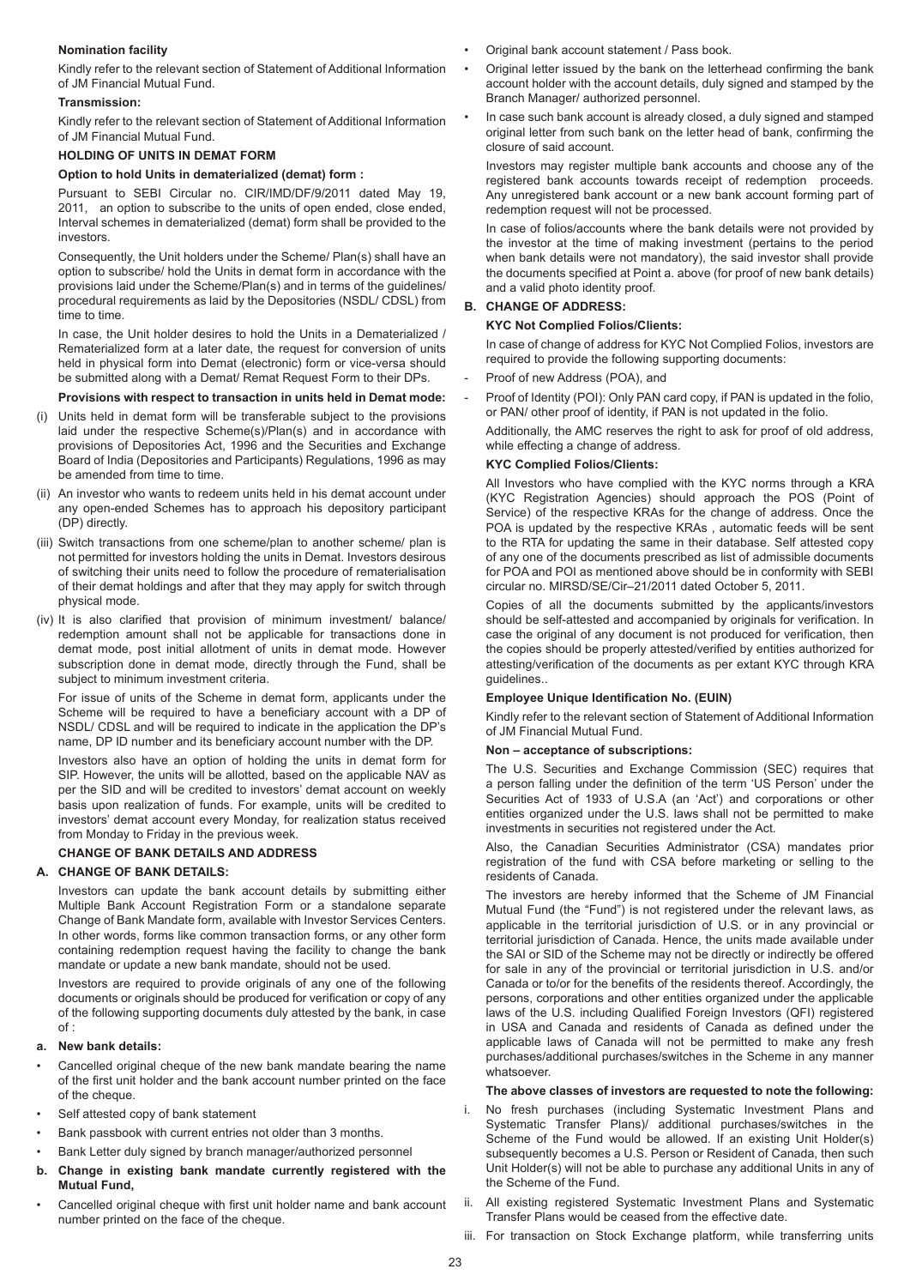# **Nomination facility**

Kindly refer to the relevant section of Statement of Additional Information of JM Financial Mutual Fund.

#### **Transmission:**

Kindly refer to the relevant section of Statement of Additional Information of JM Financial Mutual Fund.

#### **HOLDING OF UNITS IN DEMAT FORM**

#### **Option to hold Units in dematerialized (demat) form :**

Pursuant to SEBI Circular no. CIR/IMD/DF/9/2011 dated May 19, 2011, an option to subscribe to the units of open ended, close ended, Interval schemes in dematerialized (demat) form shall be provided to the investors.

Consequently, the Unit holders under the Scheme/ Plan(s) shall have an option to subscribe/ hold the Units in demat form in accordance with the provisions laid under the Scheme/Plan(s) and in terms of the guidelines/ procedural requirements as laid by the Depositories (NSDL/ CDSL) from time to time.

In case, the Unit holder desires to hold the Units in a Dematerialized / Rematerialized form at a later date, the request for conversion of units held in physical form into Demat (electronic) form or vice-versa should be submitted along with a Demat/ Remat Request Form to their DPs.

#### **Provisions with respect to transaction in units held in Demat mode:**

- (i) Units held in demat form will be transferable subject to the provisions laid under the respective Scheme(s)/Plan(s) and in accordance with provisions of Depositories Act, 1996 and the Securities and Exchange Board of India (Depositories and Participants) Regulations, 1996 as may be amended from time to time.
- (ii) An investor who wants to redeem units held in his demat account under any open-ended Schemes has to approach his depository participant (DP) directly.
- (iii) Switch transactions from one scheme/plan to another scheme/ plan is not permitted for investors holding the units in Demat. Investors desirous of switching their units need to follow the procedure of rematerialisation of their demat holdings and after that they may apply for switch through physical mode.
- (iv) It is also clarified that provision of minimum investment/ balance/ redemption amount shall not be applicable for transactions done in demat mode, post initial allotment of units in demat mode. However subscription done in demat mode, directly through the Fund, shall be subject to minimum investment criteria.

For issue of units of the Scheme in demat form, applicants under the Scheme will be required to have a beneficiary account with a DP of NSDL/ CDSL and will be required to indicate in the application the DP's name, DP ID number and its beneficiary account number with the DP.

Investors also have an option of holding the units in demat form for SIP. However, the units will be allotted, based on the applicable NAV as per the SID and will be credited to investors' demat account on weekly basis upon realization of funds. For example, units will be credited to investors' demat account every Monday, for realization status received from Monday to Friday in the previous week.

#### **CHANGE OF BANK DETAILS AND ADDRESS**

#### **A. CHANGE OF BANK DETAILS:**

Investors can update the bank account details by submitting either Multiple Bank Account Registration Form or a standalone separate Change of Bank Mandate form, available with Investor Services Centers. In other words, forms like common transaction forms, or any other form containing redemption request having the facility to change the bank mandate or update a new bank mandate, should not be used.

Investors are required to provide originals of any one of the following documents or originals should be produced for verification or copy of any of the following supporting documents duly attested by the bank, in case  $\bigcap f$ 

## **a. New bank details:**

- Cancelled original cheque of the new bank mandate bearing the name of the first unit holder and the bank account number printed on the face of the cheque.
- Self attested copy of bank statement
- Bank passbook with current entries not older than 3 months.
- Bank Letter duly signed by branch manager/authorized personnel
- **b. Change in existing bank mandate currently registered with the Mutual Fund,**
- Cancelled original cheque with first unit holder name and bank account number printed on the face of the cheque.
- Original bank account statement / Pass book.
- Original letter issued by the bank on the letterhead confirming the bank account holder with the account details, duly signed and stamped by the Branch Manager/ authorized personnel.
- In case such bank account is already closed, a duly signed and stamped original letter from such bank on the letter head of bank, confirming the closure of said account.

Investors may register multiple bank accounts and choose any of the registered bank accounts towards receipt of redemption proceeds. Any unregistered bank account or a new bank account forming part of redemption request will not be processed.

In case of folios/accounts where the bank details were not provided by the investor at the time of making investment (pertains to the period when bank details were not mandatory), the said investor shall provide the documents specified at Point a. above (for proof of new bank details) and a valid photo identity proof.

## **B. CHANGE OF ADDRESS:**

#### **KYC Not Complied Folios/Clients:**

In case of change of address for KYC Not Complied Folios, investors are required to provide the following supporting documents:

- Proof of new Address (POA), and
- Proof of Identity (POI): Only PAN card copy, if PAN is updated in the folio, or PAN/ other proof of identity, if PAN is not updated in the folio.

Additionally, the AMC reserves the right to ask for proof of old address, while effecting a change of address.

# **KYC Complied Folios/Clients:**

All Investors who have complied with the KYC norms through a KRA (KYC Registration Agencies) should approach the POS (Point of Service) of the respective KRAs for the change of address. Once the POA is updated by the respective KRAs , automatic feeds will be sent to the RTA for updating the same in their database. Self attested copy of any one of the documents prescribed as list of admissible documents for POA and POI as mentioned above should be in conformity with SEBI circular no. MIRSD/SE/Cir–21/2011 dated October 5, 2011.

Copies of all the documents submitted by the applicants/investors should be self-attested and accompanied by originals for verification. In case the original of any document is not produced for verification, then the copies should be properly attested/verified by entities authorized for attesting/verification of the documents as per extant KYC through KRA guidelines..

#### **Employee Unique Identification No. (EUIN)**

Kindly refer to the relevant section of Statement of Additional Information of JM Financial Mutual Fund.

#### **Non – acceptance of subscriptions:**

The U.S. Securities and Exchange Commission (SEC) requires that a person falling under the definition of the term 'US Person' under the Securities Act of 1933 of U.S.A (an 'Act') and corporations or other entities organized under the U.S. laws shall not be permitted to make investments in securities not registered under the Act.

Also, the Canadian Securities Administrator (CSA) mandates prior registration of the fund with CSA before marketing or selling to the residents of Canada.

The investors are hereby informed that the Scheme of JM Financial Mutual Fund (the "Fund") is not registered under the relevant laws, as applicable in the territorial jurisdiction of U.S. or in any provincial or territorial jurisdiction of Canada. Hence, the units made available under the SAI or SID of the Scheme may not be directly or indirectly be offered for sale in any of the provincial or territorial jurisdiction in U.S. and/or Canada or to/or for the benefits of the residents thereof. Accordingly, the persons, corporations and other entities organized under the applicable laws of the U.S. including Qualified Foreign Investors (QFI) registered in USA and Canada and residents of Canada as defined under the applicable laws of Canada will not be permitted to make any fresh purchases/additional purchases/switches in the Scheme in any manner whatsoever.

#### **The above classes of investors are requested to note the following:**

- No fresh purchases (including Systematic Investment Plans and Systematic Transfer Plans)/ additional purchases/switches in the Scheme of the Fund would be allowed. If an existing Unit Holder(s) subsequently becomes a U.S. Person or Resident of Canada, then such Unit Holder(s) will not be able to purchase any additional Units in any of the Scheme of the Fund.
- ii. All existing registered Systematic Investment Plans and Systematic Transfer Plans would be ceased from the effective date.
- iii. For transaction on Stock Exchange platform, while transferring units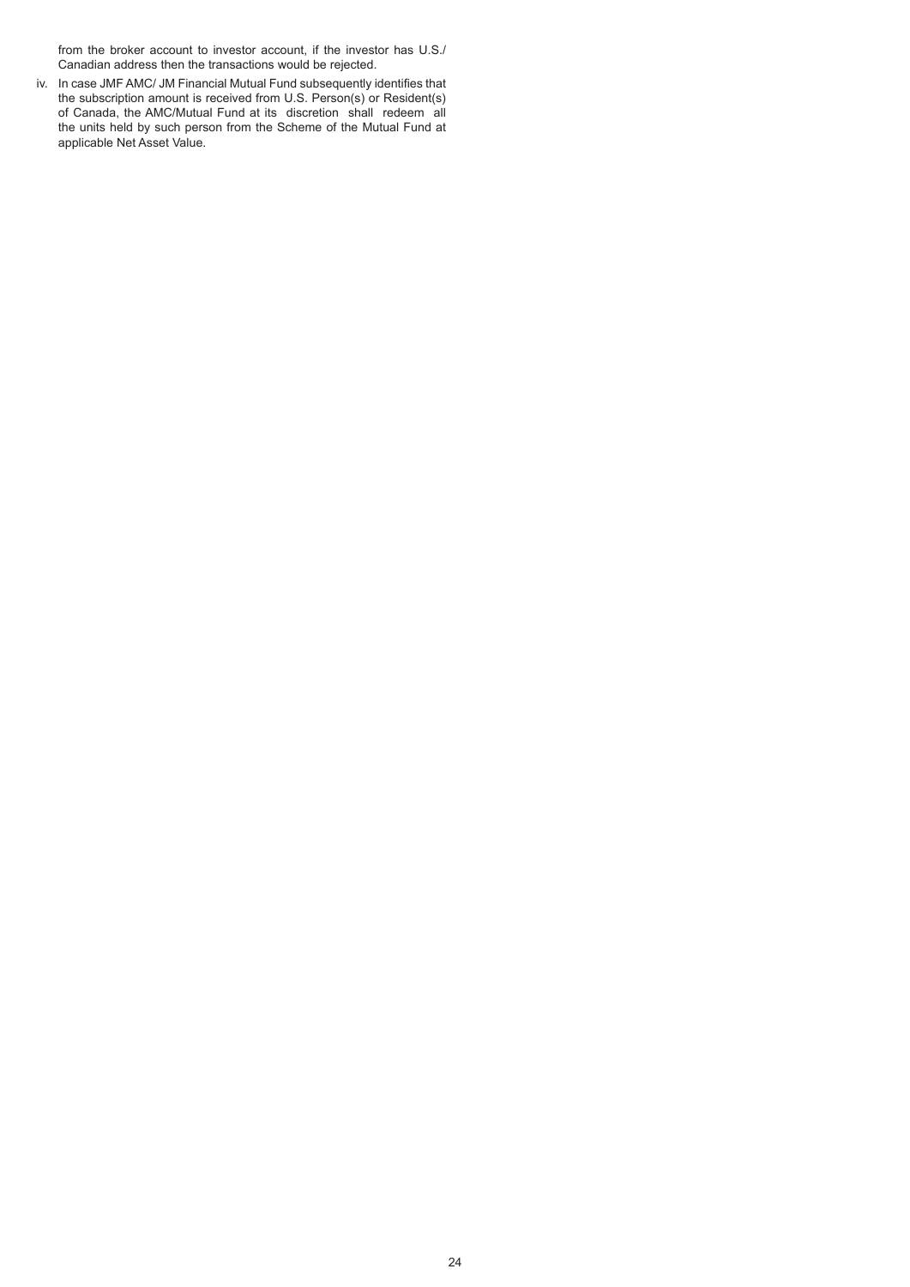from the broker account to investor account, if the investor has U.S./ Canadian address then the transactions would be rejected.

iv. In case JMF AMC/ JM Financial Mutual Fund subsequently identifies that the subscription amount is received from U.S. Person(s) or Resident(s) of Canada, the AMC/Mutual Fund at its discretion shall redeem all the units held by such person from the Scheme of the Mutual Fund at applicable Net Asset Value.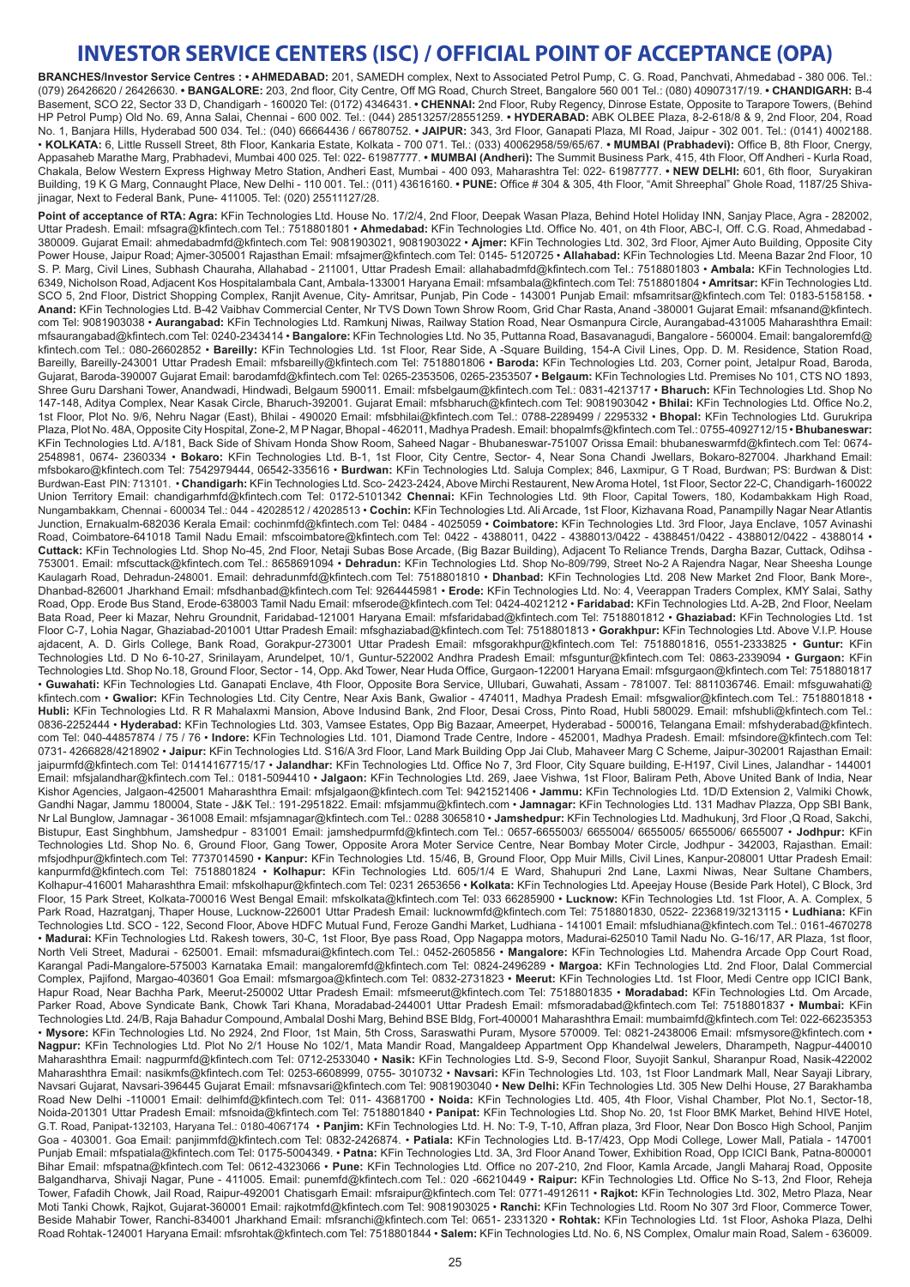# **INVESTOR SERVICE CENTERS (ISC) / OFFICIAL POINT OF ACCEPTANCE (OPA)**

**BRANCHES/Investor Service Centres : • AHMEDABAD:** 201, SAMEDH complex, Next to Associated Petrol Pump, C. G. Road, Panchvati, Ahmedabad - 380 006. Tel.: (079) 26426620 / 26426630. **• BANGALORE:** 203, 2nd floor, City Centre, Off MG Road, Church Street, Bangalore 560 001 Tel.: (080) 40907317/19. **• CHANDIGARH:** B-4 Basement, SCO 22, Sector 33 D, Chandigarh - 160020 Tel: (0172) 4346431. **• CHENNAI:** 2nd Floor, Ruby Regency, Dinrose Estate, Opposite to Tarapore Towers, (Behind HP Petrol Pump) Old No. 69, Anna Salai, Chennai - 600 002. Tel.: (044) 28513257/28551259. **• HYDERABAD:** ABK OLBEE Plaza, 8-2-618/8 & 9, 2nd Floor, 204, Road No. 1, Banjara Hills, Hyderabad 500 034. Tel.: (040) 66664436 / 66780752. **• JAIPUR:** 343, 3rd Floor, Ganapati Plaza, MI Road, Jaipur - 302 001. Tel.: (0141) 4002188. • **KOLKATA:** 6, Little Russell Street, 8th Floor, Kankaria Estate, Kolkata - 700 071. Tel.: (033) 40062958/59/65/67. **• MUMBAI (Prabhadevi):** Office B, 8th Floor, Cnergy, Appasaheb Marathe Marg, Prabhadevi, Mumbai 400 025. Tel: 022- 61987777. **• MUMBAI (Andheri):** The Summit Business Park, 415, 4th Floor, Off Andheri - Kurla Road, Chakala, Below Western Express Highway Metro Station, Andheri East, Mumbai - 400 093, Maharashtra Tel: 022- 61987777. **• NEW DELHI:** 601, 6th floor, Suryakiran Building, 19 K G Marg, Connaught Place, New Delhi - 110 001. Tel.: (011) 43616160. **• PUNE:** Office # 304 & 305, 4th Floor, "Amit Shreephal" Ghole Road, 1187/25 Shivajinagar, Next to Federal Bank, Pune- 411005. Tel: (020) 25511127/28.

Point of acceptance of RTA: Agra: KFin Technologies Ltd. House No. 17/2/4, 2nd Floor, Deepak Wasan Plaza, Behind Hotel Holiday INN, Sanjay Place, Agra - 282002, Uttar Pradesh. Email: mfsagra@kfintech.com Tel.: 7518801801 • **Ahmedabad:** KFin Technologies Ltd. Office No. 401, on 4th Floor, ABC-I, Off. C.G. Road, Ahmedabad - 380009. Gujarat Email: ahmedabadmfd@kfintech.com Tel: 9081903021, 9081903022 • **Ajmer:** KFin Technologies Ltd. 302, 3rd Floor, Ajmer Auto Building, Opposite City Power House, Jaipur Road; Ajmer-305001 Rajasthan Email: mfsajmer@kfintech.com Tel: 0145- 5120725 • **Allahabad:** KFin Technologies Ltd. Meena Bazar 2nd Floor, 10 S. P. Marg, Civil Lines, Subhash Chauraha, Allahabad - 211001, Uttar Pradesh Email: allahabadmfd@kfintech.com Tel.: 7518801803 • **Ambala:** KFin Technologies Ltd. 6349, Nicholson Road, Adjacent Kos Hospitalambala Cant, Ambala-133001 Haryana Email: mfsambala@kfintech.com Tel: 7518801804 • **Amritsar:** KFin Technologies Ltd. SCO 5, 2nd Floor, District Shopping Complex, Ranjit Avenue, City- Amritsar, Punjab, Pin Code - 143001 Punjab Email: mfsamritsar@kfintech.com Tel: 0183-5158158. • **Anand:** KFin Technologies Ltd. B-42 Vaibhav Commercial Center, Nr TVS Down Town Shrow Room, Grid Char Rasta, Anand -380001 Gujarat Email: mfsanand@kfintech. com Tel: 9081903038 • **Aurangabad:** KFin Technologies Ltd. Ramkunj Niwas, Railway Station Road, Near Osmanpura Circle, Aurangabad-431005 Maharashthra Email: mfsaurangabad@kfintech.com Tel: 0240-2343414 • **Bangalore:** KFin Technologies Ltd. No 35, Puttanna Road, Basavanagudi, Bangalore - 560004. Email: bangaloremfd@ kfintech.com Tel.: 080-26602852 • **Bareilly:** KFin Technologies Ltd. 1st Floor, Rear Side, A -Square Building, 154-A Civil Lines, Opp. D. M. Residence, Station Road, Bareilly, Bareilly-243001 Uttar Pradesh Email: mfsbareilly@kfintech.com Tel: 7518801806 • **Baroda:** KFin Technologies Ltd. 203, Corner point, Jetalpur Road, Baroda, Gujarat, Baroda-390007 Gujarat Email: barodamfd@kfintech.com Tel: 0265-2353506, 0265-2353507 • **Belgaum:** KFin Technologies Ltd. Premises No 101, CTS NO 1893, Shree Guru Darshani Tower, Anandwadi, Hindwadi, Belgaum 590011. Email: mfsbelgaum@kfintech.com Tel.: 0831-4213717 • **Bharuch:** KFin Technologies Ltd. Shop No 147-148, Aditya Complex, Near Kasak Circle, Bharuch-392001. Gujarat Email: mfsbharuch@kfintech.com Tel: 9081903042 • **Bhilai:** KFin Technologies Ltd. Office No.2, 1st Floor, Plot No. 9/6, Nehru Nagar (East), Bhilai - 490020 Email: mfsbhilai@kfintech.com Tel.: 0788-2289499 / 2295332 • **Bhopal:** KFin Technologies Ltd. Gurukripa Plaza, Plot No. 48A, Opposite City Hospital, Zone-2, M P Nagar, Bhopal - 462011, Madhya Pradesh. Email: bhopalmfs@kfintech.com Tel.: 0755-4092712/15 • **Bhubaneswar:**  KFin Technologies Ltd. A/181, Back Side of Shivam Honda Show Room, Saheed Nagar - Bhubaneswar-751007 Orissa Email: bhubaneswarmfd@kfintech.com Tel: 0674- 2548981, 0674- 2360334 • **Bokaro:** KFin Technologies Ltd. B-1, 1st Floor, City Centre, Sector- 4, Near Sona Chandi Jwellars, Bokaro-827004. Jharkhand Email: mfsbokaro@kfintech.com Tel: 7542979444, 06542-335616 • **Burdwan:** KFin Technologies Ltd. Saluja Complex; 846, Laxmipur, G T Road, Burdwan; PS: Burdwan & Dist: Burdwan-East PIN: 713101. • **Chandigarh:** KFin Technologies Ltd. Sco- 2423-2424, Above Mirchi Restaurent, New Aroma Hotel, 1st Floor, Sector 22-C, Chandigarh-160022 Union Territory Email: chandigarhmfd@kfintech.com Tel: 0172-5101342 **Chennai:** KFin Technologies Ltd. 9th Floor, Capital Towers, 180, Kodambakkam High Road, Nungambakkam, Chennai - 600034 Tel.: 044 - 42028512 / 42028513 • **Cochin:** KFin Technologies Ltd. Ali Arcade, 1st Floor, Kizhavana Road, Panampilly Nagar Near Atlantis Junction, Ernakualm-682036 Kerala Email: cochinmfd@kfintech.com Tel: 0484 - 4025059 • **Coimbatore:** KFin Technologies Ltd. 3rd Floor, Jaya Enclave, 1057 Avinashi Road, Coimbatore-641018 Tamil Nadu Email: mfscoimbatore@kfintech.com Tel: 0422 - 4388011, 0422 - 4388013/0422 - 4388451/0422 - 4388012/0422 - 4388014 • **Cuttack:** KFin Technologies Ltd. Shop No-45, 2nd Floor, Netaji Subas Bose Arcade, (Big Bazar Building), Adjacent To Reliance Trends, Dargha Bazar, Cuttack, Odihsa - 753001. Email: mfscuttack@kfintech.com Tel.: 8658691094 • **Dehradun:** KFin Technologies Ltd. Shop No-809/799, Street No-2 A Rajendra Nagar, Near Sheesha Lounge Kaulagarh Road, Dehradun-248001. Email: dehradunmfd@kfintech.com Tel: 7518801810 • **Dhanbad:** KFin Technologies Ltd. 208 New Market 2nd Floor, Bank More-, Dhanbad-826001 Jharkhand Email: mfsdhanbad@kfintech.com Tel: 9264445981 • **Erode:** KFin Technologies Ltd. No: 4, Veerappan Traders Complex, KMY Salai, Sathy Road, Opp. Erode Bus Stand, Erode-638003 Tamil Nadu Email: mfserode@kfintech.com Tel: 0424-4021212 • **Faridabad:** KFin Technologies Ltd. A-2B, 2nd Floor, Neelam Bata Road, Peer ki Mazar, Nehru Groundnit, Faridabad-121001 Haryana Email: mfsfaridabad@kfintech.com Tel: 7518801812 • **Ghaziabad:** KFin Technologies Ltd. 1st Floor C-7, Lohia Nagar, Ghaziabad-201001 Uttar Pradesh Email: mfsghaziabad@kfintech.com Tel: 7518801813 • **Gorakhpur:** KFin Technologies Ltd. Above V.I.P. House ajdacent, A. D. Girls College, Bank Road, Gorakpur-273001 Uttar Pradesh Email: mfsgorakhpur@kfintech.com Tel: 7518801816, 0551-2333825 • **Guntur:** KFin Technologies Ltd. D No 6-10-27, Srinilayam, Arundelpet, 10/1, Guntur-522002 Andhra Pradesh Email: mfsguntur@kfintech.com Tel: 0863-2339094 • **Gurgaon:** KFin Technologies Ltd. Shop No.18, Ground Floor, Sector - 14, Opp. Akd Tower, Near Huda Office, Gurgaon-122001 Haryana Email: mfsgurgaon@kfintech.com Tel: 7518801817 • **Guwahati:** KFin Technologies Ltd. Ganapati Enclave, 4th Floor, Opposite Bora Service, Ullubari, Guwahati, Assam - 781007. Tel: 8811036746. Email: mfsguwahati@ kfintech.com • Gwalior: KFin Technologies Ltd. City Centre, Near Axis Bank, Gwalior - 474011, Madhya Pradesh Email: mfsgwalior@kfintech.com Tel.: 7518801818 • **Hubli:** KFin Technologies Ltd. R R Mahalaxmi Mansion, Above Indusind Bank, 2nd Floor, Desai Cross, Pinto Road, Hubli 580029. Email: mfshubli@kfintech.com Tel.: 0836-2252444 • **Hyderabad:** KFin Technologies Ltd. 303, Vamsee Estates, Opp Big Bazaar, Ameerpet, Hyderabad - 500016, Telangana Email: mfshyderabad@kfintech. com Tel: 040-44857874 / 75 / 76 • **Indore:** KFin Technologies Ltd. 101, Diamond Trade Centre, Indore - 452001, Madhya Pradesh. Email: mfsindore@kfintech.com Tel: 0731- 4266828/4218902 • **Jaipur:** KFin Technologies Ltd. S16/A 3rd Floor, Land Mark Building Opp Jai Club, Mahaveer Marg C Scheme, Jaipur-302001 Rajasthan Email: jaipurmfd@kfintech.com Tel: 01414167715/17 • **Jalandhar:** KFin Technologies Ltd. Office No 7, 3rd Floor, City Square building, E-H197, Civil Lines, Jalandhar - 144001 Email: mfsjalandhar@kfintech.com Tel.: 0181-5094410 • **Jalgaon:** KFin Technologies Ltd. 269, Jaee Vishwa, 1st Floor, Baliram Peth, Above United Bank of India, Near Kishor Agencies, Jalgaon-425001 Maharashthra Email: mfsjalgaon@kfintech.com Tel: 9421521406 • **Jammu:** KFin Technologies Ltd. 1D/D Extension 2, Valmiki Chowk, Gandhi Nagar, Jammu 180004, State - J&K Tel.: 191-2951822. Email: mfsjammu@kfintech.com • **Jamnagar:** KFin Technologies Ltd. 131 Madhav Plazza, Opp SBI Bank, Nr Lal Bunglow, Jamnagar - 361008 Email: mfsjamnagar@kfintech.com Tel.: 0288 3065810 • **Jamshedpur:** KFin Technologies Ltd. Madhukunj, 3rd Floor ,Q Road, Sakchi, Bistupur, East Singhbhum, Jamshedpur - 831001 Email: jamshedpurmfd@kfintech.com Tel.: 0657-6655003/ 6655004/ 6655005/ 6655006/ 6655007 • **Jodhpur:** KFin Technologies Ltd. Shop No. 6, Ground Floor, Gang Tower, Opposite Arora Moter Service Centre, Near Bombay Moter Circle, Jodhpur - 342003, Rajasthan. Email: mfsjodhpur@kfintech.com Tel: 7737014590 • **Kanpur:** KFin Technologies Ltd. 15/46, B, Ground Floor, Opp Muir Mills, Civil Lines, Kanpur-208001 Uttar Pradesh Email: kanpurmfd@kfintech.com Tel: 7518801824 • **Kolhapur:** KFin Technologies Ltd. 605/1/4 E Ward, Shahupuri 2nd Lane, Laxmi Niwas, Near Sultane Chambers, Kolhapur-416001 Maharashthra Email: mfskolhapur@kfintech.com Tel: 0231 2653656 • **Kolkata:** KFin Technologies Ltd. Apeejay House (Beside Park Hotel), C Block, 3rd Floor, 15 Park Street, Kolkata-700016 West Bengal Email: mfskolkata@kfintech.com Tel: 033 66285900 • **Lucknow:** KFin Technologies Ltd. 1st Floor, A. A. Complex, 5 Park Road, Hazratganj, Thaper House, Lucknow-226001 Uttar Pradesh Email: lucknowmfd@kfintech.com Tel: 7518801830, 0522- 2236819/3213115 • **Ludhiana:** KFin Technologies Ltd. SCO - 122, Second Floor, Above HDFC Mutual Fund, Feroze Gandhi Market, Ludhiana - 141001 Email: mfsludhiana@kfintech.com Tel.: 0161-4670278 • **Madurai:** KFin Technologies Ltd. Rakesh towers, 30-C, 1st Floor, Bye pass Road, Opp Nagappa motors, Madurai-625010 Tamil Nadu No. G-16/17, AR Plaza, 1st floor, North Veli Street, Madurai - 625001. Email: mfsmadurai@kfintech.com Tel.: 0452-2605856 • **Mangalore:** KFin Technologies Ltd. Mahendra Arcade Opp Court Road, Karangal Padi-Mangalore-575003 Karnataka Email: mangaloremfd@kfintech.com Tel: 0824-2496289 • **Margoa:** KFin Technologies Ltd. 2nd Floor, Dalal Commercial Complex, Pajifond, Margao-403601 Goa Email: mfsmargoa@kfintech.com Tel: 0832-2731823 • **Meerut:** KFin Technologies Ltd. 1st Floor, Medi Centre opp ICICI Bank, Hapur Road, Near Bachha Park, Meerut-250002 Uttar Pradesh Email: mfsmeerut@kfintech.com Tel: 7518801835 • **Moradabad:** KFin Technologies Ltd. Om Arcade, Parker Road, Above Syndicate Bank, Chowk Tari Khana, Moradabad-244001 Uttar Pradesh Email: mfsmoradabad@kfintech.com Tel: 7518801837 • **Mumbai:** KFin Technologies Ltd. 24/B, Raja Bahadur Compound, Ambalal Doshi Marg, Behind BSE Bldg, Fort-400001 Maharashthra Email: mumbaimfd@kfintech.com Tel: 022-66235353 • **Mysore:** KFin Technologies Ltd. No 2924, 2nd Floor, 1st Main, 5th Cross, Saraswathi Puram, Mysore 570009. Tel: 0821-2438006 Email: mfsmysore@kfintech.com • **Nagpur:** KFin Technologies Ltd. Plot No 2/1 House No 102/1, Mata Mandir Road, Mangaldeep Appartment Opp Khandelwal Jewelers, Dharampeth, Nagpur-440010 Maharashthra Email: nagpurmfd@kfintech.com Tel: 0712-2533040 • **Nasik:** KFin Technologies Ltd. S-9, Second Floor, Suyojit Sankul, Sharanpur Road, Nasik-422002 Maharashthra Email: nasikmfs@kfintech.com Tel: 0253-6608999, 0755- 3010732 • **Navsari:** KFin Technologies Ltd. 103, 1st Floor Landmark Mall, Near Sayaji Library, Navsari Gujarat, Navsari-396445 Gujarat Email: mfsnavsari@kfintech.com Tel: 9081903040 • **New Delhi:** KFin Technologies Ltd. 305 New Delhi House, 27 Barakhamba Road New Delhi -110001 Email: delhimfd@kfintech.com Tel: 011- 43681700 • **Noida:** KFin Technologies Ltd. 405, 4th Floor, Vishal Chamber, Plot No.1, Sector-18, Noida-201301 Uttar Pradesh Email: mfsnoida@kfintech.com Tel: 7518801840 • **Panipat:** KFin Technologies Ltd. Shop No. 20, 1st Floor BMK Market, Behind HIVE Hotel, G.T. Road, Panipat-132103, Haryana Tel.: 0180-4067174 • **Panjim:** KFin Technologies Ltd. H. No: T-9, T-10, Affran plaza, 3rd Floor, Near Don Bosco High School, Panjim Goa - 403001. Goa Email: panjimmfd@kfintech.com Tel: 0832-2426874. • **Patiala:** KFin Technologies Ltd. B-17/423, Opp Modi College, Lower Mall, Patiala - 147001 Punjab Email: mfspatiala@kfintech.com Tel: 0175-5004349. • **Patna:** KFin Technologies Ltd. 3A, 3rd Floor Anand Tower, Exhibition Road, Opp ICICI Bank, Patna-800001 Bihar Email: mfspatna@kfintech.com Tel: 0612-4323066 • **Pune:** KFin Technologies Ltd. Office no 207-210, 2nd Floor, Kamla Arcade, Jangli Maharaj Road, Opposite Balgandharva, Shivaji Nagar, Pune - 411005. Email: punemfd@kfintech.com Tel.: 020 -66210449 • **Raipur:** KFin Technologies Ltd. Office No S-13, 2nd Floor, Reheja Tower, Fafadih Chowk, Jail Road, Raipur-492001 Chatisgarh Email: mfsraipur@kfintech.com Tel: 0771-4912611 • **Rajkot:** KFin Technologies Ltd. 302, Metro Plaza, Near Moti Tanki Chowk, Rajkot, Gujarat-360001 Email: rajkotmfd@kfintech.com Tel: 9081903025 • **Ranchi:** KFin Technologies Ltd. Room No 307 3rd Floor, Commerce Tower, Beside Mahabir Tower, Ranchi-834001 Jharkhand Email: mfsranchi@kfintech.com Tel: 0651- 2331320 • **Rohtak:** KFin Technologies Ltd. 1st Floor, Ashoka Plaza, Delhi Road Rohtak-124001 Haryana Email: mfsrohtak@kfintech.com Tel: 7518801844 • **Salem:** KFin Technologies Ltd. No. 6, NS Complex, Omalur main Road, Salem - 636009.